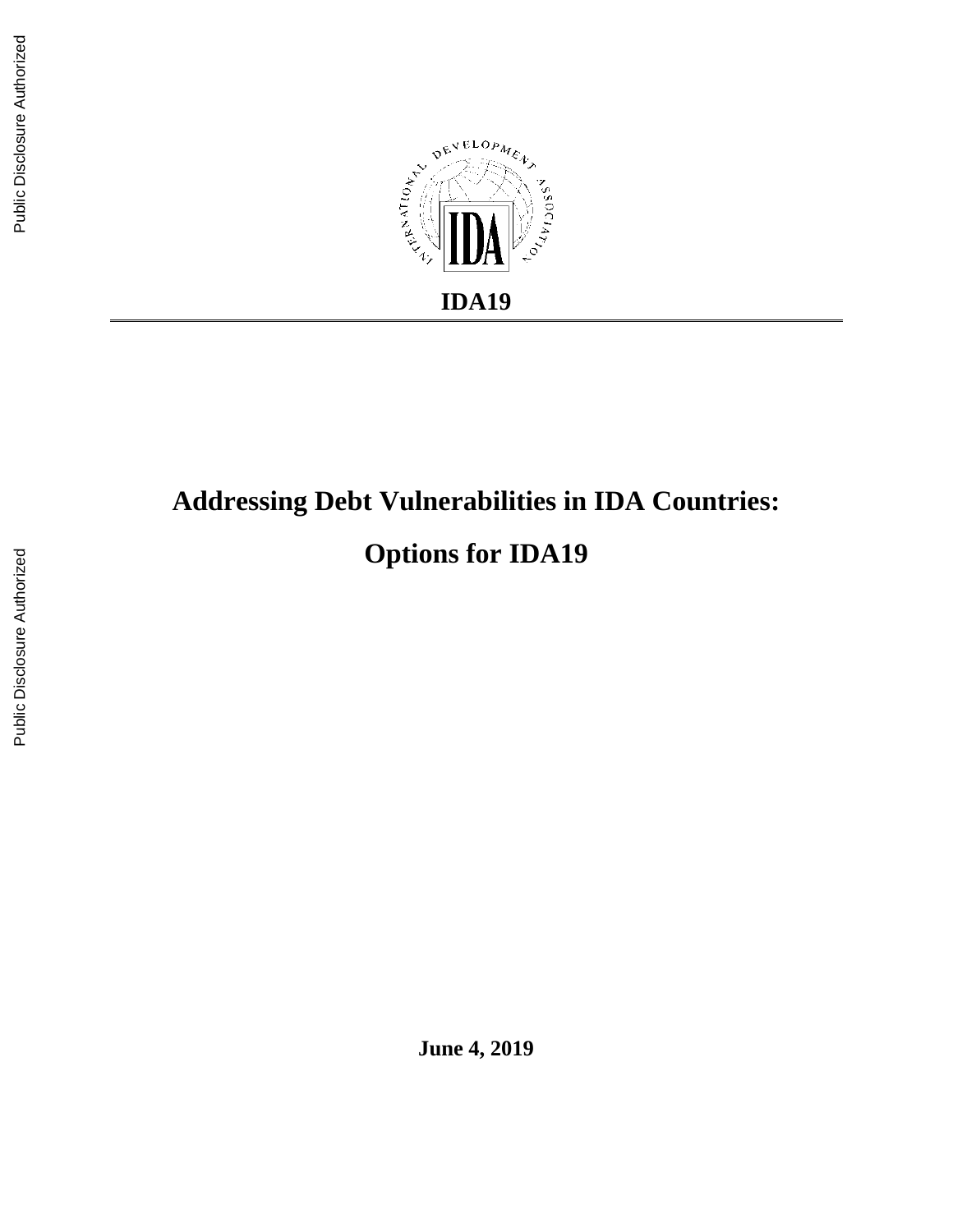

# **Addressing Debt Vulnerabilities in IDA Countries:**

**Options for IDA19**

**June 4, 2019**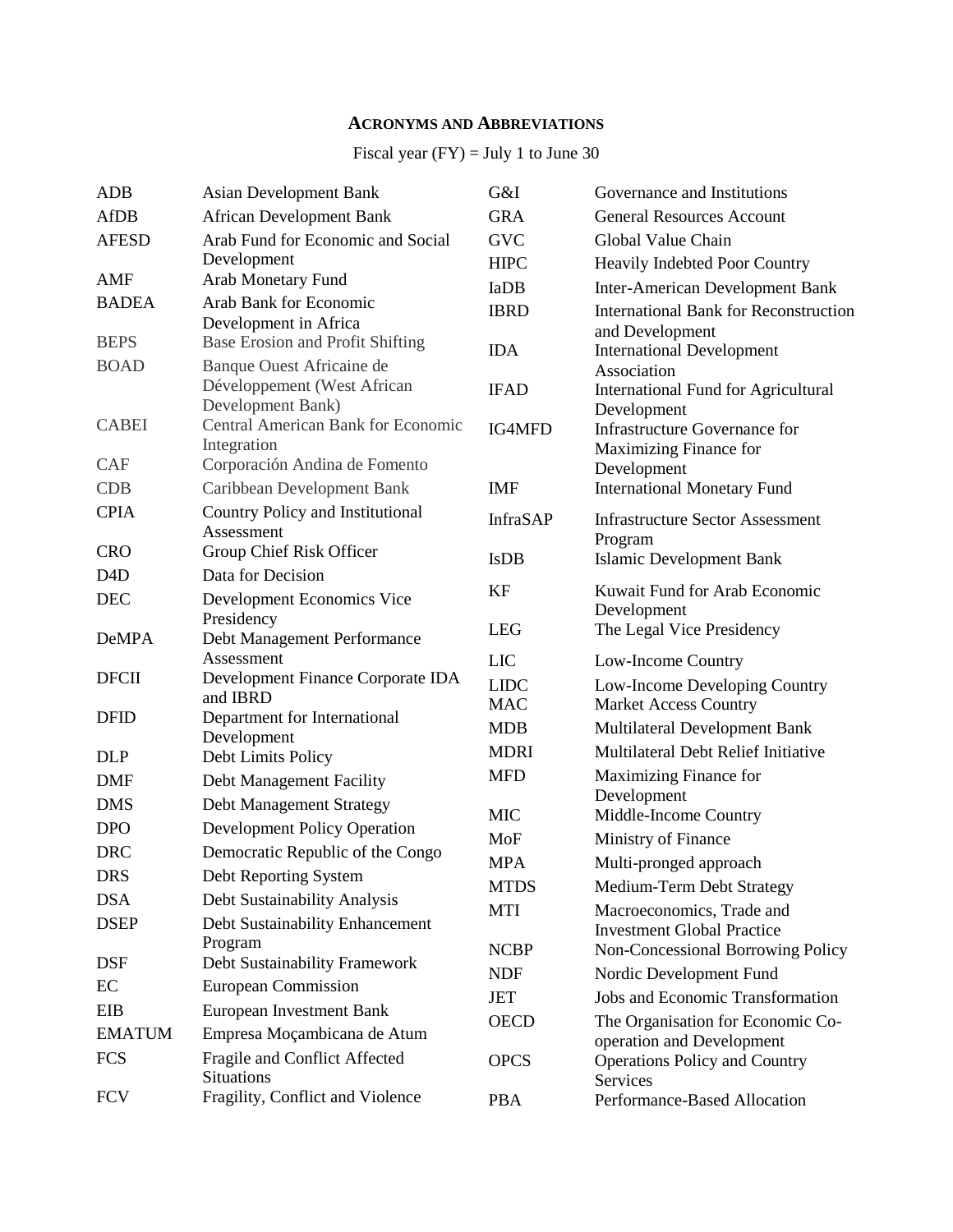## **ACRONYMS AND ABBREVIATIONS**

## Fiscal year  $(FY) = July 1$  to June 30

| <b>ADB</b>       | <b>Asian Development Bank</b>                             | G&I             | Governance and Institutions                                    |
|------------------|-----------------------------------------------------------|-----------------|----------------------------------------------------------------|
| <b>AfDB</b>      | <b>African Development Bank</b>                           | <b>GRA</b>      | <b>General Resources Account</b>                               |
| <b>AFESD</b>     | Arab Fund for Economic and Social                         | <b>GVC</b>      | Global Value Chain                                             |
|                  | Development                                               | <b>HIPC</b>     | Heavily Indebted Poor Country                                  |
| <b>AMF</b>       | Arab Monetary Fund                                        | <b>IaDB</b>     | <b>Inter-American Development Bank</b>                         |
| <b>BADEA</b>     | Arab Bank for Economic                                    | <b>IBRD</b>     | <b>International Bank for Reconstruction</b>                   |
| <b>BEPS</b>      | Development in Africa<br>Base Erosion and Profit Shifting |                 | and Development                                                |
| <b>BOAD</b>      | Banque Ouest Africaine de                                 | <b>IDA</b>      | <b>International Development</b>                               |
|                  | Développement (West African                               | <b>IFAD</b>     | Association<br>International Fund for Agricultural             |
|                  | Development Bank)                                         |                 | Development                                                    |
| <b>CABEI</b>     | <b>Central American Bank for Economic</b>                 | IG4MFD          | Infrastructure Governance for                                  |
|                  | Integration                                               |                 | Maximizing Finance for                                         |
| <b>CAF</b>       | Corporación Andina de Fomento                             |                 | Development                                                    |
| <b>CDB</b>       | Caribbean Development Bank                                | <b>IMF</b>      | <b>International Monetary Fund</b>                             |
| <b>CPIA</b>      | Country Policy and Institutional<br>Assessment            | <b>InfraSAP</b> | <b>Infrastructure Sector Assessment</b>                        |
| <b>CRO</b>       | Group Chief Risk Officer                                  |                 | Program                                                        |
| D <sub>4</sub> D | Data for Decision                                         | <b>IsDB</b>     | <b>Islamic Development Bank</b>                                |
| <b>DEC</b>       | Development Economics Vice                                | <b>KF</b>       | Kuwait Fund for Arab Economic                                  |
|                  | Presidency                                                |                 | Development                                                    |
| <b>DeMPA</b>     | Debt Management Performance                               | <b>LEG</b>      | The Legal Vice Presidency                                      |
|                  | Assessment                                                | <b>LIC</b>      | Low-Income Country                                             |
| <b>DFCII</b>     | Development Finance Corporate IDA<br>and IBRD             | <b>LIDC</b>     | Low-Income Developing Country                                  |
| <b>DFID</b>      | Department for International                              | <b>MAC</b>      | <b>Market Access Country</b>                                   |
|                  | Development                                               | <b>MDB</b>      | Multilateral Development Bank                                  |
| <b>DLP</b>       | Debt Limits Policy                                        | <b>MDRI</b>     | Multilateral Debt Relief Initiative                            |
| <b>DMF</b>       | Debt Management Facility                                  | <b>MFD</b>      | Maximizing Finance for                                         |
| <b>DMS</b>       | <b>Debt Management Strategy</b>                           |                 | Development                                                    |
| <b>DPO</b>       | <b>Development Policy Operation</b>                       | <b>MIC</b>      | Middle-Income Country                                          |
| <b>DRC</b>       | Democratic Republic of the Congo                          | MoF             | Ministry of Finance                                            |
| <b>DRS</b>       | Debt Reporting System                                     | <b>MPA</b>      | Multi-pronged approach                                         |
| <b>DSA</b>       | Debt Sustainability Analysis                              | <b>MTDS</b>     | Medium-Term Debt Strategy                                      |
| <b>DSEP</b>      | Debt Sustainability Enhancement                           | <b>MTI</b>      | Macroeconomics, Trade and<br><b>Investment Global Practice</b> |
|                  | Program                                                   | <b>NCBP</b>     | Non-Concessional Borrowing Policy                              |
| <b>DSF</b>       | Debt Sustainability Framework                             | <b>NDF</b>      | Nordic Development Fund                                        |
| $\rm EC$         | <b>European Commission</b>                                | <b>JET</b>      | <b>Jobs and Economic Transformation</b>                        |
| <b>EIB</b>       | <b>European Investment Bank</b>                           | <b>OECD</b>     | The Organisation for Economic Co-                              |
| <b>EMATUM</b>    | Empresa Moçambicana de Atum                               |                 | operation and Development                                      |
| <b>FCS</b>       | Fragile and Conflict Affected                             | <b>OPCS</b>     | <b>Operations Policy and Country</b>                           |
|                  | <b>Situations</b>                                         |                 | Services                                                       |
| <b>FCV</b>       | Fragility, Conflict and Violence                          | <b>PBA</b>      | Performance-Based Allocation                                   |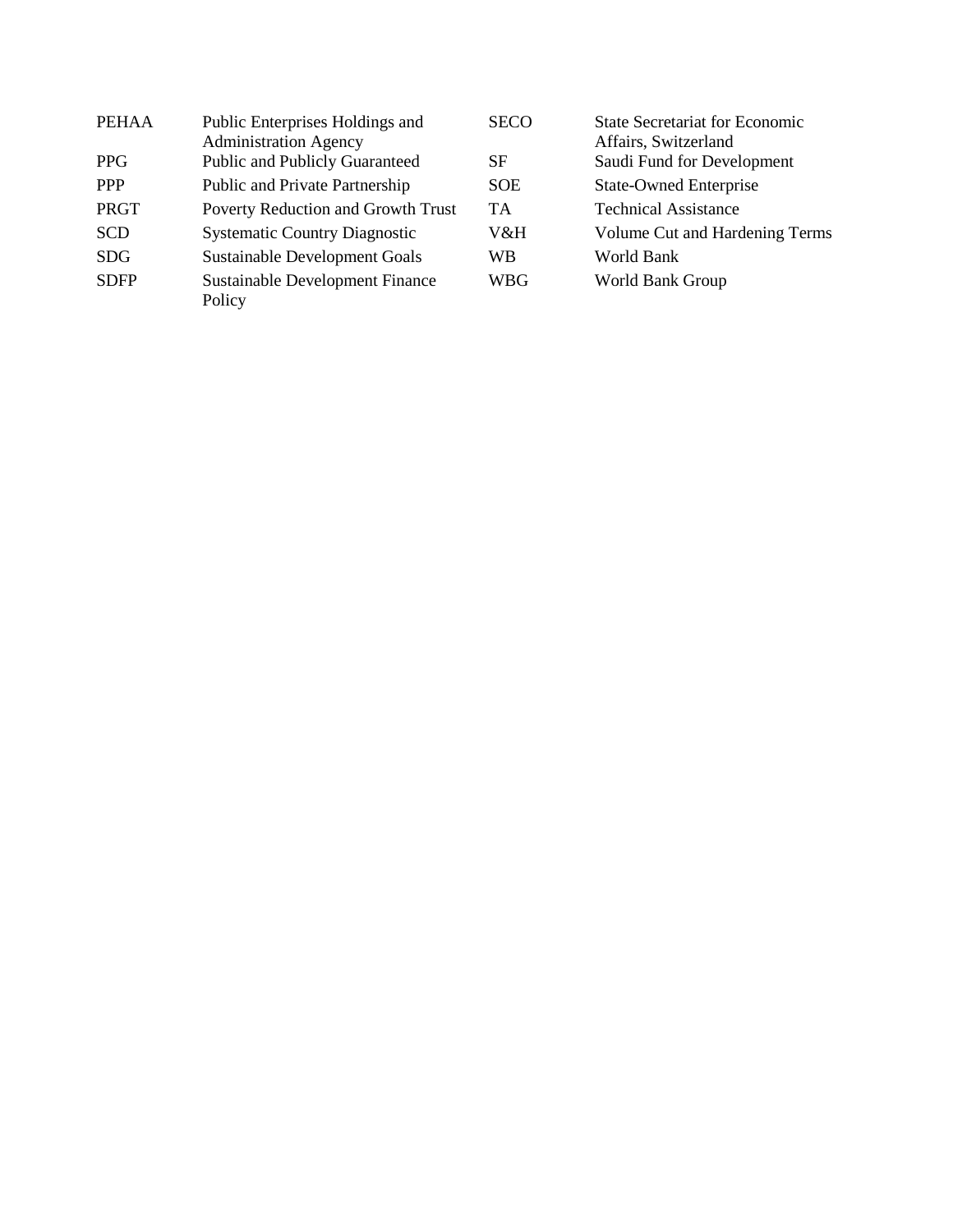| <b>PEHAA</b> | Public Enterprises Holdings and                  | <b>SECO</b> | <b>State Secretariat for Economic</b> |
|--------------|--------------------------------------------------|-------------|---------------------------------------|
|              | <b>Administration Agency</b>                     |             | Affairs, Switzerland                  |
| <b>PPG</b>   | <b>Public and Publicly Guaranteed</b>            | SF          | Saudi Fund for Development            |
| <b>PPP</b>   | Public and Private Partnership                   | <b>SOE</b>  | <b>State-Owned Enterprise</b>         |
| PRGT         | Poverty Reduction and Growth Trust               | <b>TA</b>   | <b>Technical Assistance</b>           |
| <b>SCD</b>   | <b>Systematic Country Diagnostic</b>             | V&H         | Volume Cut and Hardening Terms        |
| <b>SDG</b>   | <b>Sustainable Development Goals</b>             | WB          | World Bank                            |
| <b>SDFP</b>  | <b>Sustainable Development Finance</b><br>Policy | <b>WBG</b>  | World Bank Group                      |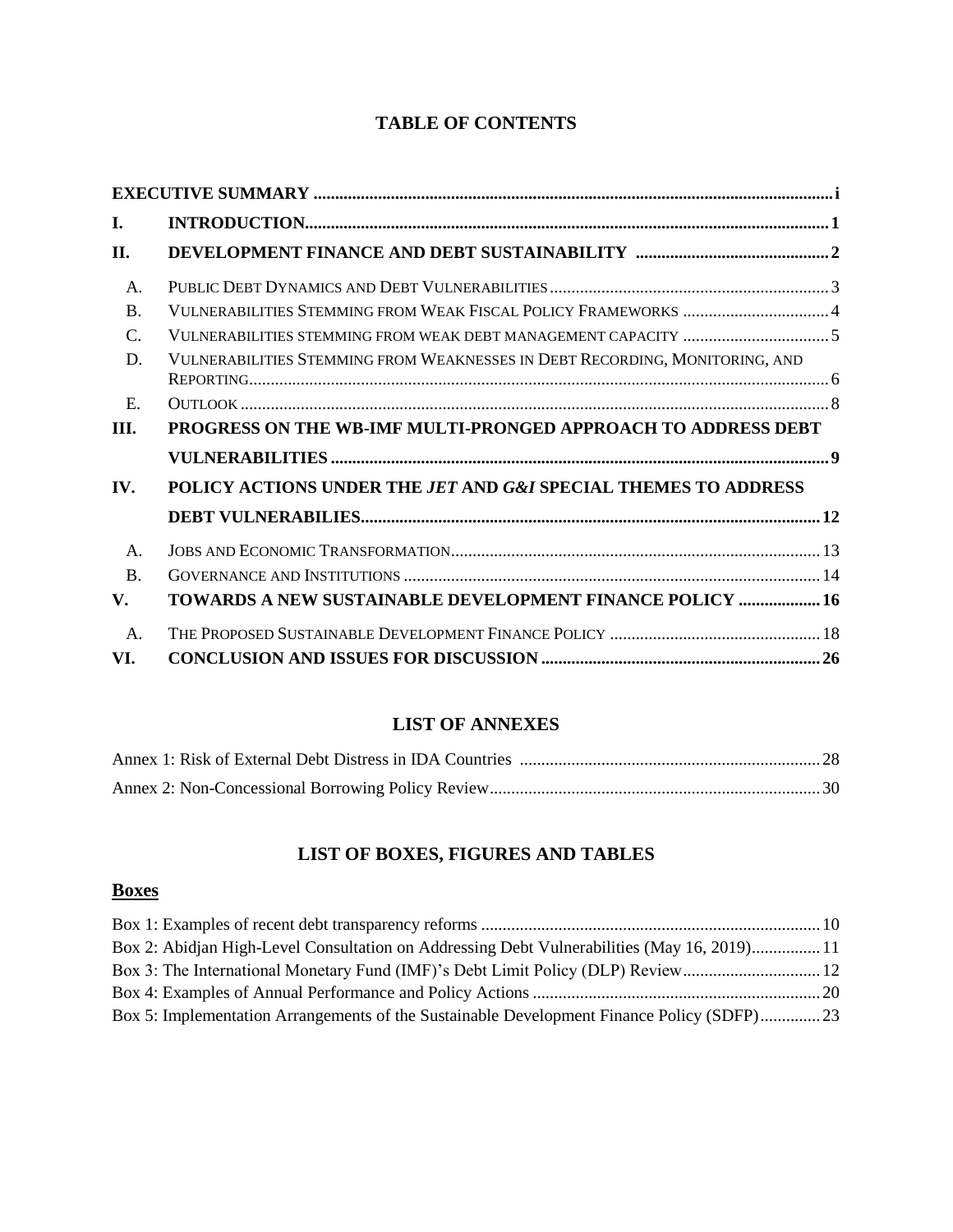# **TABLE OF CONTENTS**

| L.             |                                                                             |
|----------------|-----------------------------------------------------------------------------|
| II.            |                                                                             |
| Α.             |                                                                             |
| $\mathbf{B}$ . | VULNERABILITIES STEMMING FROM WEAK FISCAL POLICY FRAMEWORKS 4               |
| $\mathcal{C}$  |                                                                             |
| D.             | VULNERABILITIES STEMMING FROM WEAKNESSES IN DEBT RECORDING, MONITORING, AND |
| $E_{\rm c}$    |                                                                             |
| III.           | PROGRESS ON THE WB-IMF MULTI-PRONGED APPROACH TO ADDRESS DEBT               |
|                |                                                                             |
| IV.            | POLICY ACTIONS UNDER THE JET AND G&I SPECIAL THEMES TO ADDRESS              |
|                |                                                                             |
| A.             |                                                                             |
| <b>B.</b>      |                                                                             |
| V.             | TOWARDS A NEW SUSTAINABLE DEVELOPMENT FINANCE POLICY  16                    |
| A.             |                                                                             |
| VI.            |                                                                             |

# **LIST OF ANNEXES**

# **LIST OF BOXES, FIGURES AND TABLES**

# **Boxes**

| Box 2: Abidjan High-Level Consultation on Addressing Debt Vulnerabilities (May 16, 2019) 11 |  |
|---------------------------------------------------------------------------------------------|--|
|                                                                                             |  |
|                                                                                             |  |
| Box 5: Implementation Arrangements of the Sustainable Development Finance Policy (SDFP)23   |  |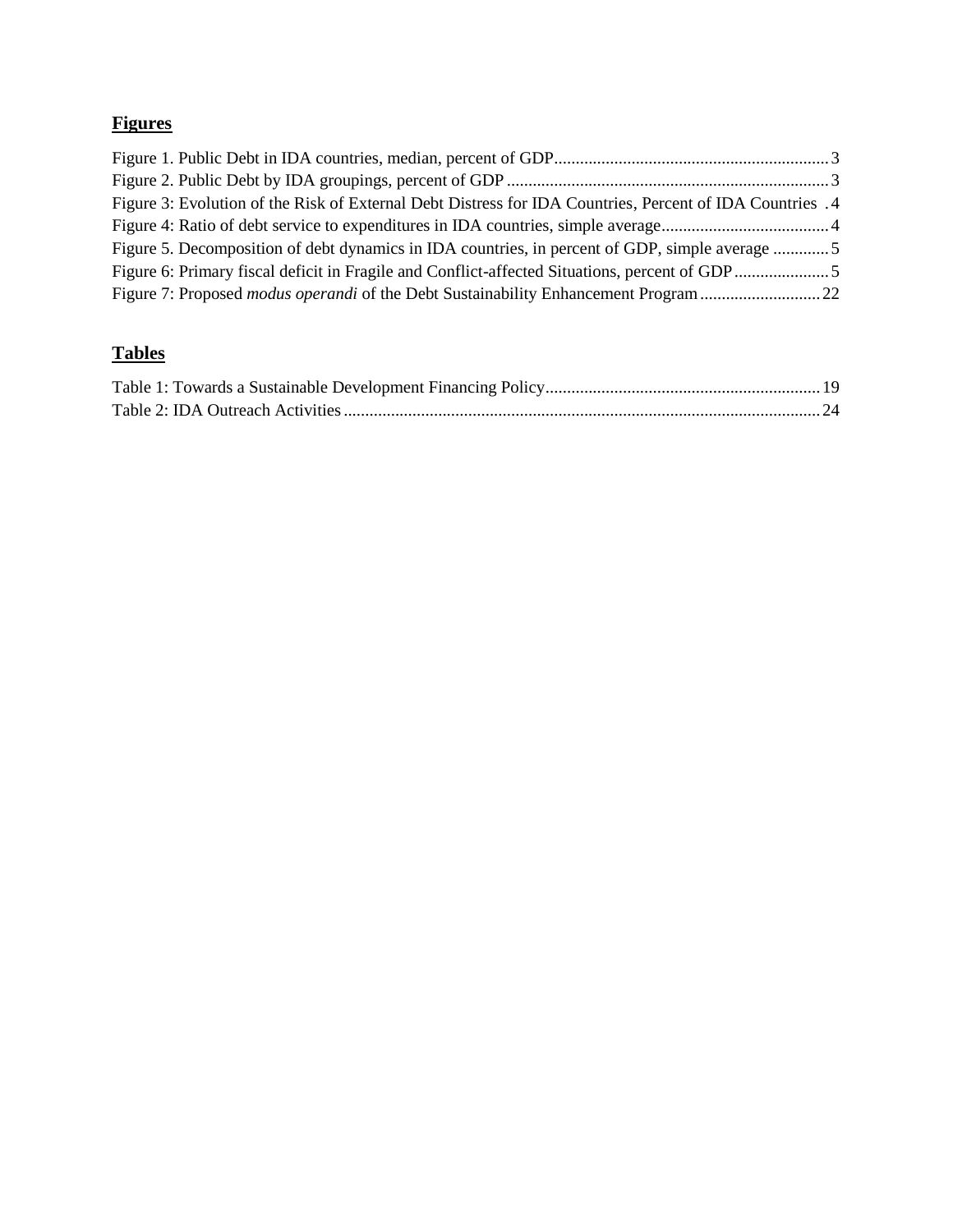# **Figures**

| Figure 3: Evolution of the Risk of External Debt Distress for IDA Countries, Percent of IDA Countries. 4 |  |
|----------------------------------------------------------------------------------------------------------|--|
|                                                                                                          |  |
| Figure 5. Decomposition of debt dynamics in IDA countries, in percent of GDP, simple average 5           |  |
|                                                                                                          |  |
| Figure 7: Proposed modus operandi of the Debt Sustainability Enhancement Program 22                      |  |

# **Tables**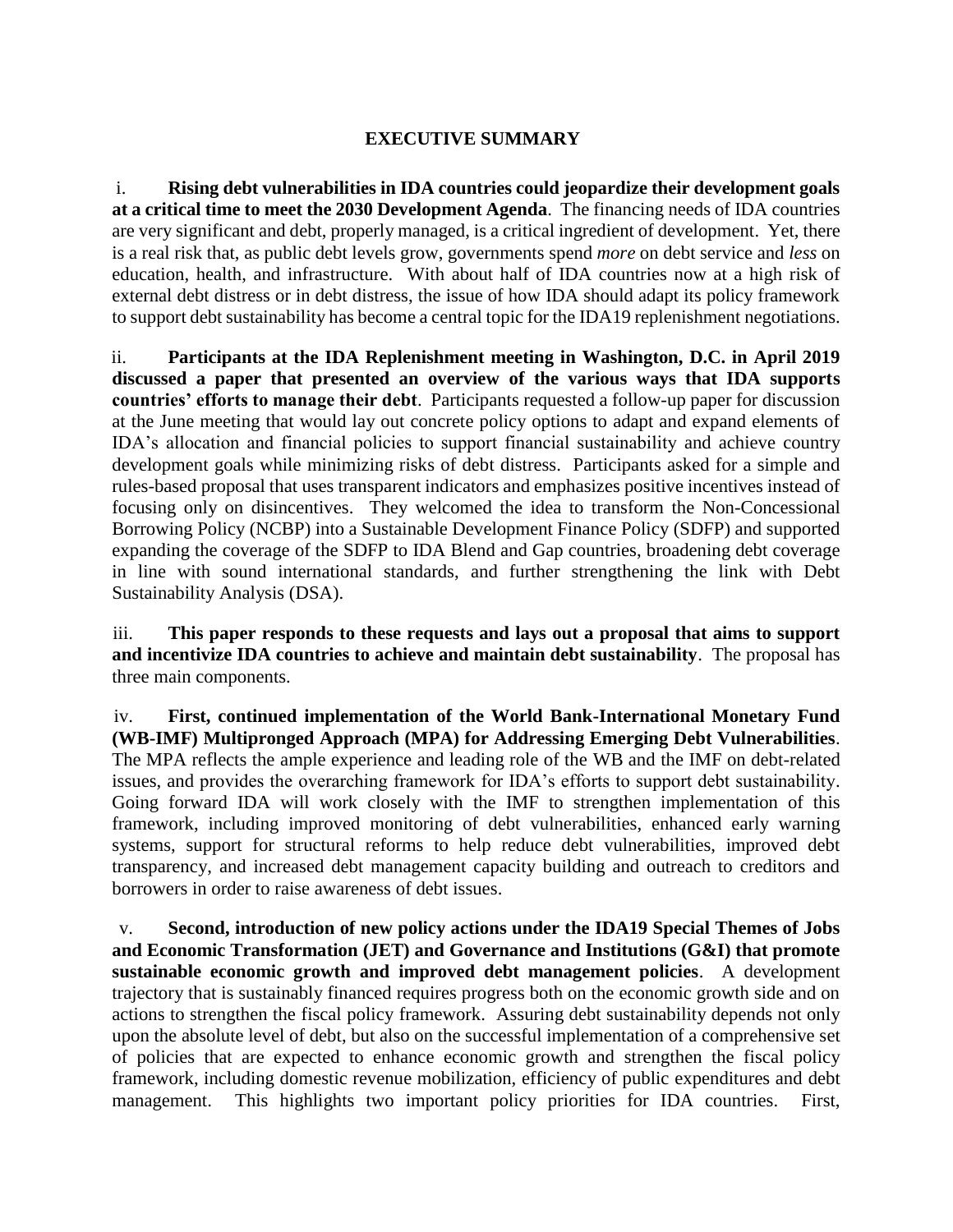#### **EXECUTIVE SUMMARY**

<span id="page-5-0"></span>i. **Rising debt vulnerabilities in IDA countries could jeopardize their development goals at a critical time to meet the 2030 Development Agenda**. The financing needs of IDA countries are very significant and debt, properly managed, is a critical ingredient of development. Yet, there is a real risk that, as public debt levels grow, governments spend *more* on debt service and *less* on education, health, and infrastructure. With about half of IDA countries now at a high risk of external debt distress or in debt distress, the issue of how IDA should adapt its policy framework to support debt sustainability has become a central topic for the IDA19 replenishment negotiations.

ii. **Participants at the IDA Replenishment meeting in Washington, D.C. in April 2019 discussed a paper that presented an overview of the various ways that IDA supports countries' efforts to manage their debt**. Participants requested a follow-up paper for discussion at the June meeting that would lay out concrete policy options to adapt and expand elements of IDA's allocation and financial policies to support financial sustainability and achieve country development goals while minimizing risks of debt distress. Participants asked for a simple and rules-based proposal that uses transparent indicators and emphasizes positive incentives instead of focusing only on disincentives. They welcomed the idea to transform the Non-Concessional Borrowing Policy (NCBP) into a Sustainable Development Finance Policy (SDFP) and supported expanding the coverage of the SDFP to IDA Blend and Gap countries, broadening debt coverage in line with sound international standards, and further strengthening the link with Debt Sustainability Analysis (DSA).

iii. **This paper responds to these requests and lays out a proposal that aims to support and incentivize IDA countries to achieve and maintain debt sustainability**. The proposal has three main components.

iv. **First, continued implementation of the World Bank-International Monetary Fund (WB-IMF) Multipronged Approach (MPA) for Addressing Emerging Debt Vulnerabilities**. The MPA reflects the ample experience and leading role of the WB and the IMF on debt-related issues, and provides the overarching framework for IDA's efforts to support debt sustainability. Going forward IDA will work closely with the IMF to strengthen implementation of this framework, including improved monitoring of debt vulnerabilities, enhanced early warning systems, support for structural reforms to help reduce debt vulnerabilities, improved debt transparency, and increased debt management capacity building and outreach to creditors and borrowers in order to raise awareness of debt issues.

v. **Second, introduction of new policy actions under the IDA19 Special Themes of Jobs and Economic Transformation (JET) and Governance and Institutions (G&I) that promote sustainable economic growth and improved debt management policies**. A development trajectory that is sustainably financed requires progress both on the economic growth side and on actions to strengthen the fiscal policy framework. Assuring debt sustainability depends not only upon the absolute level of debt, but also on the successful implementation of a comprehensive set of policies that are expected to enhance economic growth and strengthen the fiscal policy framework, including domestic revenue mobilization, efficiency of public expenditures and debt management. This highlights two important policy priorities for IDA countries. First,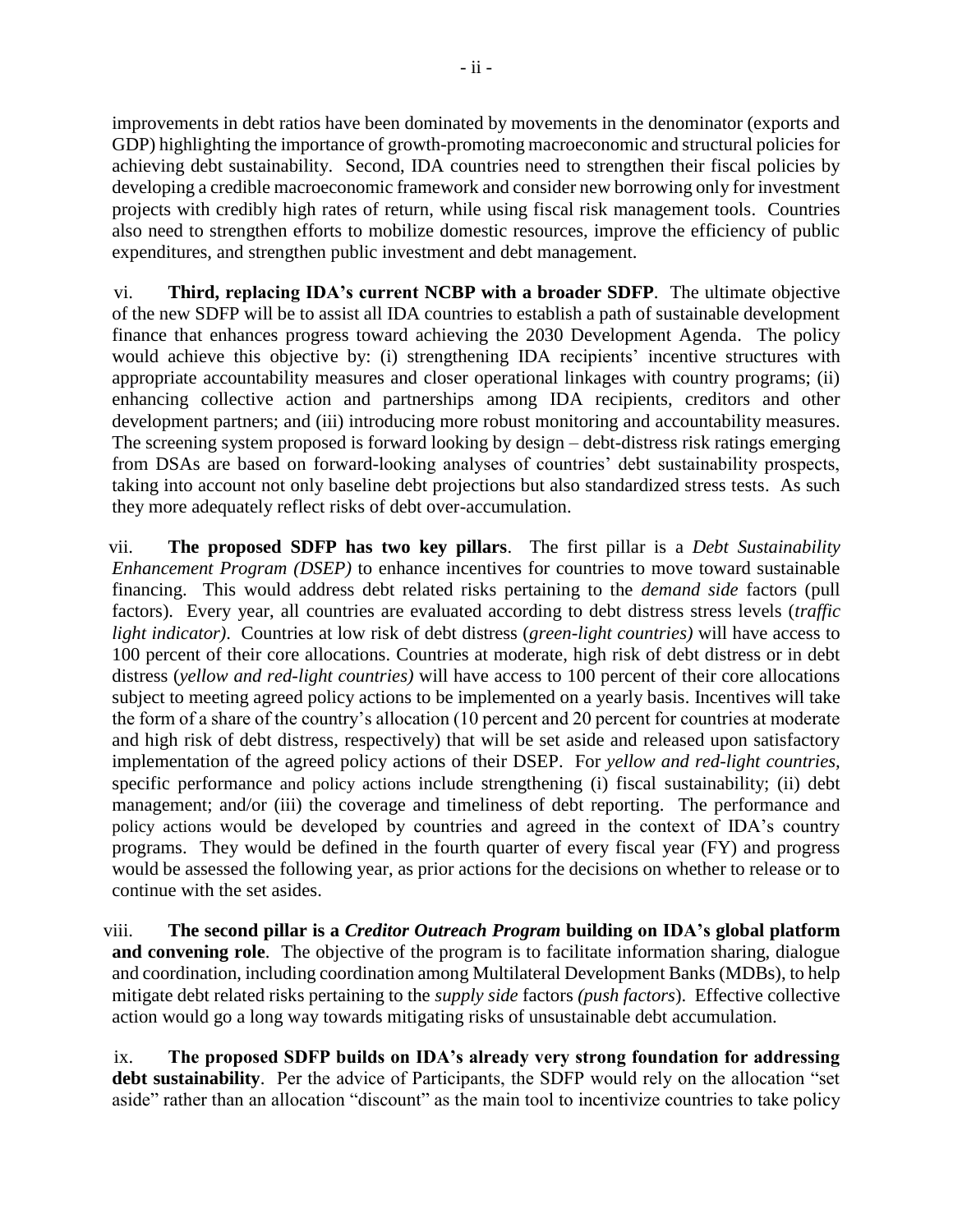improvements in debt ratios have been dominated by movements in the denominator (exports and GDP) highlighting the importance of growth-promoting macroeconomic and structural policies for achieving debt sustainability. Second, IDA countries need to strengthen their fiscal policies by developing a credible macroeconomic framework and consider new borrowing only for investment projects with credibly high rates of return, while using fiscal risk management tools. Countries also need to strengthen efforts to mobilize domestic resources, improve the efficiency of public expenditures, and strengthen public investment and debt management.

vi. **Third, replacing IDA's current NCBP with a broader SDFP**. The ultimate objective of the new SDFP will be to assist all IDA countries to establish a path of sustainable development finance that enhances progress toward achieving the 2030 Development Agenda. The policy would achieve this objective by: (i) strengthening IDA recipients' incentive structures with appropriate accountability measures and closer operational linkages with country programs; (ii) enhancing collective action and partnerships among IDA recipients, creditors and other development partners; and (iii) introducing more robust monitoring and accountability measures. The screening system proposed is forward looking by design – debt-distress risk ratings emerging from DSAs are based on forward-looking analyses of countries' debt sustainability prospects, taking into account not only baseline debt projections but also standardized stress tests. As such they more adequately reflect risks of debt over-accumulation.

vii. **The proposed SDFP has two key pillars**. The first pillar is a *Debt Sustainability Enhancement Program (DSEP)* to enhance incentives for countries to move toward sustainable financing. This would address debt related risks pertaining to the *demand side* factors (pull factors). Every year, all countries are evaluated according to debt distress stress levels (*traffic light indicator)*. Countries at low risk of debt distress (*green-light countries)* will have access to 100 percent of their core allocations. Countries at moderate, high risk of debt distress or in debt distress (*yellow and red-light countries)* will have access to 100 percent of their core allocations subject to meeting agreed policy actions to be implemented on a yearly basis. Incentives will take the form of a share of the country's allocation (10 percent and 20 percent for countries at moderate and high risk of debt distress, respectively) that will be set aside and released upon satisfactory implementation of the agreed policy actions of their DSEP. For *yellow and red-light countries,* specific performance and policy actions include strengthening (i) fiscal sustainability; (ii) debt management; and/or (iii) the coverage and timeliness of debt reporting. The performance and policy actions would be developed by countries and agreed in the context of IDA's country programs. They would be defined in the fourth quarter of every fiscal year (FY) and progress would be assessed the following year, as prior actions for the decisions on whether to release or to continue with the set asides.

viii. **The second pillar is a** *Creditor Outreach Program* **building on IDA's global platform and convening role**. The objective of the program is to facilitate information sharing, dialogue and coordination, including coordination among Multilateral Development Banks (MDBs), to help mitigate debt related risks pertaining to the *supply side* factors *(push factors*). Effective collective action would go a long way towards mitigating risks of unsustainable debt accumulation.

ix. **The proposed SDFP builds on IDA's already very strong foundation for addressing debt sustainability**. Per the advice of Participants, the SDFP would rely on the allocation "set aside" rather than an allocation "discount" as the main tool to incentivize countries to take policy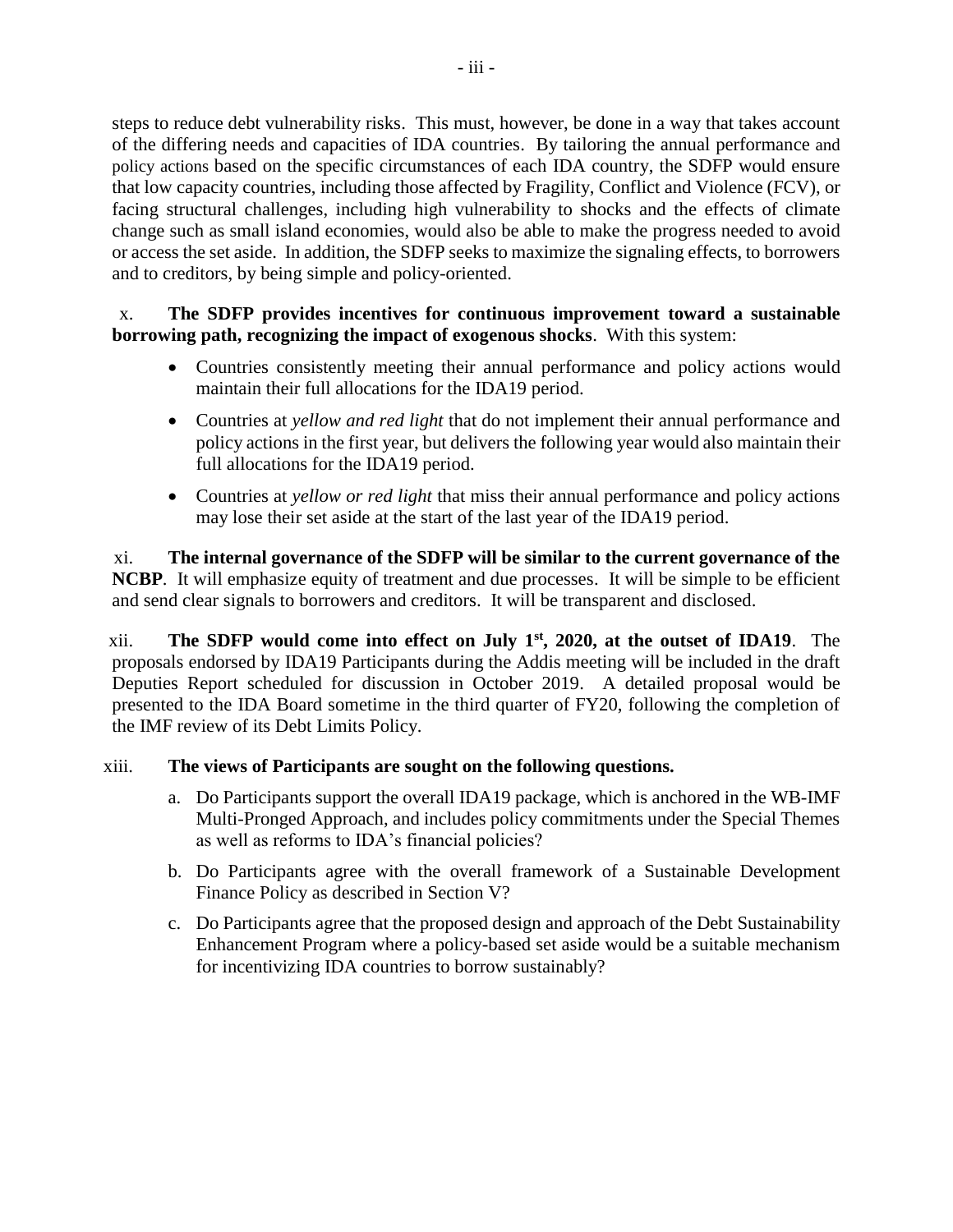steps to reduce debt vulnerability risks. This must, however, be done in a way that takes account of the differing needs and capacities of IDA countries. By tailoring the annual performance and policy actions based on the specific circumstances of each IDA country, the SDFP would ensure that low capacity countries, including those affected by Fragility, Conflict and Violence (FCV), or facing structural challenges, including high vulnerability to shocks and the effects of climate change such as small island economies, would also be able to make the progress needed to avoid or access the set aside. In addition, the SDFP seeks to maximize the signaling effects, to borrowers and to creditors, by being simple and policy-oriented.

#### x. **The SDFP provides incentives for continuous improvement toward a sustainable borrowing path, recognizing the impact of exogenous shocks**. With this system:

- Countries consistently meeting their annual performance and policy actions would maintain their full allocations for the IDA19 period.
- Countries at *yellow and red light* that do not implement their annual performance and policy actions in the first year, but delivers the following year would also maintain their full allocations for the IDA19 period.
- Countries at *yellow or red light* that miss their annual performance and policy actions may lose their set aside at the start of the last year of the IDA19 period.

xi. **The internal governance of the SDFP will be similar to the current governance of the NCBP**. It will emphasize equity of treatment and due processes. It will be simple to be efficient and send clear signals to borrowers and creditors. It will be transparent and disclosed.

xii. **The SDFP would come into effect on July 1st, 2020, at the outset of IDA19**. The proposals endorsed by IDA19 Participants during the Addis meeting will be included in the draft Deputies Report scheduled for discussion in October 2019. A detailed proposal would be presented to the IDA Board sometime in the third quarter of FY20, following the completion of the IMF review of its Debt Limits Policy.

#### xiii. **The views of Participants are sought on the following questions.**

- a. Do Participants support the overall IDA19 package, which is anchored in the WB-IMF Multi-Pronged Approach, and includes policy commitments under the Special Themes as well as reforms to IDA's financial policies?
- b. Do Participants agree with the overall framework of a Sustainable Development Finance Policy as described in Section V?
- c. Do Participants agree that the proposed design and approach of the Debt Sustainability Enhancement Program where a policy-based set aside would be a suitable mechanism for incentivizing IDA countries to borrow sustainably?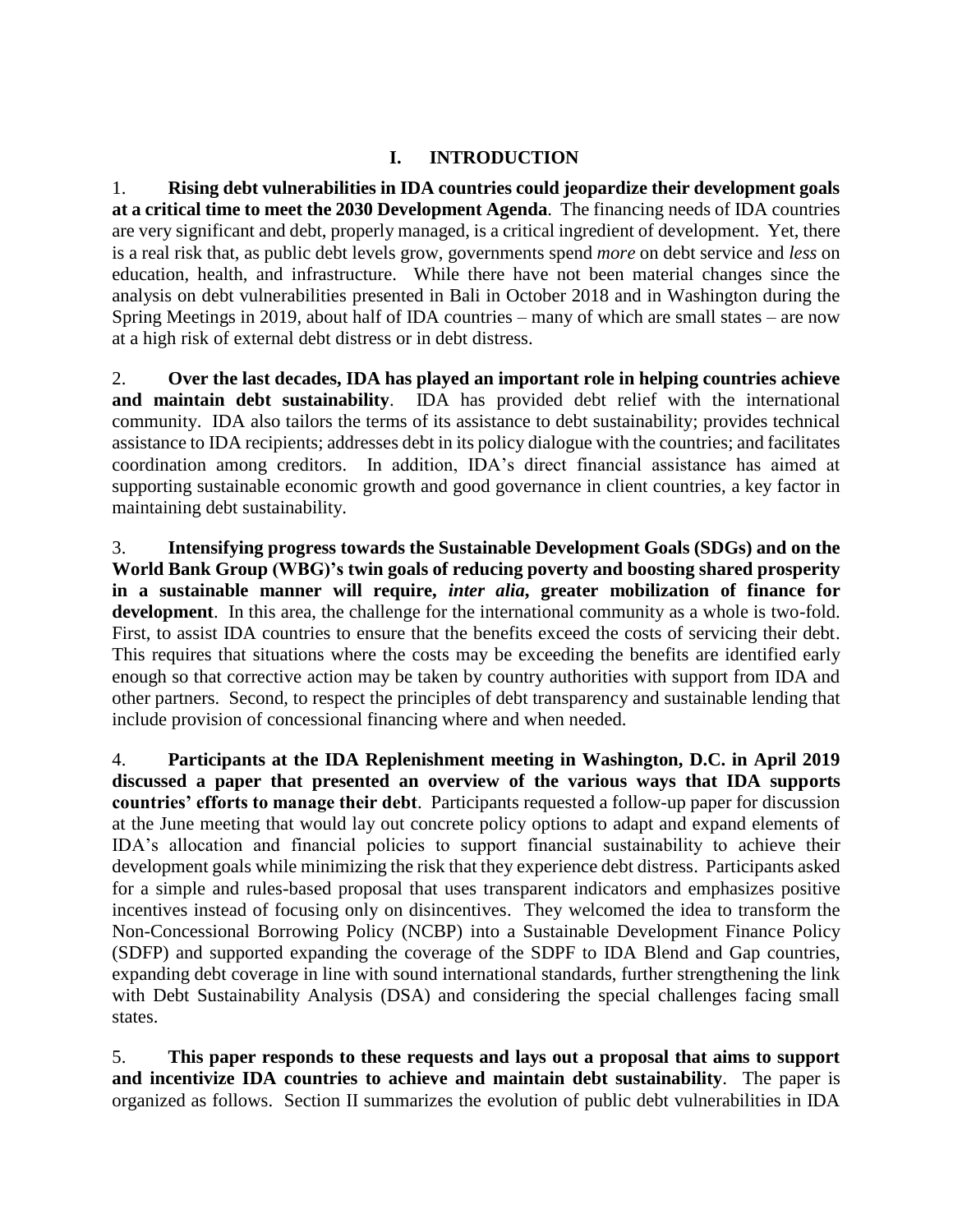## **I. INTRODUCTION**

<span id="page-8-0"></span>1. **Rising debt vulnerabilities in IDA countries could jeopardize their development goals at a critical time to meet the 2030 Development Agenda**. The financing needs of IDA countries are very significant and debt, properly managed, is a critical ingredient of development. Yet, there is a real risk that, as public debt levels grow, governments spend *more* on debt service and *less* on education, health, and infrastructure. While there have not been material changes since the analysis on debt vulnerabilities presented in Bali in October 2018 and in Washington during the Spring Meetings in 2019, about half of IDA countries – many of which are small states – are now at a high risk of external debt distress or in debt distress.

2. **Over the last decades, IDA has played an important role in helping countries achieve and maintain debt sustainability**. IDA has provided debt relief with the international community. IDA also tailors the terms of its assistance to debt sustainability; provides technical assistance to IDA recipients; addresses debt in its policy dialogue with the countries; and facilitates coordination among creditors. In addition, IDA's direct financial assistance has aimed at supporting sustainable economic growth and good governance in client countries, a key factor in maintaining debt sustainability.

3. **Intensifying progress towards the Sustainable Development Goals (SDGs) and on the World Bank Group (WBG)'s twin goals of reducing poverty and boosting shared prosperity in a sustainable manner will require,** *inter alia***, greater mobilization of finance for development**. In this area, the challenge for the international community as a whole is two-fold. First, to assist IDA countries to ensure that the benefits exceed the costs of servicing their debt. This requires that situations where the costs may be exceeding the benefits are identified early enough so that corrective action may be taken by country authorities with support from IDA and other partners. Second, to respect the principles of debt transparency and sustainable lending that include provision of concessional financing where and when needed.

4. **Participants at the IDA Replenishment meeting in Washington, D.C. in April 2019 discussed a paper that presented an overview of the various ways that IDA supports countries' efforts to manage their debt**. Participants requested a follow-up paper for discussion at the June meeting that would lay out concrete policy options to adapt and expand elements of IDA's allocation and financial policies to support financial sustainability to achieve their development goals while minimizing the risk that they experience debt distress. Participants asked for a simple and rules-based proposal that uses transparent indicators and emphasizes positive incentives instead of focusing only on disincentives. They welcomed the idea to transform the Non-Concessional Borrowing Policy (NCBP) into a Sustainable Development Finance Policy (SDFP) and supported expanding the coverage of the SDPF to IDA Blend and Gap countries, expanding debt coverage in line with sound international standards, further strengthening the link with Debt Sustainability Analysis (DSA) and considering the special challenges facing small states.

5. **This paper responds to these requests and lays out a proposal that aims to support and incentivize IDA countries to achieve and maintain debt sustainability**. The paper is organized as follows. Section II summarizes the evolution of public debt vulnerabilities in IDA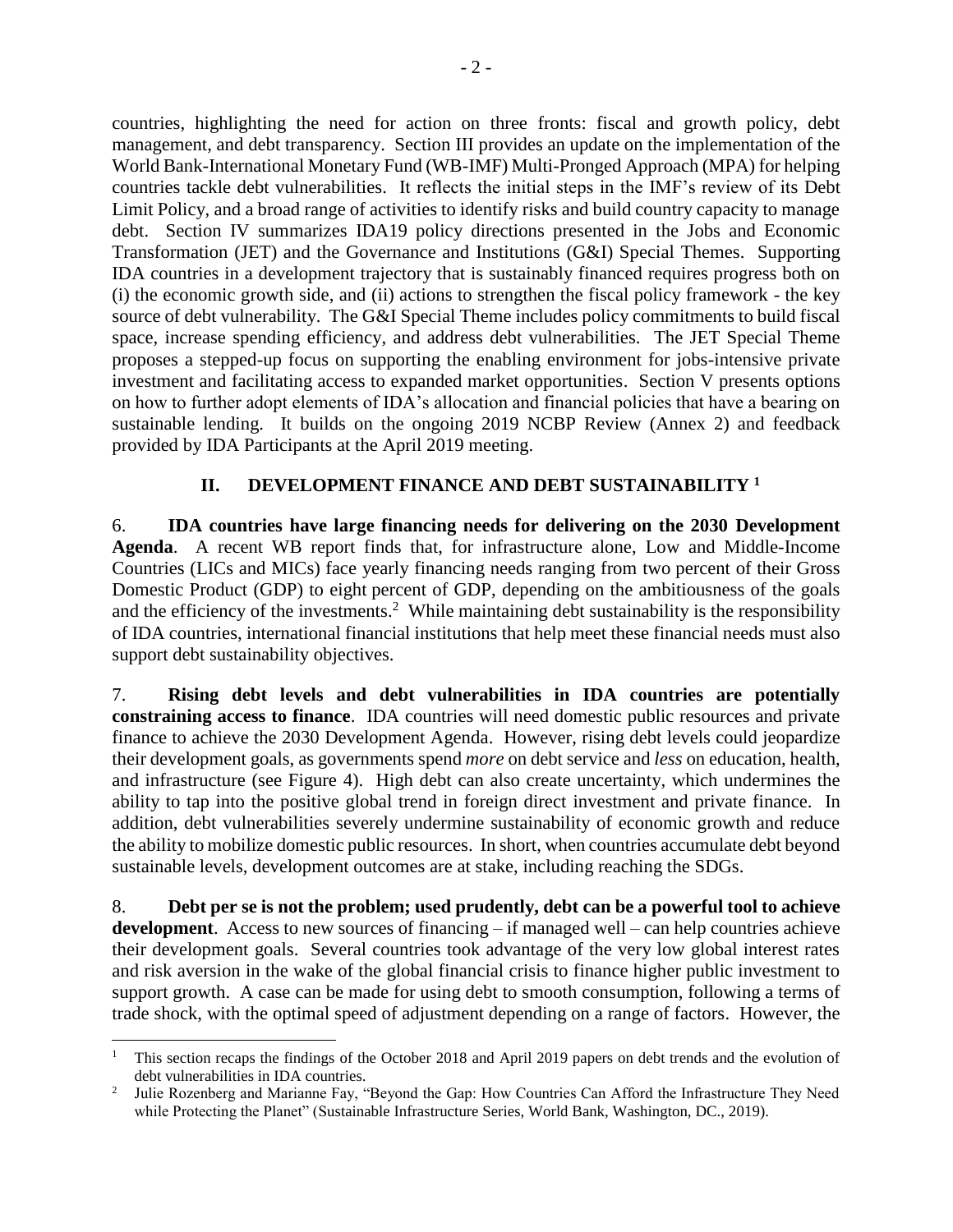countries, highlighting the need for action on three fronts: fiscal and growth policy, debt management, and debt transparency. Section III provides an update on the implementation of the World Bank-International Monetary Fund (WB-IMF) Multi-Pronged Approach (MPA) for helping countries tackle debt vulnerabilities. It reflects the initial steps in the IMF's review of its Debt Limit Policy, and a broad range of activities to identify risks and build country capacity to manage debt. Section IV summarizes IDA19 policy directions presented in the Jobs and Economic Transformation (JET) and the Governance and Institutions (G&I) Special Themes. Supporting IDA countries in a development trajectory that is sustainably financed requires progress both on (i) the economic growth side, and (ii) actions to strengthen the fiscal policy framework - the key source of debt vulnerability. The G&I Special Theme includes policy commitments to build fiscal space, increase spending efficiency, and address debt vulnerabilities. The JET Special Theme proposes a stepped-up focus on supporting the enabling environment for jobs-intensive private investment and facilitating access to expanded market opportunities. Section V presents options on how to further adopt elements of IDA's allocation and financial policies that have a bearing on sustainable lending. It builds on the ongoing 2019 NCBP Review (Annex 2) and feedback provided by IDA Participants at the April 2019 meeting.

## **II. DEVELOPMENT FINANCE AND DEBT SUSTAINABILITY <sup>1</sup>**

<span id="page-9-0"></span>6. **IDA countries have large financing needs for delivering on the 2030 Development Agenda**. A recent WB report finds that, for infrastructure alone, Low and Middle-Income Countries (LICs and MICs) face yearly financing needs ranging from two percent of their Gross Domestic Product (GDP) to eight percent of GDP, depending on the ambitiousness of the goals and the efficiency of the investments.<sup>2</sup> While maintaining debt sustainability is the responsibility of IDA countries, international financial institutions that help meet these financial needs must also support debt sustainability objectives.

7. **Rising debt levels and debt vulnerabilities in IDA countries are potentially constraining access to finance**. IDA countries will need domestic public resources and private finance to achieve the 2030 Development Agenda. However, rising debt levels could jeopardize their development goals, as governments spend *more* on debt service and *less* on education, health, and infrastructure (see Figure 4). High debt can also create uncertainty, which undermines the ability to tap into the positive global trend in foreign direct investment and private finance. In addition, debt vulnerabilities severely undermine sustainability of economic growth and reduce the ability to mobilize domestic public resources. In short, when countries accumulate debt beyond sustainable levels, development outcomes are at stake, including reaching the SDGs.

8. **Debt per se is not the problem; used prudently, debt can be a powerful tool to achieve development**. Access to new sources of financing – if managed well – can help countries achieve their development goals. Several countries took advantage of the very low global interest rates and risk aversion in the wake of the global financial crisis to finance higher public investment to support growth. A case can be made for using debt to smooth consumption, following a terms of trade shock, with the optimal speed of adjustment depending on a range of factors. However, the

 $\overline{a}$ 

<sup>&</sup>lt;sup>1</sup> This section recaps the findings of the October 2018 and April 2019 papers on debt trends and the evolution of debt vulnerabilities in IDA countries.

<sup>2</sup> Julie Rozenberg and Marianne Fay, "Beyond the Gap: How Countries Can Afford the Infrastructure They Need while Protecting the Planet" (Sustainable Infrastructure Series, World Bank, Washington, DC., 2019).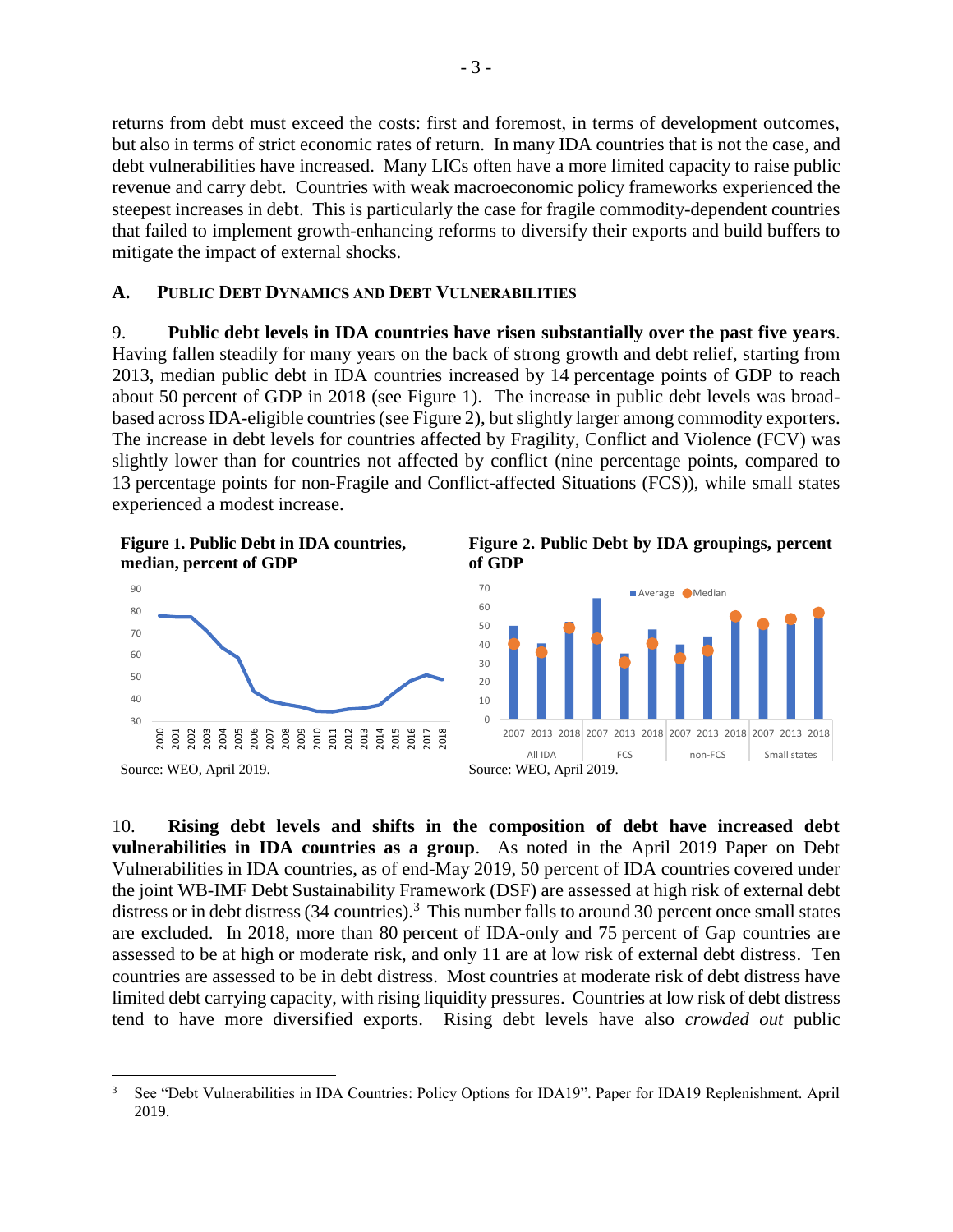returns from debt must exceed the costs: first and foremost, in terms of development outcomes, but also in terms of strict economic rates of return. In many IDA countries that is not the case, and debt vulnerabilities have increased. Many LICs often have a more limited capacity to raise public revenue and carry debt. Countries with weak macroeconomic policy frameworks experienced the steepest increases in debt. This is particularly the case for fragile commodity-dependent countries that failed to implement growth-enhancing reforms to diversify their exports and build buffers to mitigate the impact of external shocks.

#### <span id="page-10-0"></span>**A. PUBLIC DEBT DYNAMICS AND DEBT VULNERABILITIES**

9. **Public debt levels in IDA countries have risen substantially over the past five years**. Having fallen steadily for many years on the back of strong growth and debt relief, starting from 2013, median public debt in IDA countries increased by 14 percentage points of GDP to reach about 50 percent of GDP in 2018 (see Figure 1). The increase in public debt levels was broadbased across IDA-eligible countries (see Figure 2), but slightly larger among commodity exporters. The increase in debt levels for countries affected by Fragility, Conflict and Violence (FCV) was slightly lower than for countries not affected by conflict (nine percentage points, compared to 13 percentage points for non-Fragile and Conflict-affected Situations (FCS)), while small states experienced a modest increase.

<span id="page-10-1"></span>

 $\overline{a}$ 

<span id="page-10-2"></span>



10. **Rising debt levels and shifts in the composition of debt have increased debt vulnerabilities in IDA countries as a group**. As noted in the April 2019 Paper on Debt Vulnerabilities in IDA countries, as of end-May 2019, 50 percent of IDA countries covered under the joint WB-IMF Debt Sustainability Framework (DSF) are assessed at high risk of external debt distress or in debt distress (34 countries).<sup>3</sup> This number falls to around 30 percent once small states are excluded. In 2018, more than 80 percent of IDA-only and 75 percent of Gap countries are assessed to be at high or moderate risk, and only 11 are at low risk of external debt distress. Ten countries are assessed to be in debt distress. Most countries at moderate risk of debt distress have limited debt carrying capacity, with rising liquidity pressures. Countries at low risk of debt distress tend to have more diversified exports. Rising debt levels have also *crowded out* public

<sup>&</sup>lt;sup>3</sup> See "Debt Vulnerabilities in IDA Countries: Policy Options for IDA19". Paper for IDA19 Replenishment. April 2019.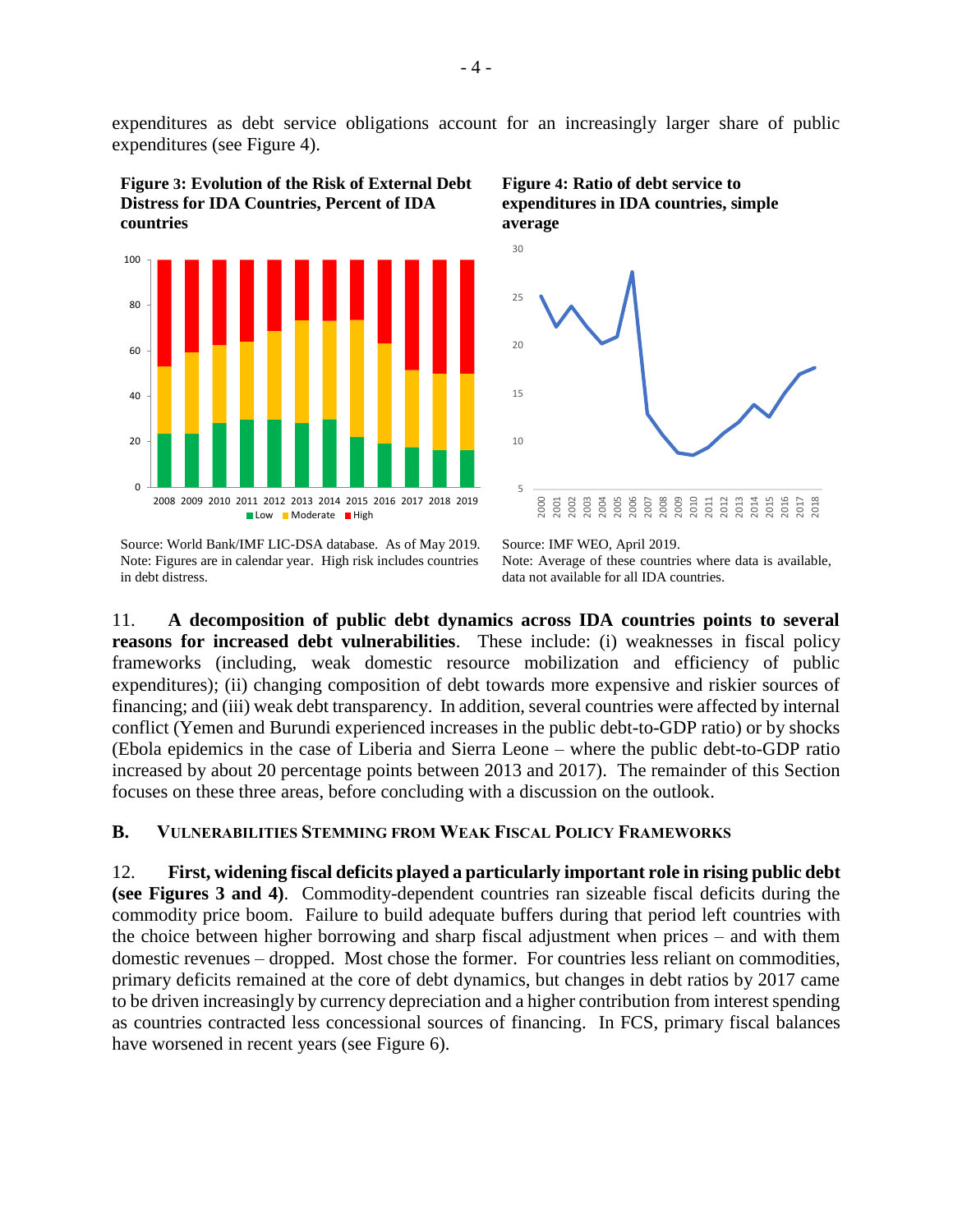expenditures as debt service obligations account for an increasingly larger share of public expenditures (see Figure 4).

<span id="page-11-1"></span>**Figure 3: Evolution of the Risk of External Debt Distress for IDA Countries, Percent of IDA countries**



Source: World Bank/IMF LIC-DSA database. As of May 2019. Note: Figures are in calendar year. High risk includes countries in debt distress.

<span id="page-11-2"></span>



Source: IMF WEO, April 2019. Note: Average of these countries where data is available, data not available for all IDA countries.

11. **A decomposition of public debt dynamics across IDA countries points to several reasons for increased debt vulnerabilities**. These include: (i) weaknesses in fiscal policy frameworks (including, weak domestic resource mobilization and efficiency of public expenditures); (ii) changing composition of debt towards more expensive and riskier sources of financing; and (iii) weak debt transparency. In addition, several countries were affected by internal conflict (Yemen and Burundi experienced increases in the public debt-to-GDP ratio) or by shocks (Ebola epidemics in the case of Liberia and Sierra Leone – where the public debt-to-GDP ratio increased by about 20 percentage points between 2013 and 2017). The remainder of this Section focuses on these three areas, before concluding with a discussion on the outlook.

#### <span id="page-11-0"></span>**B. VULNERABILITIES STEMMING FROM WEAK FISCAL POLICY FRAMEWORKS**

12. **First, widening fiscal deficits played a particularly important role in rising public debt (see Figures 3 and 4)**. Commodity-dependent countries ran sizeable fiscal deficits during the commodity price boom. Failure to build adequate buffers during that period left countries with the choice between higher borrowing and sharp fiscal adjustment when prices – and with them domestic revenues – dropped. Most chose the former. For countries less reliant on commodities, primary deficits remained at the core of debt dynamics, but changes in debt ratios by 2017 came to be driven increasingly by currency depreciation and a higher contribution from interest spending as countries contracted less concessional sources of financing. In FCS, primary fiscal balances have worsened in recent years (see Figure 6).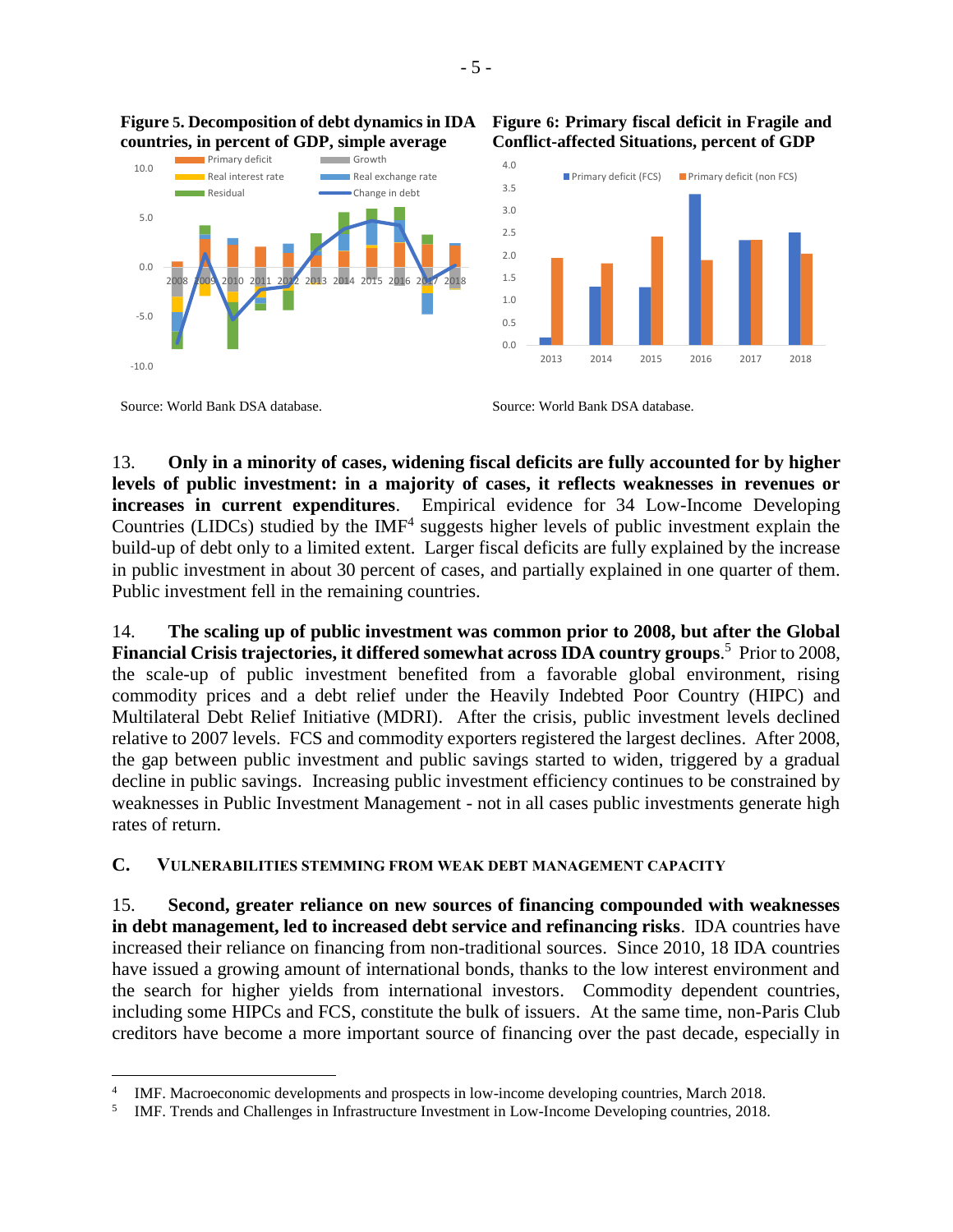

<span id="page-12-1"></span>**Figure 5. Decomposition of debt dynamics in IDA countries, in percent of GDP, simple average**

<span id="page-12-2"></span>**Figure 6: Primary fiscal deficit in Fragile and Conflict-affected Situations, percent of GDP**



Source: World Bank DSA database. Source: World Bank DSA database.

 $\overline{a}$ 

13. **Only in a minority of cases, widening fiscal deficits are fully accounted for by higher levels of public investment: in a majority of cases, it reflects weaknesses in revenues or increases in current expenditures**. Empirical evidence for 34 Low-Income Developing Countries (LIDCs) studied by the  $IMF<sup>4</sup>$  suggests higher levels of public investment explain the build-up of debt only to a limited extent. Larger fiscal deficits are fully explained by the increase in public investment in about 30 percent of cases, and partially explained in one quarter of them. Public investment fell in the remaining countries.

14. **The scaling up of public investment was common prior to 2008, but after the Global Financial Crisis trajectories, it differed somewhat across IDA country groups**. 5 Prior to 2008, the scale-up of public investment benefited from a favorable global environment, rising commodity prices and a debt relief under the Heavily Indebted Poor Country (HIPC) and Multilateral Debt Relief Initiative (MDRI). After the crisis, public investment levels declined relative to 2007 levels. FCS and commodity exporters registered the largest declines. After 2008, the gap between public investment and public savings started to widen, triggered by a gradual decline in public savings. Increasing public investment efficiency continues to be constrained by weaknesses in Public Investment Management - not in all cases public investments generate high rates of return.

#### <span id="page-12-0"></span>**C. VULNERABILITIES STEMMING FROM WEAK DEBT MANAGEMENT CAPACITY**

15. **Second, greater reliance on new sources of financing compounded with weaknesses in debt management, led to increased debt service and refinancing risks**. IDA countries have increased their reliance on financing from non-traditional sources. Since 2010, 18 IDA countries have issued a growing amount of international bonds, thanks to the low interest environment and the search for higher yields from international investors. Commodity dependent countries, including some HIPCs and FCS, constitute the bulk of issuers. At the same time, non-Paris Club creditors have become a more important source of financing over the past decade, especially in

<sup>4</sup> IMF. Macroeconomic developments and prospects in low-income developing countries, March 2018.

<sup>5</sup> IMF. Trends and Challenges in Infrastructure Investment in Low-Income Developing countries, 2018.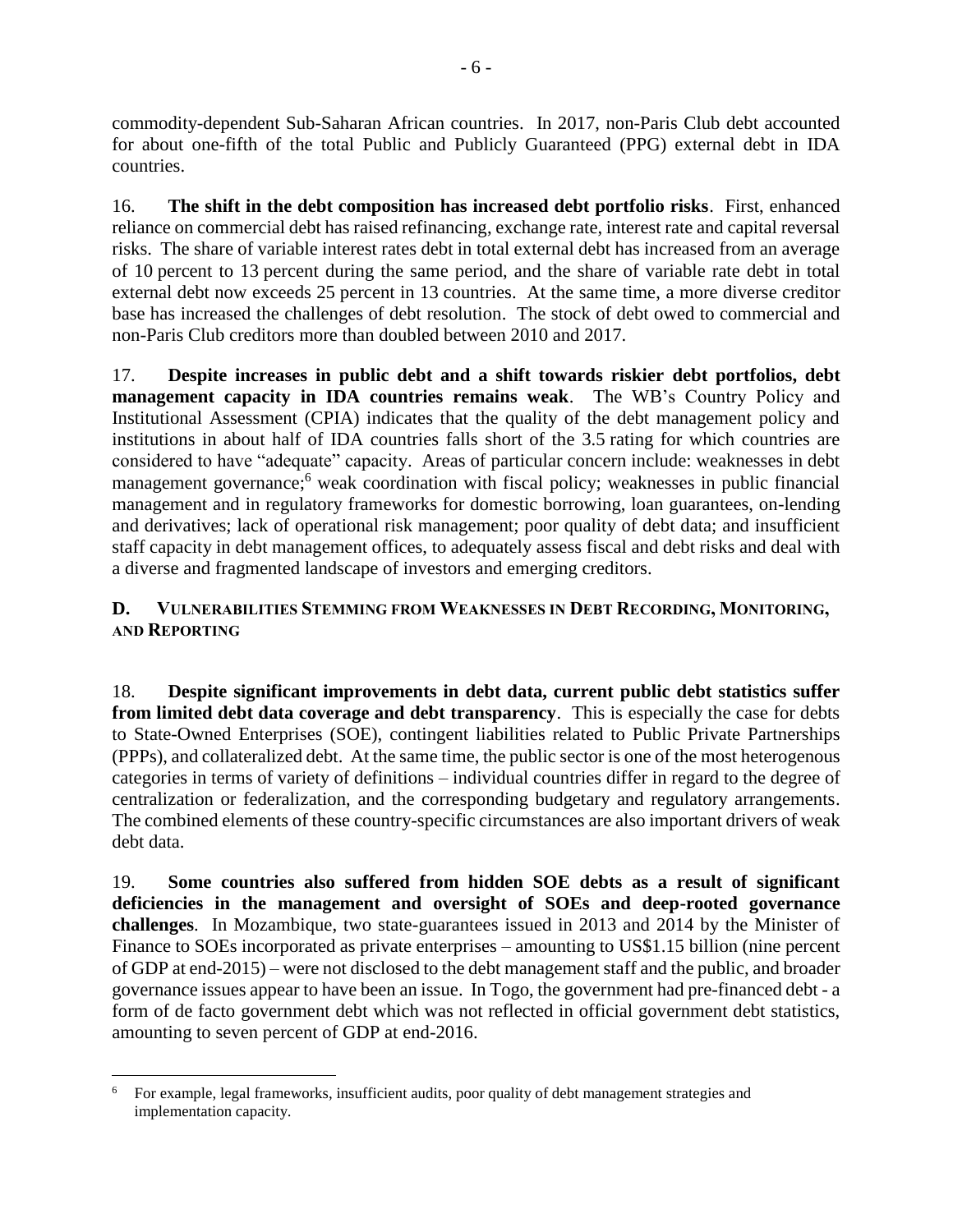commodity-dependent Sub-Saharan African countries. In 2017, non-Paris Club debt accounted for about one-fifth of the total Public and Publicly Guaranteed (PPG) external debt in IDA countries.

16. **The shift in the debt composition has increased debt portfolio risks**. First, enhanced reliance on commercial debt has raised refinancing, exchange rate, interest rate and capital reversal risks. The share of variable interest rates debt in total external debt has increased from an average of 10 percent to 13 percent during the same period, and the share of variable rate debt in total external debt now exceeds 25 percent in 13 countries. At the same time, a more diverse creditor base has increased the challenges of debt resolution. The stock of debt owed to commercial and non-Paris Club creditors more than doubled between 2010 and 2017.

17. **Despite increases in public debt and a shift towards riskier debt portfolios, debt management capacity in IDA countries remains weak**. The WB's Country Policy and Institutional Assessment (CPIA) indicates that the quality of the debt management policy and institutions in about half of IDA countries falls short of the 3.5 rating for which countries are considered to have "adequate" capacity. Areas of particular concern include: weaknesses in debt management governance;<sup>6</sup> weak coordination with fiscal policy; weaknesses in public financial management and in regulatory frameworks for domestic borrowing, loan guarantees, on-lending and derivatives; lack of operational risk management; poor quality of debt data; and insufficient staff capacity in debt management offices, to adequately assess fiscal and debt risks and deal with a diverse and fragmented landscape of investors and emerging creditors.

## <span id="page-13-0"></span>**D. VULNERABILITIES STEMMING FROM WEAKNESSES IN DEBT RECORDING, MONITORING, AND REPORTING**

18. **Despite significant improvements in debt data, current public debt statistics suffer from limited debt data coverage and debt transparency**. This is especially the case for debts to State-Owned Enterprises (SOE), contingent liabilities related to Public Private Partnerships (PPPs), and collateralized debt. At the same time, the public sector is one of the most heterogenous categories in terms of variety of definitions – individual countries differ in regard to the degree of centralization or federalization, and the corresponding budgetary and regulatory arrangements. The combined elements of these country-specific circumstances are also important drivers of weak debt data.

19. **Some countries also suffered from hidden SOE debts as a result of significant deficiencies in the management and oversight of SOEs and deep-rooted governance challenges**. In Mozambique, two state-guarantees issued in 2013 and 2014 by the Minister of Finance to SOEs incorporated as private enterprises – amounting to US\$1.15 billion (nine percent of GDP at end-2015) – were not disclosed to the debt management staff and the public, and broader governance issues appear to have been an issue. In Togo, the government had pre-financed debt - a form of de facto government debt which was not reflected in official government debt statistics, amounting to seven percent of GDP at end-2016.

 $\overline{a}$ <sup>6</sup> For example, legal frameworks, insufficient audits, poor quality of debt management strategies and implementation capacity.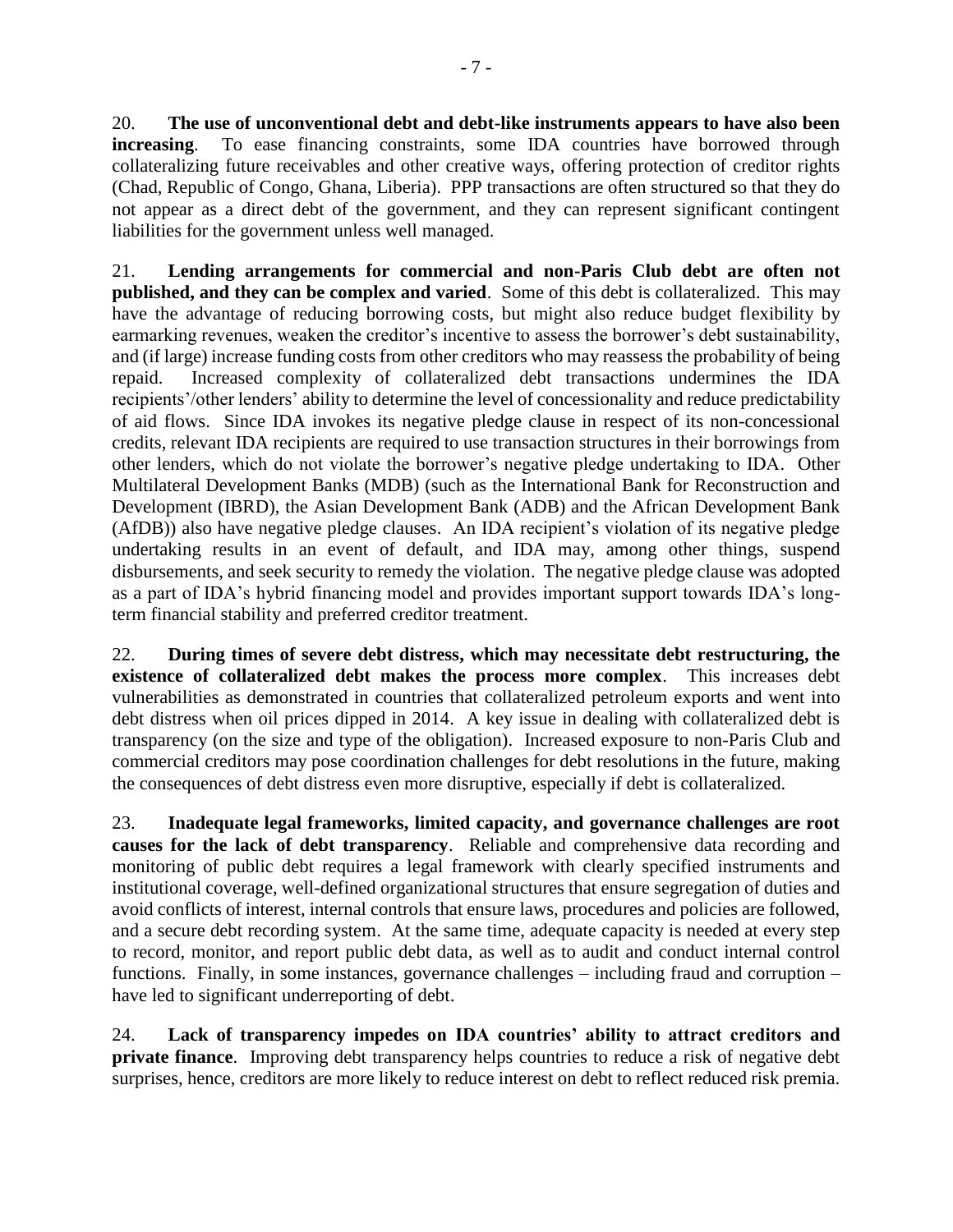20. **The use of unconventional debt and debt-like instruments appears to have also been increasing**. To ease financing constraints, some IDA countries have borrowed through collateralizing future receivables and other creative ways, offering protection of creditor rights (Chad, Republic of Congo, Ghana, Liberia). PPP transactions are often structured so that they do not appear as a direct debt of the government, and they can represent significant contingent liabilities for the government unless well managed.

21. **Lending arrangements for commercial and non-Paris Club debt are often not published, and they can be complex and varied**. Some of this debt is collateralized. This may have the advantage of reducing borrowing costs, but might also reduce budget flexibility by earmarking revenues, weaken the creditor's incentive to assess the borrower's debt sustainability, and (if large) increase funding costs from other creditors who may reassess the probability of being repaid. Increased complexity of collateralized debt transactions undermines the IDA recipients'/other lenders' ability to determine the level of concessionality and reduce predictability of aid flows. Since IDA invokes its negative pledge clause in respect of its non-concessional credits, relevant IDA recipients are required to use transaction structures in their borrowings from other lenders, which do not violate the borrower's negative pledge undertaking to IDA. Other Multilateral Development Banks (MDB) (such as the International Bank for Reconstruction and Development (IBRD), the Asian Development Bank (ADB) and the African Development Bank (AfDB)) also have negative pledge clauses. An IDA recipient's violation of its negative pledge undertaking results in an event of default, and IDA may, among other things, suspend disbursements, and seek security to remedy the violation. The negative pledge clause was adopted as a part of IDA's hybrid financing model and provides important support towards IDA's longterm financial stability and preferred creditor treatment.

22. **During times of severe debt distress, which may necessitate debt restructuring, the existence of collateralized debt makes the process more complex**. This increases debt vulnerabilities as demonstrated in countries that collateralized petroleum exports and went into debt distress when oil prices dipped in 2014. A key issue in dealing with collateralized debt is transparency (on the size and type of the obligation). Increased exposure to non-Paris Club and commercial creditors may pose coordination challenges for debt resolutions in the future, making the consequences of debt distress even more disruptive, especially if debt is collateralized.

23. **Inadequate legal frameworks, limited capacity, and governance challenges are root causes for the lack of debt transparency**. Reliable and comprehensive data recording and monitoring of public debt requires a legal framework with clearly specified instruments and institutional coverage, well-defined organizational structures that ensure segregation of duties and avoid conflicts of interest, internal controls that ensure laws, procedures and policies are followed, and a secure debt recording system. At the same time, adequate capacity is needed at every step to record, monitor, and report public debt data, as well as to audit and conduct internal control functions. Finally, in some instances, governance challenges – including fraud and corruption – have led to significant underreporting of debt.

24. **Lack of transparency impedes on IDA countries' ability to attract creditors and private finance**. Improving debt transparency helps countries to reduce a risk of negative debt surprises, hence, creditors are more likely to reduce interest on debt to reflect reduced risk premia.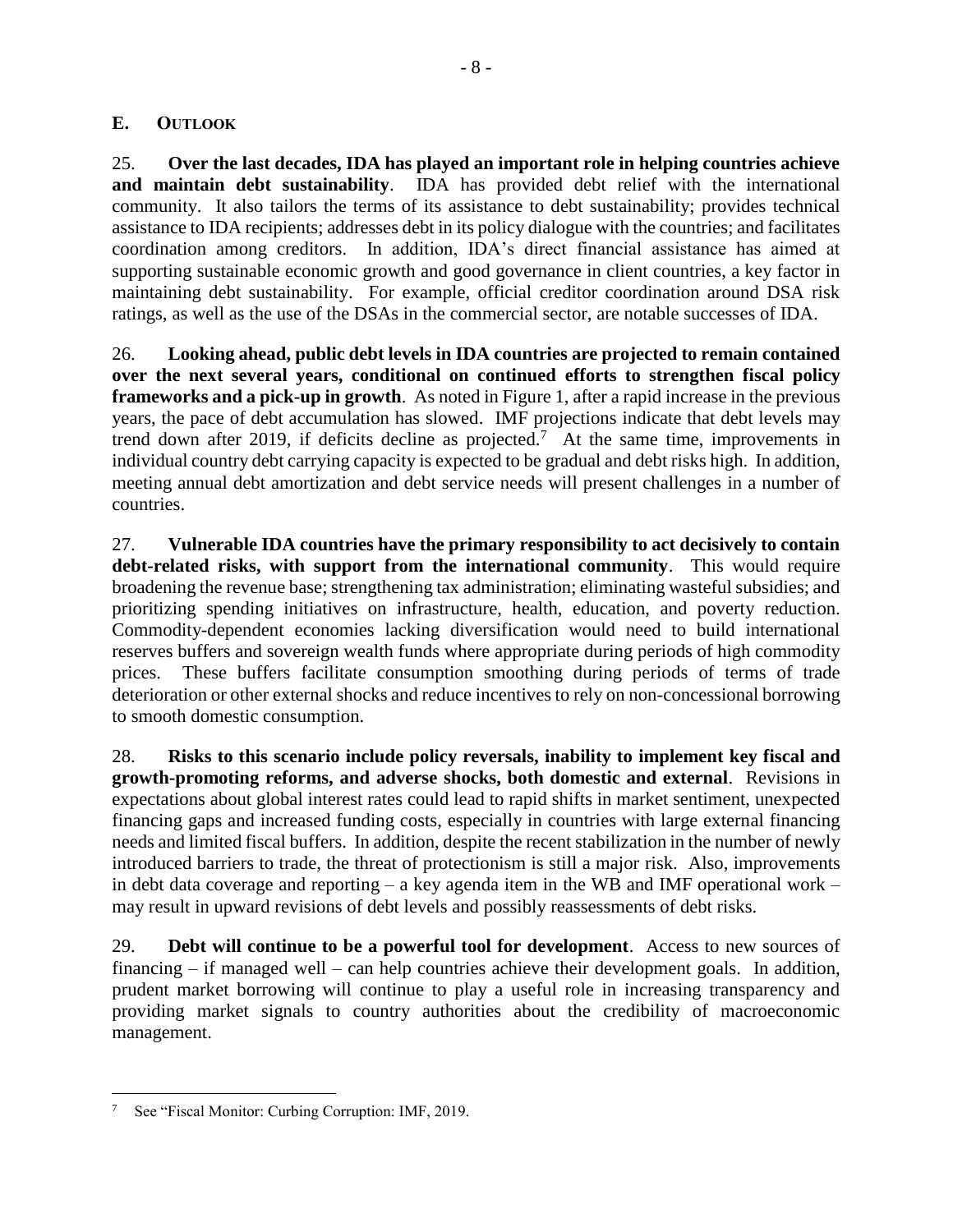#### <span id="page-15-0"></span>**E. OUTLOOK**

25. **Over the last decades, IDA has played an important role in helping countries achieve and maintain debt sustainability**. IDA has provided debt relief with the international community. It also tailors the terms of its assistance to debt sustainability; provides technical assistance to IDA recipients; addresses debt in its policy dialogue with the countries; and facilitates coordination among creditors. In addition, IDA's direct financial assistance has aimed at supporting sustainable economic growth and good governance in client countries, a key factor in maintaining debt sustainability. For example, official creditor coordination around DSA risk ratings, as well as the use of the DSAs in the commercial sector, are notable successes of IDA.

26. **Looking ahead, public debt levels in IDA countries are projected to remain contained over the next several years, conditional on continued efforts to strengthen fiscal policy frameworks and a pick-up in growth**. As noted in Figure 1, after a rapid increase in the previous years, the pace of debt accumulation has slowed. IMF projections indicate that debt levels may trend down after 2019, if deficits decline as projected.<sup>7</sup> At the same time, improvements in individual country debt carrying capacity is expected to be gradual and debt risks high. In addition, meeting annual debt amortization and debt service needs will present challenges in a number of countries.

27. **Vulnerable IDA countries have the primary responsibility to act decisively to contain debt-related risks, with support from the international community**. This would require broadening the revenue base; strengthening tax administration; eliminating wasteful subsidies; and prioritizing spending initiatives on infrastructure, health, education, and poverty reduction. Commodity-dependent economies lacking diversification would need to build international reserves buffers and sovereign wealth funds where appropriate during periods of high commodity prices. These buffers facilitate consumption smoothing during periods of terms of trade deterioration or other external shocks and reduce incentives to rely on non-concessional borrowing to smooth domestic consumption.

28. **Risks to this scenario include policy reversals, inability to implement key fiscal and growth-promoting reforms, and adverse shocks, both domestic and external**. Revisions in expectations about global interest rates could lead to rapid shifts in market sentiment, unexpected financing gaps and increased funding costs, especially in countries with large external financing needs and limited fiscal buffers. In addition, despite the recent stabilization in the number of newly introduced barriers to trade, the threat of protectionism is still a major risk. Also, improvements in debt data coverage and reporting – a key agenda item in the WB and IMF operational work – may result in upward revisions of debt levels and possibly reassessments of debt risks.

29. **Debt will continue to be a powerful tool for development**. Access to new sources of financing – if managed well – can help countries achieve their development goals. In addition, prudent market borrowing will continue to play a useful role in increasing transparency and providing market signals to country authorities about the credibility of macroeconomic management.

 $\overline{a}$ See "Fiscal Monitor: Curbing Corruption: IMF, 2019.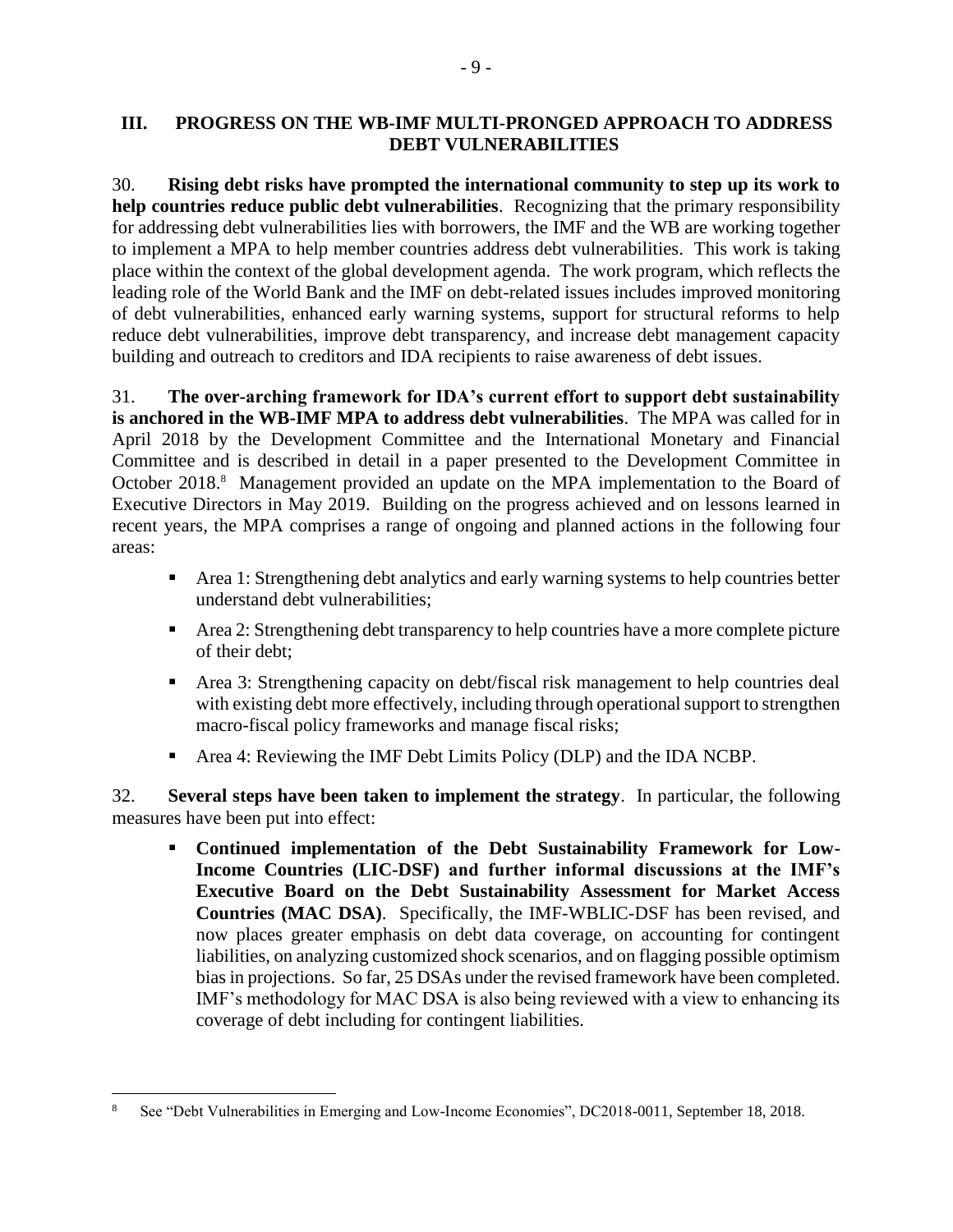#### <span id="page-16-0"></span>**III. PROGRESS ON THE WB-IMF MULTI-PRONGED APPROACH TO ADDRESS DEBT VULNERABILITIES**

30. **Rising debt risks have prompted the international community to step up its work to help countries reduce public debt vulnerabilities**. Recognizing that the primary responsibility for addressing debt vulnerabilities lies with borrowers, the IMF and the WB are working together to implement a MPA to help member countries address debt vulnerabilities. This work is taking place within the context of the global development agenda. The work program, which reflects the leading role of the World Bank and the IMF on debt-related issues includes improved monitoring of debt vulnerabilities, enhanced early warning systems, support for structural reforms to help reduce debt vulnerabilities, improve debt transparency, and increase debt management capacity building and outreach to creditors and IDA recipients to raise awareness of debt issues.

31. **The over-arching framework for IDA's current effort to support debt sustainability is anchored in the WB-IMF MPA to address debt vulnerabilities**. The MPA was called for in April 2018 by the Development Committee and the International Monetary and Financial Committee and is described in detail in a paper presented to the Development Committee in October 2018.<sup>8</sup> Management provided an update on the MPA implementation to the Board of Executive Directors in May 2019. Building on the progress achieved and on lessons learned in recent years, the MPA comprises a range of ongoing and planned actions in the following four areas:

- Area 1: Strengthening debt analytics and early warning systems to help countries better understand debt vulnerabilities;
- Area 2: Strengthening debt transparency to help countries have a more complete picture of their debt;
- Area 3: Strengthening capacity on debt/fiscal risk management to help countries deal with existing debt more effectively, including through operational support to strengthen macro-fiscal policy frameworks and manage fiscal risks;
- Area 4: Reviewing the IMF Debt Limits Policy (DLP) and the IDA NCBP.

32. **Several steps have been taken to implement the strategy**. In particular, the following measures have been put into effect:

▪ **Continued implementation of the Debt Sustainability Framework for Low-Income Countries (LIC-DSF) and further informal discussions at the IMF's Executive Board on the Debt Sustainability Assessment for Market Access Countries (MAC DSA)**. Specifically, the IMF-WBLIC-DSF has been revised, and now places greater emphasis on debt data coverage, on accounting for contingent liabilities, on analyzing customized shock scenarios, and on flagging possible optimism bias in projections. So far, 25 DSAs under the revised framework have been completed. IMF's methodology for MAC DSA is also being reviewed with a view to enhancing its coverage of debt including for contingent liabilities.

 $\overline{a}$ 

<sup>8</sup> See "Debt Vulnerabilities in Emerging and Low-Income Economies", DC2018-0011, September 18, 2018.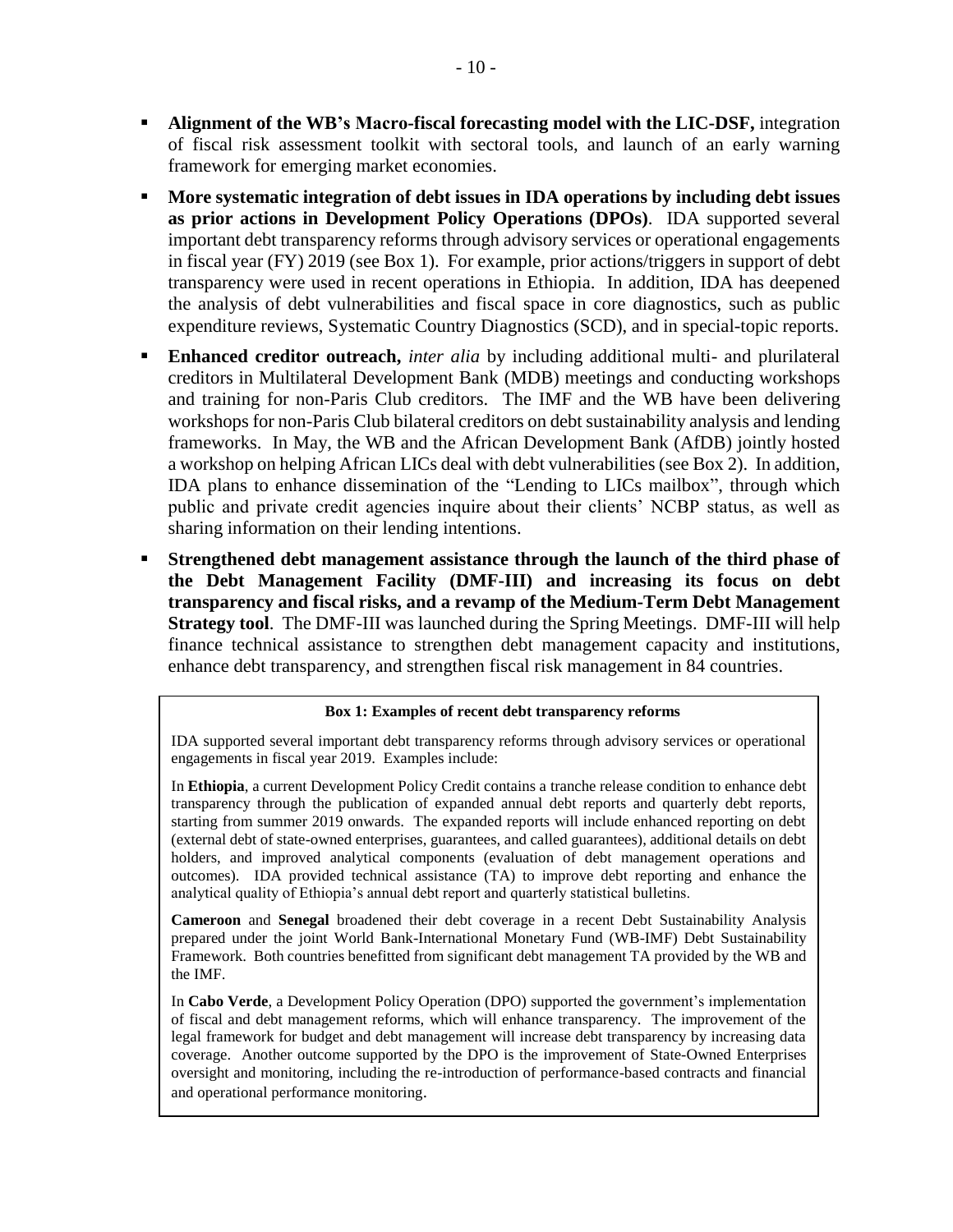- **Alignment of the WB's Macro-fiscal forecasting model with the LIC-DSF,** integration of fiscal risk assessment toolkit with sectoral tools, and launch of an early warning framework for emerging market economies.
- **More systematic integration of debt issues in IDA operations by including debt issues as prior actions in Development Policy Operations (DPOs)**. IDA supported several important debt transparency reforms through advisory services or operational engagements in fiscal year (FY) 2019 (see Box 1). For example, prior actions/triggers in support of debt transparency were used in recent operations in Ethiopia. In addition, IDA has deepened the analysis of debt vulnerabilities and fiscal space in core diagnostics, such as public expenditure reviews, Systematic Country Diagnostics (SCD), and in special-topic reports.
- **Enhanced creditor outreach,** *inter alia* by including additional multi- and plurilateral creditors in Multilateral Development Bank (MDB) meetings and conducting workshops and training for non-Paris Club creditors. The IMF and the WB have been delivering workshops for non-Paris Club bilateral creditors on debt sustainability analysis and lending frameworks. In May, the WB and the African Development Bank (AfDB) jointly hosted a workshop on helping African LICs deal with debt vulnerabilities (see Box 2). In addition, IDA plans to enhance dissemination of the "Lending to LICs mailbox", through which public and private credit agencies inquire about their clients' NCBP status, as well as sharing information on their lending intentions.
- **Strengthened debt management assistance through the launch of the third phase of the Debt Management Facility (DMF-III) and increasing its focus on debt transparency and fiscal risks, and a revamp of the Medium-Term Debt Management Strategy tool**. The DMF-III was launched during the Spring Meetings. DMF-III will help finance technical assistance to strengthen debt management capacity and institutions, enhance debt transparency, and strengthen fiscal risk management in 84 countries.

#### **Box 1: Examples of recent debt transparency reforms**

IDA supported several important debt transparency reforms through advisory services or operational engagements in fiscal year 2019. Examples include:

In **Ethiopia**, a current Development Policy Credit contains a tranche release condition to enhance debt transparency through the publication of expanded annual debt reports and quarterly debt reports, starting from summer 2019 onwards. The expanded reports will include enhanced reporting on debt (external debt of state-owned enterprises, guarantees, and called guarantees), additional details on debt holders, and improved analytical components (evaluation of debt management operations and outcomes). IDA provided technical assistance (TA) to improve debt reporting and enhance the analytical quality of Ethiopia's annual debt report and quarterly statistical bulletins.

**Cameroon** and **Senegal** broadened their debt coverage in a recent Debt Sustainability Analysis prepared under the joint World Bank-International Monetary Fund (WB-IMF) Debt Sustainability Framework. Both countries benefitted from significant debt management TA provided by the WB and the IMF.

In **Cabo Verde**, a Development Policy Operation (DPO) supported the government's implementation of fiscal and debt management reforms, which will enhance transparency. The improvement of the legal framework for budget and debt management will increase debt transparency by increasing data coverage. Another outcome supported by the DPO is the improvement of State-Owned Enterprises oversight and monitoring, including the re-introduction of performance-based contracts and financial and operational performance monitoring.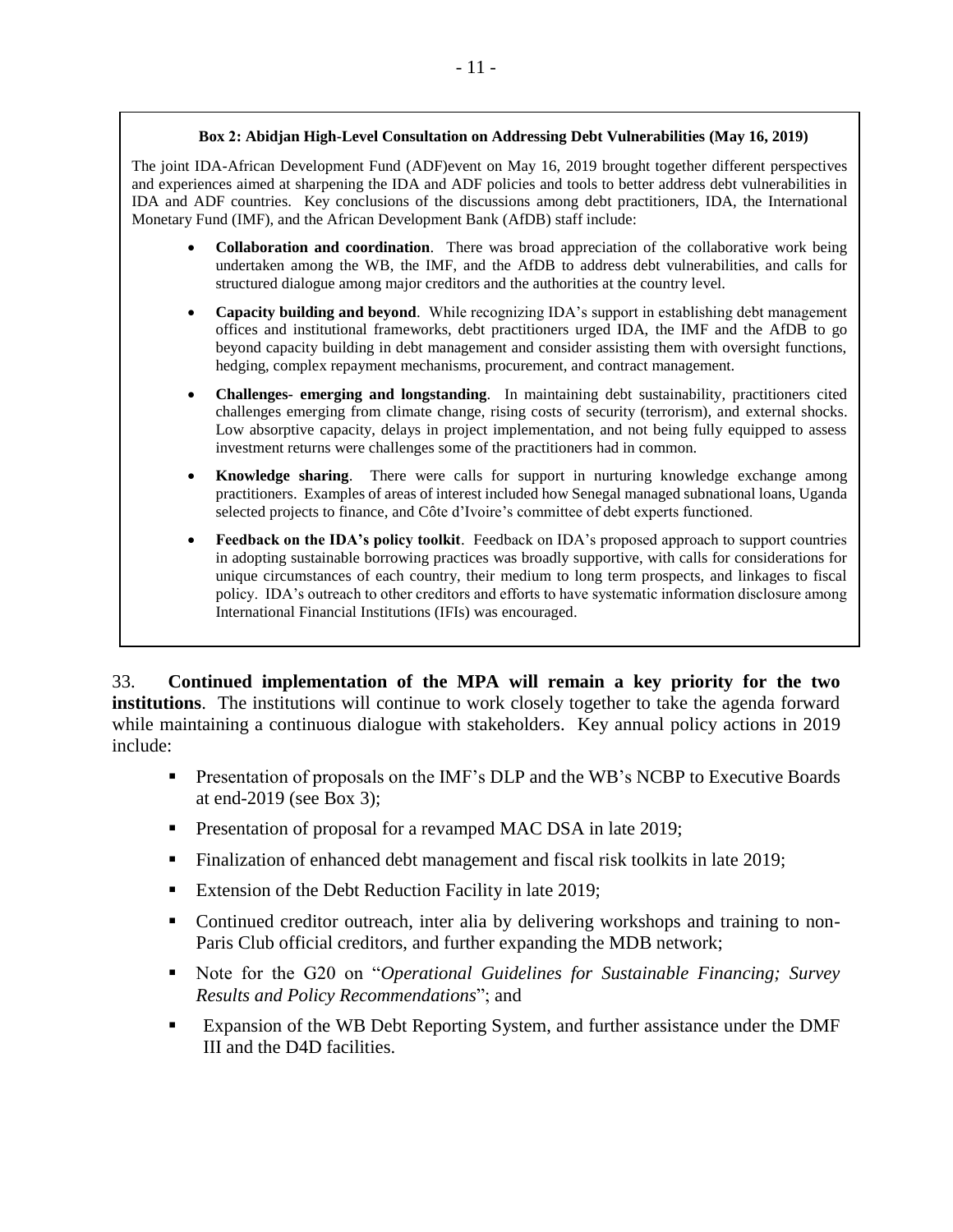The joint IDA-African Development Fund (ADF)event on May 16, 2019 brought together different perspectives and experiences aimed at sharpening the IDA and ADF policies and tools to better address debt vulnerabilities in IDA and ADF countries. Key conclusions of the discussions among debt practitioners, IDA, the International Monetary Fund (IMF), and the African Development Bank (AfDB) staff include:

- **Collaboration and coordination**. There was broad appreciation of the collaborative work being undertaken among the WB, the IMF, and the AfDB to address debt vulnerabilities, and calls for structured dialogue among major creditors and the authorities at the country level.
- **Capacity building and beyond**. While recognizing IDA's support in establishing debt management offices and institutional frameworks, debt practitioners urged IDA, the IMF and the AfDB to go beyond capacity building in debt management and consider assisting them with oversight functions, hedging, complex repayment mechanisms, procurement, and contract management.
- **Challenges- emerging and longstanding**. In maintaining debt sustainability, practitioners cited challenges emerging from climate change, rising costs of security (terrorism), and external shocks. Low absorptive capacity, delays in project implementation, and not being fully equipped to assess investment returns were challenges some of the practitioners had in common.
- **Knowledge sharing**. There were calls for support in nurturing knowledge exchange among practitioners. Examples of areas of interest included how Senegal managed subnational loans, Uganda selected projects to finance, and Côte d'Ivoire's committee of debt experts functioned.
- **Feedback on the IDA's policy toolkit**. Feedback on IDA's proposed approach to support countries in adopting sustainable borrowing practices was broadly supportive, with calls for considerations for unique circumstances of each country, their medium to long term prospects, and linkages to fiscal policy. IDA's outreach to other creditors and efforts to have systematic information disclosure among International Financial Institutions (IFIs) was encouraged.

33. **Continued implementation of the MPA will remain a key priority for the two institutions**. The institutions will continue to work closely together to take the agenda forward while maintaining a continuous dialogue with stakeholders. Key annual policy actions in 2019 include:

- **•** Presentation of proposals on the IMF's DLP and the WB's NCBP to Executive Boards at end-2019 (see Box 3);
- **•** Presentation of proposal for a revamped MAC DSA in late 2019;
- Finalization of enhanced debt management and fiscal risk toolkits in late 2019;
- Extension of the Debt Reduction Facility in late 2019;
- Continued creditor outreach, inter alia by delivering workshops and training to non-Paris Club official creditors, and further expanding the MDB network;
- Note for the G20 on "*Operational Guidelines for Sustainable Financing; Survey Results and Policy Recommendations*"; and
- Expansion of the WB Debt Reporting System, and further assistance under the DMF III and the D4D facilities.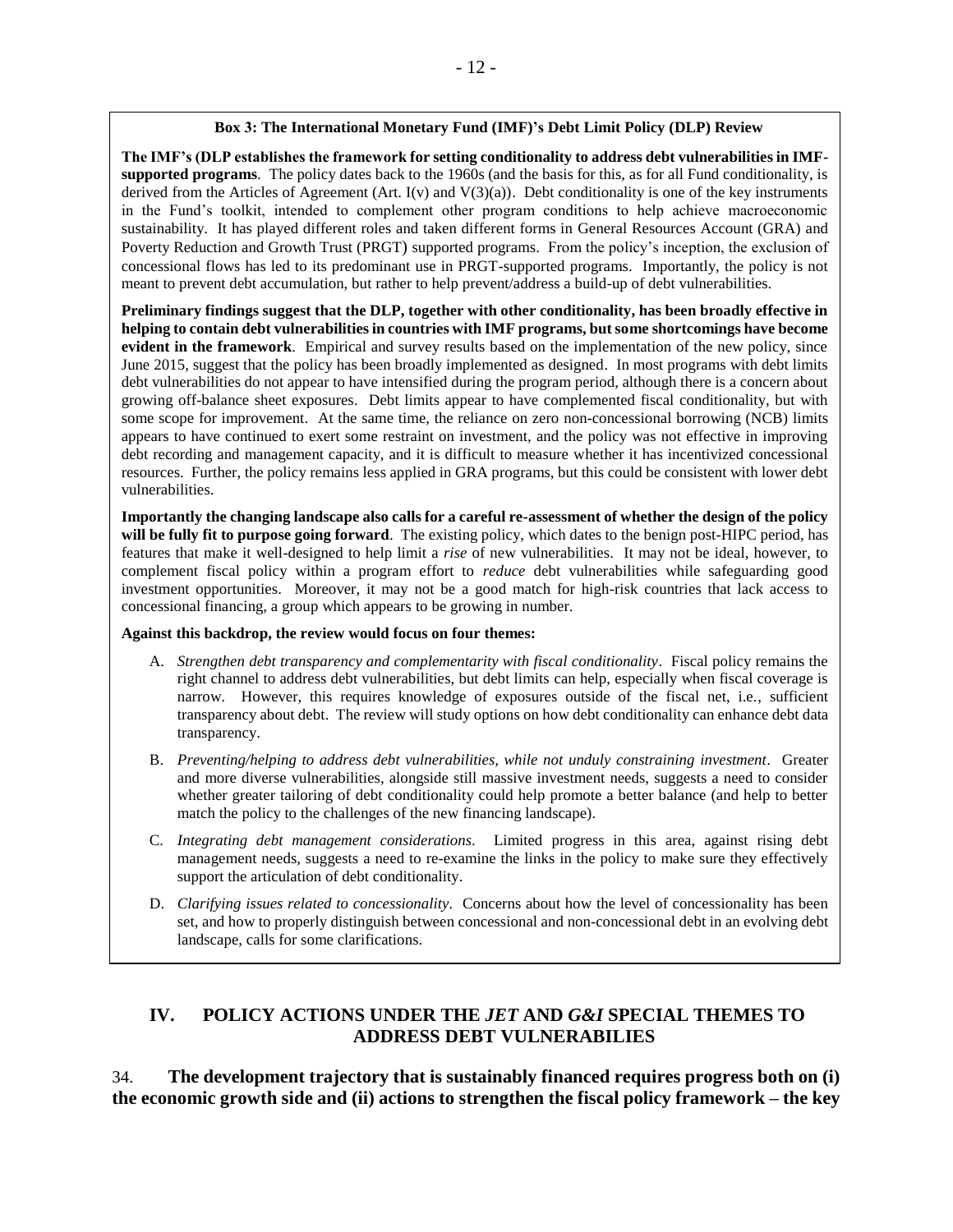#### **Box 3: The International Monetary Fund (IMF)'s Debt Limit Policy (DLP) Review**

**The IMF's (DLP establishes the framework for setting conditionality to address debt vulnerabilities in IMFsupported programs**. The policy dates back to the 1960s (and the basis for this, as for all Fund conditionality, is derived from the Articles of Agreement (Art.  $I(v)$  and  $V(3)(a)$ ). Debt conditionality is one of the key instruments in the Fund's toolkit, intended to complement other program conditions to help achieve macroeconomic sustainability. It has played different roles and taken different forms in General Resources Account (GRA) and Poverty Reduction and Growth Trust (PRGT) supported programs. From the policy's inception, the exclusion of concessional flows has led to its predominant use in PRGT-supported programs. Importantly, the policy is not meant to prevent debt accumulation, but rather to help prevent/address a build-up of debt vulnerabilities.

**Preliminary findings suggest that the DLP, together with other conditionality, has been broadly effective in helping to contain debt vulnerabilities in countries with IMF programs, but some shortcomings have become evident in the framework**. Empirical and survey results based on the implementation of the new policy, since June 2015, suggest that the policy has been broadly implemented as designed. In most programs with debt limits debt vulnerabilities do not appear to have intensified during the program period, although there is a concern about growing off-balance sheet exposures. Debt limits appear to have complemented fiscal conditionality, but with some scope for improvement. At the same time, the reliance on zero non-concessional borrowing (NCB) limits appears to have continued to exert some restraint on investment, and the policy was not effective in improving debt recording and management capacity, and it is difficult to measure whether it has incentivized concessional resources. Further, the policy remains less applied in GRA programs, but this could be consistent with lower debt vulnerabilities.

**Importantly the changing landscape also calls for a careful re-assessment of whether the design of the policy will be fully fit to purpose going forward**. The existing policy, which dates to the benign post-HIPC period, has features that make it well-designed to help limit a *rise* of new vulnerabilities. It may not be ideal, however, to complement fiscal policy within a program effort to *reduce* debt vulnerabilities while safeguarding good investment opportunities. Moreover, it may not be a good match for high-risk countries that lack access to concessional financing, a group which appears to be growing in number.

#### **Against this backdrop, the review would focus on four themes:**

- A. *Strengthen debt transparency and complementarity with fiscal conditionality*. Fiscal policy remains the right channel to address debt vulnerabilities, but debt limits can help, especially when fiscal coverage is narrow. However, this requires knowledge of exposures outside of the fiscal net, i.e., sufficient transparency about debt. The review will study options on how debt conditionality can enhance debt data transparency.
- B. *Preventing/helping to address debt vulnerabilities, while not unduly constraining investment.* Greater and more diverse vulnerabilities, alongside still massive investment needs, suggests a need to consider whether greater tailoring of debt conditionality could help promote a better balance (and help to better match the policy to the challenges of the new financing landscape).
- C. *Integrating debt management considerations.* Limited progress in this area, against rising debt management needs, suggests a need to re-examine the links in the policy to make sure they effectively support the articulation of debt conditionality.
- D. *Clarifying issues related to concessionality.* Concerns about how the level of concessionality has been set, and how to properly distinguish between concessional and non-concessional debt in an evolving debt landscape, calls for some clarifications.

## <span id="page-19-0"></span>**IV. POLICY ACTIONS UNDER THE** *JET* **AND** *G&I* **SPECIAL THEMES TO ADDRESS DEBT VULNERABILIES**

34. **The development trajectory that is sustainably financed requires progress both on (i) the economic growth side and (ii) actions to strengthen the fiscal policy framework – the key**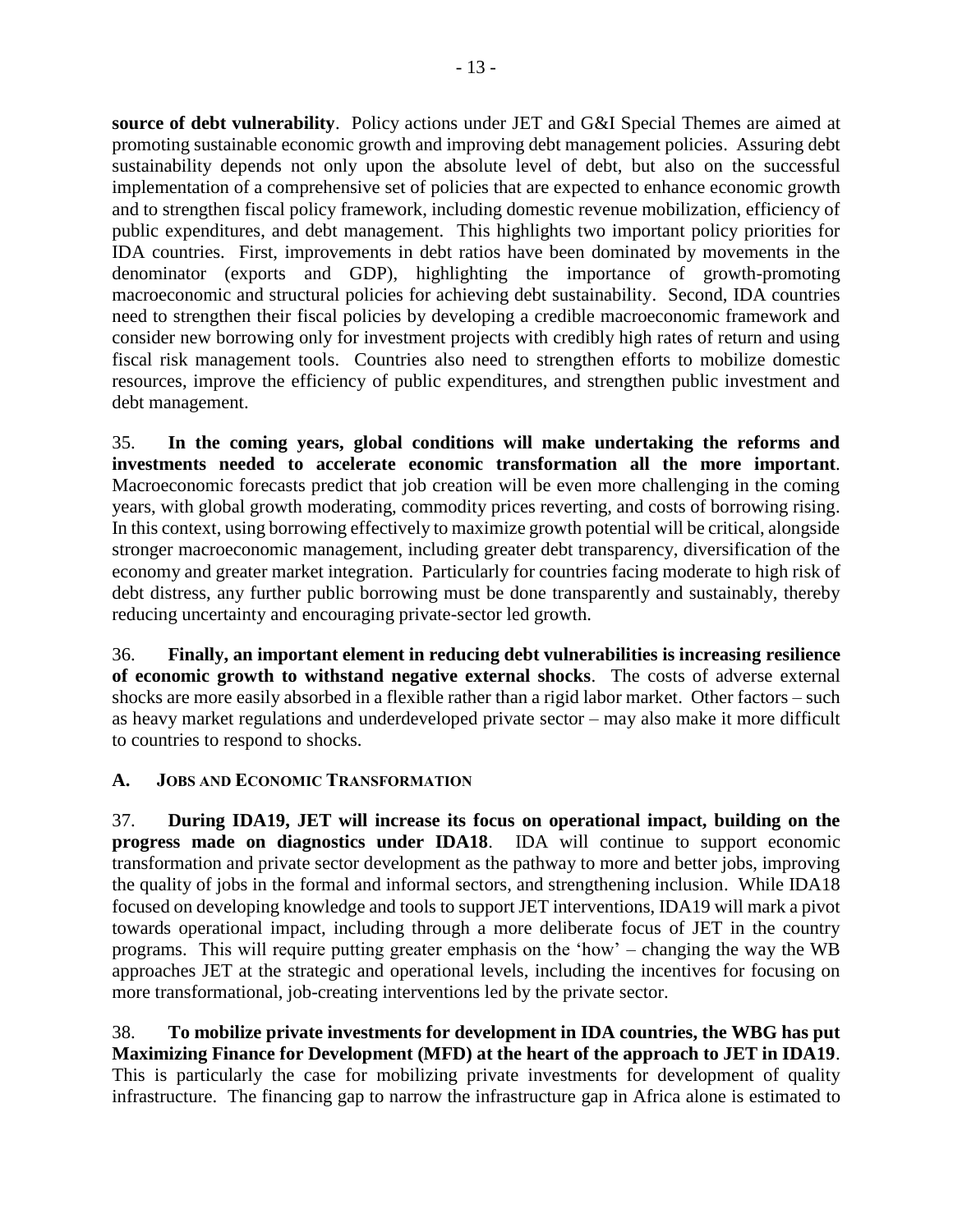**source of debt vulnerability**. Policy actions under JET and G&I Special Themes are aimed at promoting sustainable economic growth and improving debt management policies. Assuring debt sustainability depends not only upon the absolute level of debt, but also on the successful implementation of a comprehensive set of policies that are expected to enhance economic growth and to strengthen fiscal policy framework, including domestic revenue mobilization, efficiency of public expenditures, and debt management. This highlights two important policy priorities for IDA countries. First, improvements in debt ratios have been dominated by movements in the denominator (exports and GDP), highlighting the importance of growth-promoting macroeconomic and structural policies for achieving debt sustainability. Second, IDA countries need to strengthen their fiscal policies by developing a credible macroeconomic framework and consider new borrowing only for investment projects with credibly high rates of return and using fiscal risk management tools. Countries also need to strengthen efforts to mobilize domestic resources, improve the efficiency of public expenditures, and strengthen public investment and debt management.

35. **In the coming years, global conditions will make undertaking the reforms and investments needed to accelerate economic transformation all the more important**. Macroeconomic forecasts predict that job creation will be even more challenging in the coming years, with global growth moderating, commodity prices reverting, and costs of borrowing rising. In this context, using borrowing effectively to maximize growth potential will be critical, alongside stronger macroeconomic management, including greater debt transparency, diversification of the economy and greater market integration. Particularly for countries facing moderate to high risk of debt distress, any further public borrowing must be done transparently and sustainably, thereby reducing uncertainty and encouraging private-sector led growth.

36. **Finally, an important element in reducing debt vulnerabilities is increasing resilience of economic growth to withstand negative external shocks**. The costs of adverse external shocks are more easily absorbed in a flexible rather than a rigid labor market. Other factors – such as heavy market regulations and underdeveloped private sector – may also make it more difficult to countries to respond to shocks.

# <span id="page-20-0"></span>**A. JOBS AND ECONOMIC TRANSFORMATION**

37. **During IDA19, JET will increase its focus on operational impact, building on the progress made on diagnostics under IDA18**. IDA will continue to support economic transformation and private sector development as the pathway to more and better jobs, improving the quality of jobs in the formal and informal sectors, and strengthening inclusion. While IDA18 focused on developing knowledge and tools to support JET interventions, IDA19 will mark a pivot towards operational impact, including through a more deliberate focus of JET in the country programs. This will require putting greater emphasis on the 'how' – changing the way the WB approaches JET at the strategic and operational levels, including the incentives for focusing on more transformational, job-creating interventions led by the private sector.

38. **To mobilize private investments for development in IDA countries, the WBG has put Maximizing Finance for Development (MFD) at the heart of the approach to JET in IDA19**. This is particularly the case for mobilizing private investments for development of quality infrastructure. The financing gap to narrow the infrastructure gap in Africa alone is estimated to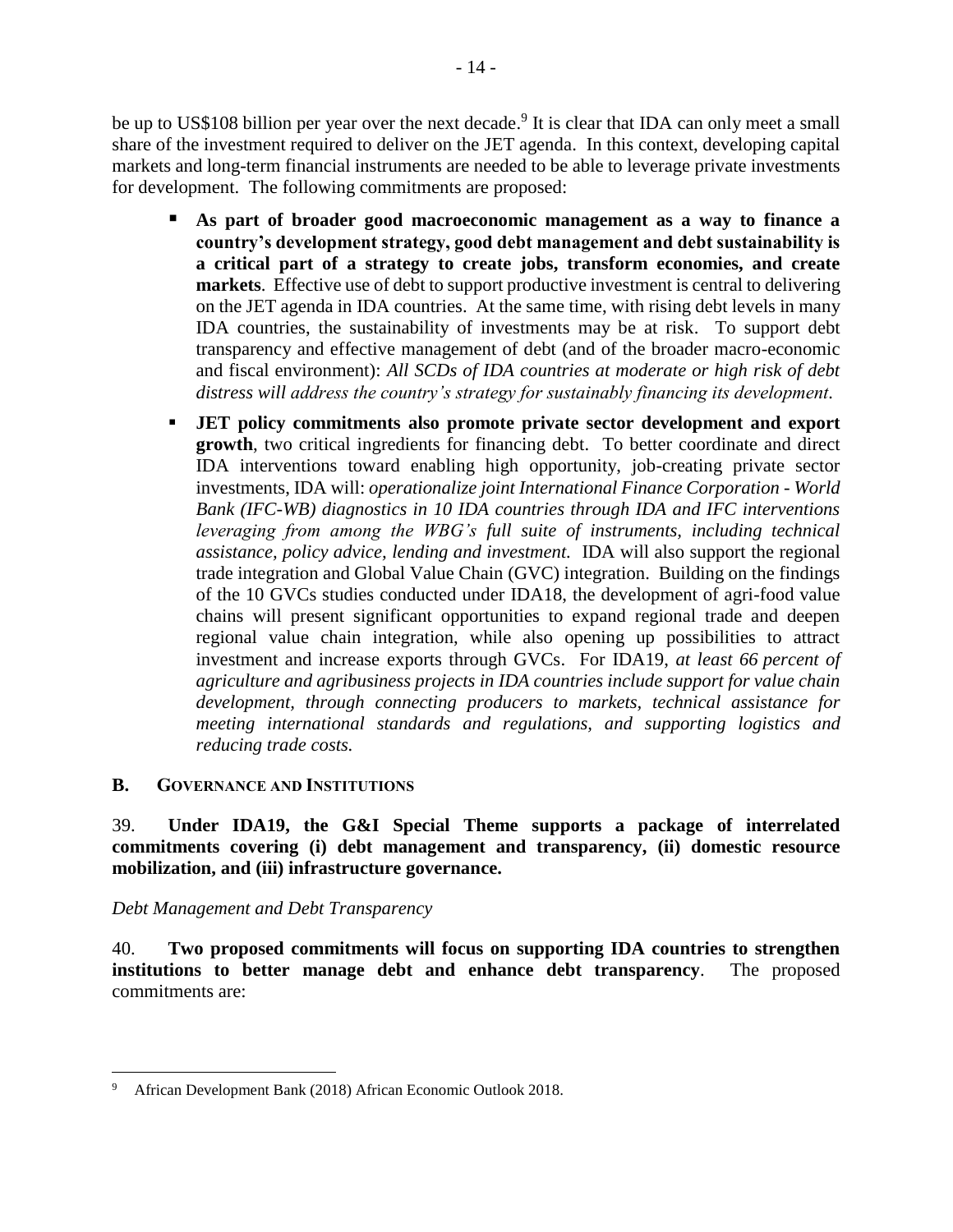be up to US\$108 billion per year over the next decade.<sup>9</sup> It is clear that IDA can only meet a small share of the investment required to deliver on the JET agenda. In this context, developing capital markets and long-term financial instruments are needed to be able to leverage private investments for development. The following commitments are proposed:

- As part of broader good macroeconomic management as a way to finance a **country's development strategy, good debt management and debt sustainability is a critical part of a strategy to create jobs, transform economies, and create markets**. Effective use of debt to support productive investment is central to delivering on the JET agenda in IDA countries. At the same time, with rising debt levels in many IDA countries, the sustainability of investments may be at risk. To support debt transparency and effective management of debt (and of the broader macro-economic and fiscal environment): *All SCDs of IDA countries at moderate or high risk of debt distress will address the country's strategy for sustainably financing its development.*
- **JET policy commitments also promote private sector development and export growth**, two critical ingredients for financing debt. To better coordinate and direct IDA interventions toward enabling high opportunity, job-creating private sector investments, IDA will: *operationalize joint International Finance Corporation - World Bank (IFC-WB) diagnostics in 10 IDA countries through IDA and IFC interventions leveraging from among the WBG's full suite of instruments, including technical assistance, policy advice, lending and investment.* IDA will also support the regional trade integration and Global Value Chain (GVC) integration. Building on the findings of the 10 GVCs studies conducted under IDA18, the development of agri-food value chains will present significant opportunities to expand regional trade and deepen regional value chain integration, while also opening up possibilities to attract investment and increase exports through GVCs. For IDA19, *at least 66 percent of agriculture and agribusiness projects in IDA countries include support for value chain development, through connecting producers to markets, technical assistance for meeting international standards and regulations, and supporting logistics and reducing trade costs.*

#### <span id="page-21-0"></span>**B. GOVERNANCE AND INSTITUTIONS**

39. **Under IDA19, the G&I Special Theme supports a package of interrelated commitments covering (i) debt management and transparency, (ii) domestic resource mobilization, and (iii) infrastructure governance.**

*Debt Management and Debt Transparency*

40. **Two proposed commitments will focus on supporting IDA countries to strengthen institutions to better manage debt and enhance debt transparency**. The proposed commitments are:

 $\overline{9}$ <sup>9</sup> African Development Bank (2018) African Economic Outlook 2018.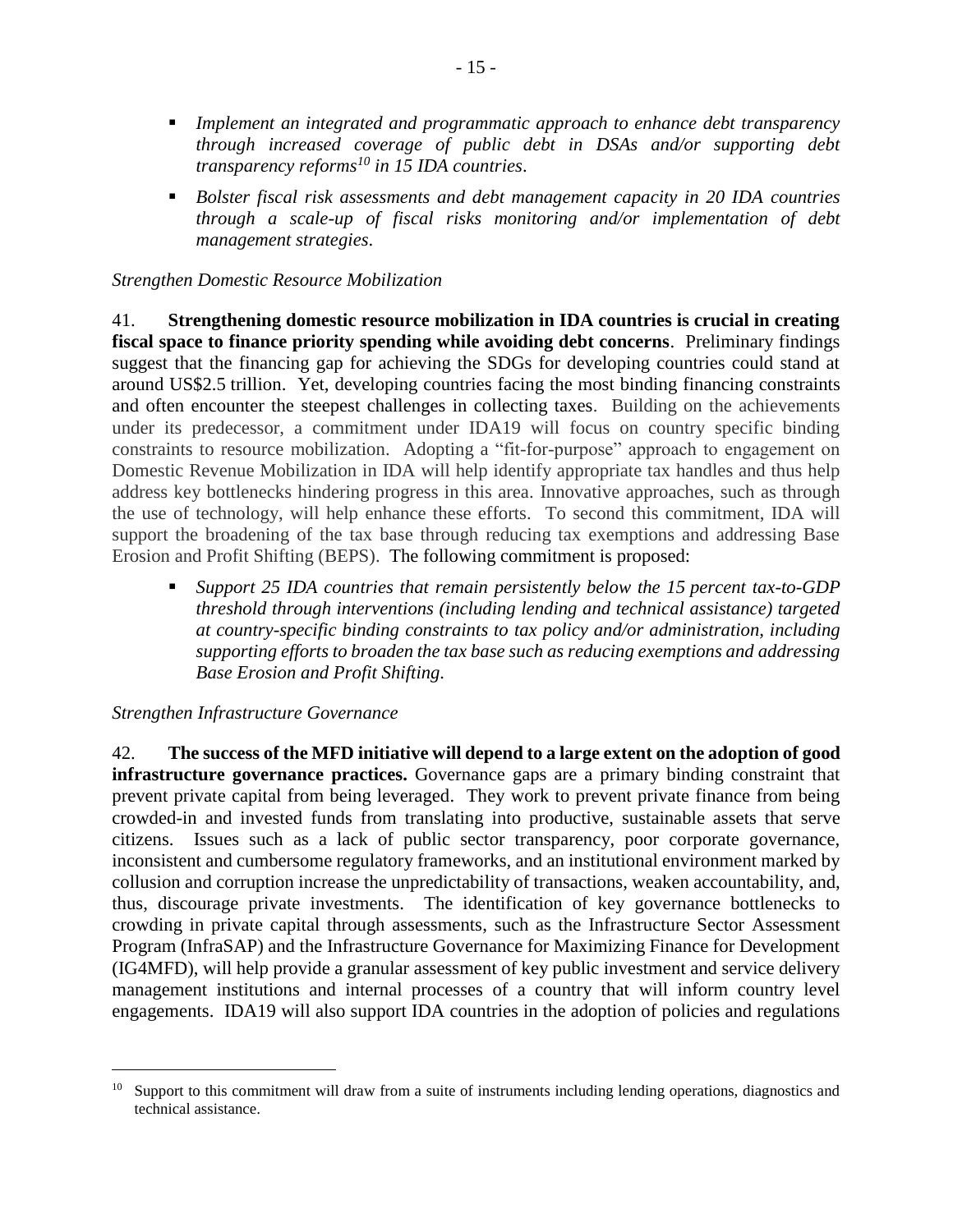- *Implement an integrated and programmatic approach to enhance debt transparency through increased coverage of public debt in DSAs and/or supporting debt transparency reforms<sup>10</sup> in 15 IDA countries*.
- *Bolster fiscal risk assessments and debt management capacity in 20 IDA countries through a scale-up of fiscal risks monitoring and/or implementation of debt management strategies*.

#### *Strengthen Domestic Resource Mobilization*

41. **Strengthening domestic resource mobilization in IDA countries is crucial in creating fiscal space to finance priority spending while avoiding debt concerns**. Preliminary findings suggest that the financing gap for achieving the SDGs for developing countries could stand at around US\$2.5 trillion. Yet, developing countries facing the most binding financing constraints and often encounter the steepest challenges in collecting taxes. Building on the achievements under its predecessor, a commitment under IDA19 will focus on country specific binding constraints to resource mobilization. Adopting a "fit-for-purpose" approach to engagement on Domestic Revenue Mobilization in IDA will help identify appropriate tax handles and thus help address key bottlenecks hindering progress in this area. Innovative approaches, such as through the use of technology, will help enhance these efforts. To second this commitment, IDA will support the broadening of the tax base through reducing tax exemptions and addressing Base Erosion and Profit Shifting (BEPS). The following commitment is proposed:

▪ *Support 25 IDA countries that remain persistently below the 15 percent tax-to-GDP threshold through interventions (including lending and technical assistance) targeted at country-specific binding constraints to tax policy and/or administration, including supporting efforts to broaden the tax base such as reducing exemptions and addressing Base Erosion and Profit Shifting.*

#### *Strengthen Infrastructure Governance*

 $\overline{a}$ 

42. **The success of the MFD initiative will depend to a large extent on the [adoption](https://twitter.com/intent/tweet?text=The+success+of+the+MFD+initiative+will+depend+in+large+measure+on+whether+good+infrastructure+governance+practices+and+tools+are+adopted.&url=http://tinyurl.com/y8qws28b&via=worldbank) of good [infrastructure](https://twitter.com/intent/tweet?text=The+success+of+the+MFD+initiative+will+depend+in+large+measure+on+whether+good+infrastructure+governance+practices+and+tools+are+adopted.&url=http://tinyurl.com/y8qws28b&via=worldbank) governance practices.** Governance gaps are a primary binding constraint that prevent private capital from being leveraged. They work to prevent private finance from being crowded-in and invested funds from translating into productive, sustainable assets that serve citizens. Issues such as a lack of public sector transparency, poor corporate governance, inconsistent and cumbersome regulatory frameworks, and an institutional environment marked by collusion and corruption increase the unpredictability of transactions, weaken accountability, and, thus, discourage private investments. The identification of key governance bottlenecks to crowding in private capital through assessments, such as the Infrastructure Sector Assessment Program (InfraSAP) and the Infrastructure Governance for Maximizing Finance for Development (IG4MFD), will help provide a granular assessment of key public investment and service delivery management institutions and internal processes of a country that will inform country level engagements. IDA19 will also support IDA countries in the adoption of policies and regulations

 $10\sigma$  Support to this commitment will draw from a suite of instruments including lending operations, diagnostics and technical assistance.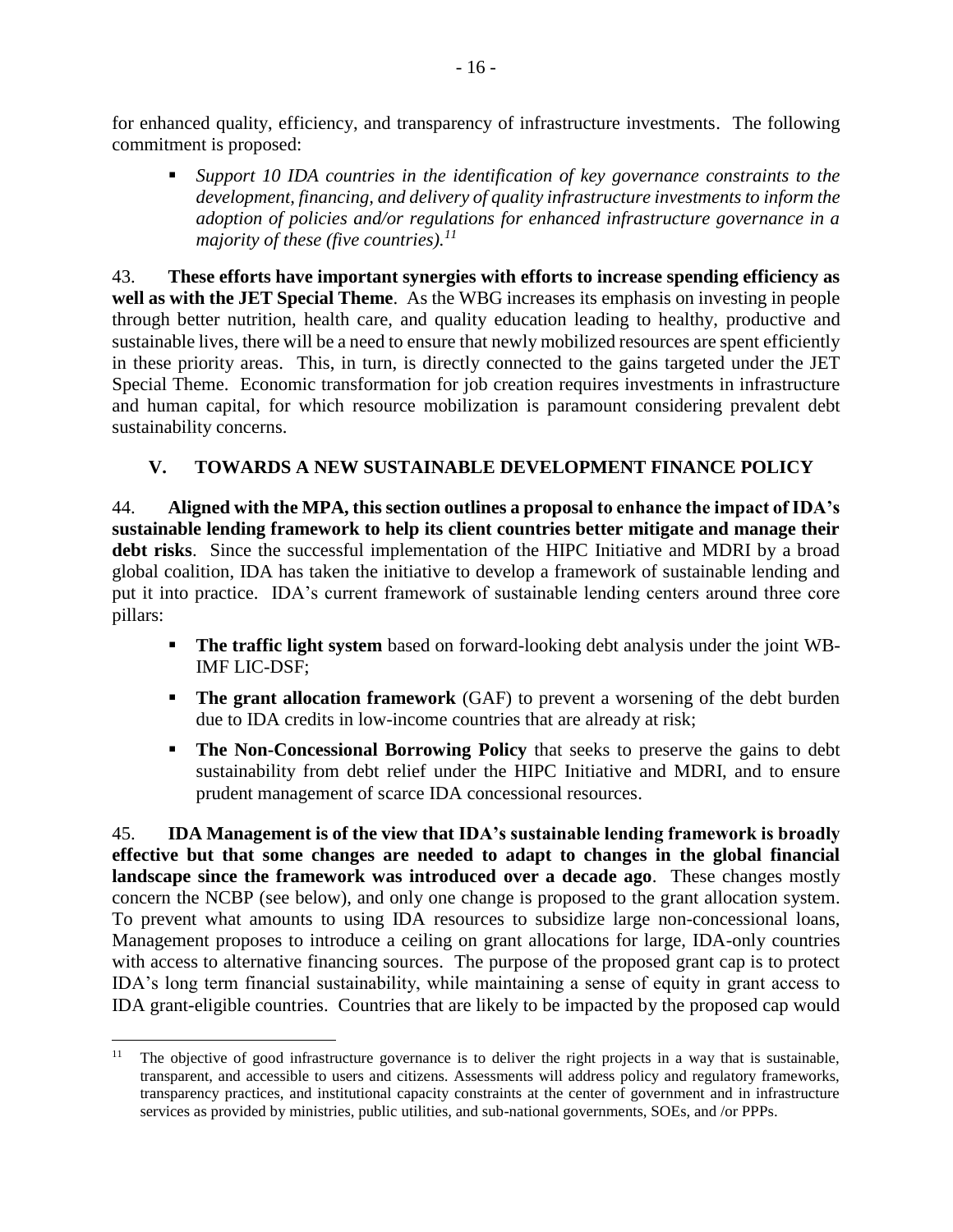for enhanced quality, efficiency, and transparency of infrastructure investments. The following commitment is proposed:

▪ *Support 10 IDA countries in the identification of key governance constraints to the development, financing, and delivery of quality infrastructure investments to inform the adoption of policies and/or regulations for enhanced infrastructure governance in a majority of these (five countries). 11*

43. **These efforts have important synergies with efforts to increase spending efficiency as well as with the JET Special Theme**. As the WBG increases its emphasis on investing in people through better nutrition, health care, and quality education leading to healthy, productive and sustainable lives, there will be a need to ensure that newly mobilized resources are spent efficiently in these priority areas. This, in turn, is directly connected to the gains targeted under the JET Special Theme. Economic transformation for job creation requires investments in infrastructure and human capital, for which resource mobilization is paramount considering prevalent debt sustainability concerns.

## <span id="page-23-0"></span>**V. TOWARDS A NEW SUSTAINABLE DEVELOPMENT FINANCE POLICY**

44. **Aligned with the MPA, this section outlines a proposal to enhance the impact of IDA's sustainable lending framework to help its client countries better mitigate and manage their debt risks**. Since the successful implementation of the HIPC Initiative and MDRI by a broad global coalition, IDA has taken the initiative to develop a framework of sustainable lending and put it into practice. IDA's current framework of sustainable lending centers around three core pillars:

- **The traffic light system** based on forward-looking debt analysis under the joint WB-IMF LIC-DSF;
- **The grant allocation framework** (GAF) to prevent a worsening of the debt burden due to IDA credits in low-income countries that are already at risk;
- **The Non-Concessional Borrowing Policy** that seeks to preserve the gains to debt sustainability from debt relief under the HIPC Initiative and MDRI, and to ensure prudent management of scarce IDA concessional resources.

45. **IDA Management is of the view that IDA's sustainable lending framework is broadly effective but that some changes are needed to adapt to changes in the global financial landscape since the framework was introduced over a decade ago**. These changes mostly concern the NCBP (see below), and only one change is proposed to the grant allocation system. To prevent what amounts to using IDA resources to subsidize large non-concessional loans, Management proposes to introduce a ceiling on grant allocations for large, IDA-only countries with access to alternative financing sources. The purpose of the proposed grant cap is to protect IDA's long term financial sustainability, while maintaining a sense of equity in grant access to IDA grant-eligible countries. Countries that are likely to be impacted by the proposed cap would

 $\overline{a}$ 

<sup>&</sup>lt;sup>11</sup> The objective of good infrastructure governance is to deliver the right projects in a way that is sustainable, transparent, and accessible to users and citizens. Assessments will address policy and regulatory frameworks, transparency practices, and institutional capacity constraints at the center of government and in infrastructure services as provided by ministries, public utilities, and sub-national governments, SOEs, and /or PPPs.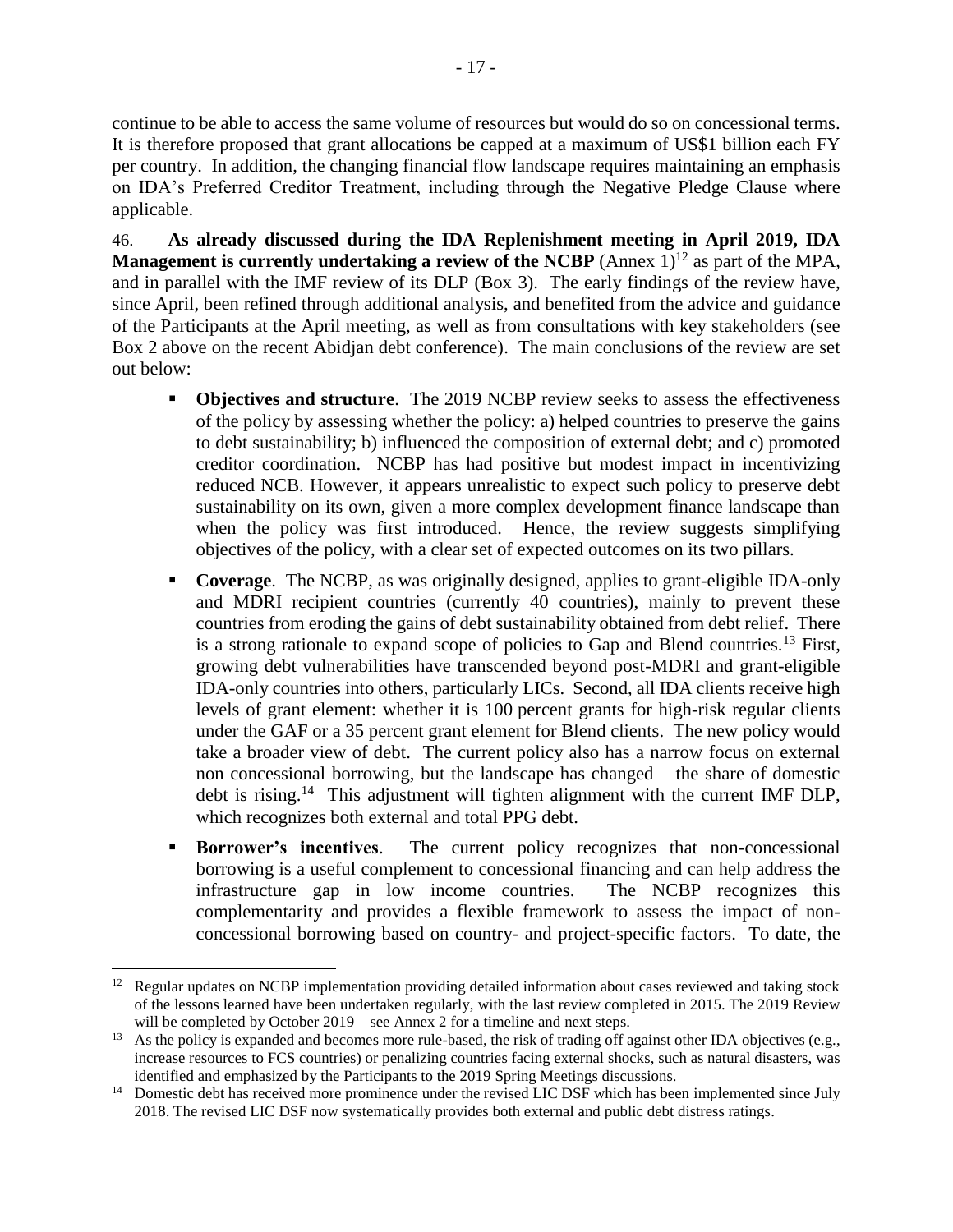continue to be able to access the same volume of resources but would do so on concessional terms. It is therefore proposed that grant allocations be capped at a maximum of US\$1 billion each FY per country. In addition, the changing financial flow landscape requires maintaining an emphasis on IDA's Preferred Creditor Treatment, including through the Negative Pledge Clause where applicable.

46. **As already discussed during the IDA Replenishment meeting in April 2019, IDA Management is currently undertaking a review of the NCBP** (Annex  $1$ )<sup>12</sup> as part of the MPA, and in parallel with the IMF review of its DLP (Box 3). The early findings of the review have, since April, been refined through additional analysis, and benefited from the advice and guidance of the Participants at the April meeting, as well as from consultations with key stakeholders (see Box 2 above on the recent Abidjan debt conference). The main conclusions of the review are set out below:

- **Objectives and structure**. The 2019 NCBP review seeks to assess the effectiveness of the policy by assessing whether the policy: a) helped countries to preserve the gains to debt sustainability; b) influenced the composition of external debt; and c) promoted creditor coordination. NCBP has had positive but modest impact in incentivizing reduced NCB. However, it appears unrealistic to expect such policy to preserve debt sustainability on its own, given a more complex development finance landscape than when the policy was first introduced. Hence, the review suggests simplifying objectives of the policy, with a clear set of expected outcomes on its two pillars.
- **Coverage**. The NCBP, as was originally designed, applies to grant-eligible IDA-only and MDRI recipient countries (currently 40 countries), mainly to prevent these countries from eroding the gains of debt sustainability obtained from debt relief. There is a strong rationale to expand scope of policies to Gap and Blend countries.<sup>13</sup> First, growing debt vulnerabilities have transcended beyond post-MDRI and grant-eligible IDA-only countries into others, particularly LICs. Second, all IDA clients receive high levels of grant element: whether it is 100 percent grants for high-risk regular clients under the GAF or a 35 percent grant element for Blend clients. The new policy would take a broader view of debt. The current policy also has a narrow focus on external non concessional borrowing, but the landscape has changed – the share of domestic debt is rising.<sup>14</sup> This adjustment will tighten alignment with the current IMF DLP, which recognizes both external and total PPG debt.
- **EXECUTE:** Borrower's incentives. The current policy recognizes that non-concessional borrowing is a useful complement to concessional financing and can help address the infrastructure gap in low income countries. The NCBP recognizes this complementarity and provides a flexible framework to assess the impact of nonconcessional borrowing based on country- and project-specific factors. To date, the

 $\overline{a}$ <sup>12</sup> Regular updates on NCBP implementation providing detailed information about cases reviewed and taking stock of the lessons learned have been undertaken regularly, with the last review completed in 2015. The 2019 Review will be completed by October 2019 – see Annex 2 for a timeline and next steps.

<sup>&</sup>lt;sup>13</sup> As the policy is expanded and becomes more rule-based, the risk of trading off against other IDA objectives (e.g., increase resources to FCS countries) or penalizing countries facing external shocks, such as natural disasters, was identified and emphasized by the Participants to the 2019 Spring Meetings discussions.

<sup>&</sup>lt;sup>14</sup> Domestic debt has received more prominence under the revised LIC DSF which has been implemented since July 2018. The revised LIC DSF now systematically provides both external and public debt distress ratings.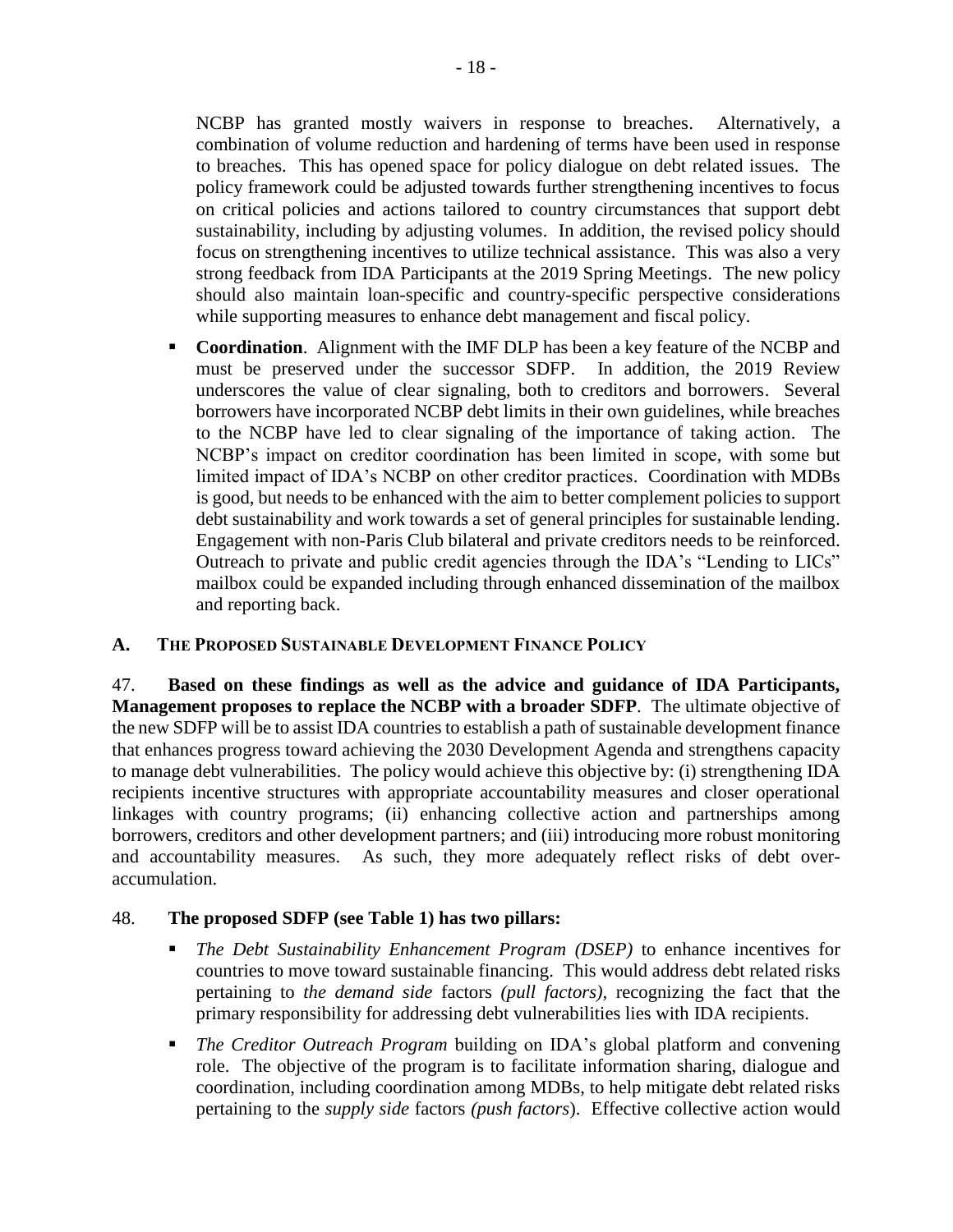NCBP has granted mostly waivers in response to breaches. Alternatively, a combination of volume reduction and hardening of terms have been used in response to breaches. This has opened space for policy dialogue on debt related issues. The policy framework could be adjusted towards further strengthening incentives to focus on critical policies and actions tailored to country circumstances that support debt sustainability, including by adjusting volumes. In addition, the revised policy should focus on strengthening incentives to utilize technical assistance. This was also a very strong feedback from IDA Participants at the 2019 Spring Meetings. The new policy should also maintain loan-specific and country-specific perspective considerations while supporting measures to enhance debt management and fiscal policy.

▪ **Coordination**. Alignment with the IMF DLP has been a key feature of the NCBP and must be preserved under the successor SDFP. In addition, the 2019 Review underscores the value of clear signaling, both to creditors and borrowers. Several borrowers have incorporated NCBP debt limits in their own guidelines, while breaches to the NCBP have led to clear signaling of the importance of taking action. The NCBP's impact on creditor coordination has been limited in scope, with some but limited impact of IDA's NCBP on other creditor practices. Coordination with MDBs is good, but needs to be enhanced with the aim to better complement policies to support debt sustainability and work towards a set of general principles for sustainable lending. Engagement with non-Paris Club bilateral and private creditors needs to be reinforced. Outreach to private and public credit agencies through the IDA's "Lending to LICs" mailbox could be expanded including through enhanced dissemination of the mailbox and reporting back.

#### <span id="page-25-0"></span>**A. THE PROPOSED SUSTAINABLE DEVELOPMENT FINANCE POLICY**

47. **Based on these findings as well as the advice and guidance of IDA Participants, Management proposes to replace the NCBP with a broader SDFP**. The ultimate objective of the new SDFP will be to assist IDA countries to establish a path of sustainable development finance that enhances progress toward achieving the 2030 Development Agenda and strengthens capacity to manage debt vulnerabilities. The policy would achieve this objective by: (i) strengthening IDA recipients incentive structures with appropriate accountability measures and closer operational linkages with country programs; (ii) enhancing collective action and partnerships among borrowers, creditors and other development partners; and (iii) introducing more robust monitoring and accountability measures. As such, they more adequately reflect risks of debt overaccumulation.

# 48. **The proposed SDFP (see Table 1) has two pillars:**

- *The Debt Sustainability Enhancement Program (DSEP)* to enhance incentives for countries to move toward sustainable financing. This would address debt related risks pertaining to *the demand side* factors *(pull factors),* recognizing the fact that the primary responsibility for addressing debt vulnerabilities lies with IDA recipients.
- *The Creditor Outreach Program* building on IDA's global platform and convening role. The objective of the program is to facilitate information sharing, dialogue and coordination, including coordination among MDBs, to help mitigate debt related risks pertaining to the *supply side* factors *(push factors*). Effective collective action would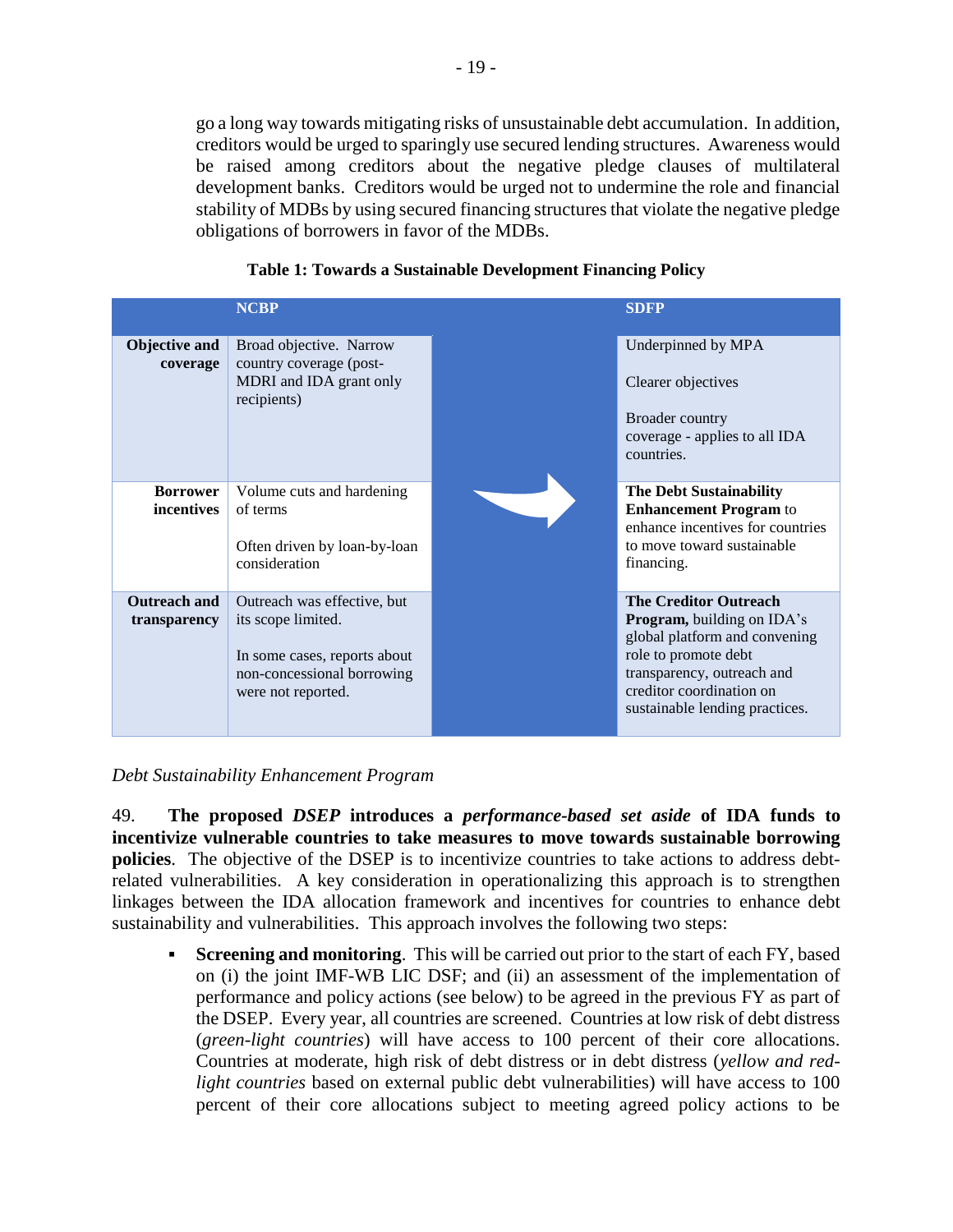go a long way towards mitigating risks of unsustainable debt accumulation. In addition, creditors would be urged to sparingly use secured lending structures. Awareness would be raised among creditors about the negative pledge clauses of multilateral development banks. Creditors would be urged not to undermine the role and financial stability of MDBs by using secured financing structures that violate the negative pledge obligations of borrowers in favor of the MDBs.

<span id="page-26-0"></span>

|                                     | <b>NCBP</b>                                                                                                                           | <b>SDFP</b>                                                                                                                                                                                                            |
|-------------------------------------|---------------------------------------------------------------------------------------------------------------------------------------|------------------------------------------------------------------------------------------------------------------------------------------------------------------------------------------------------------------------|
| <b>Objective and</b><br>coverage    | Broad objective. Narrow<br>country coverage (post-<br>MDRI and IDA grant only<br>recipients)                                          | Underpinned by MPA<br>Clearer objectives<br>Broader country<br>coverage - applies to all IDA<br>countries.                                                                                                             |
| <b>Borrower</b><br>incentives       | Volume cuts and hardening<br>of terms<br>Often driven by loan-by-loan<br>consideration                                                | <b>The Debt Sustainability</b><br><b>Enhancement Program to</b><br>enhance incentives for countries<br>to move toward sustainable<br>financing.                                                                        |
| <b>Outreach and</b><br>transparency | Outreach was effective, but<br>its scope limited.<br>In some cases, reports about<br>non-concessional borrowing<br>were not reported. | <b>The Creditor Outreach</b><br><b>Program, building on IDA's</b><br>global platform and convening<br>role to promote debt<br>transparency, outreach and<br>creditor coordination on<br>sustainable lending practices. |

#### **Table 1: Towards a Sustainable Development Financing Policy**

#### *Debt Sustainability Enhancement Program*

49. **The proposed** *DSEP* **introduces a** *performance-based set aside* **of IDA funds to incentivize vulnerable countries to take measures to move towards sustainable borrowing policies**. The objective of the DSEP is to incentivize countries to take actions to address debtrelated vulnerabilities. A key consideration in operationalizing this approach is to strengthen linkages between the IDA allocation framework and incentives for countries to enhance debt sustainability and vulnerabilities. This approach involves the following two steps:

**• Screening and monitoring.** This will be carried out prior to the start of each FY, based on (i) the joint IMF-WB LIC DSF; and (ii) an assessment of the implementation of performance and policy actions (see below) to be agreed in the previous FY as part of the DSEP. Every year, all countries are screened. Countries at low risk of debt distress (*green-light countries*) will have access to 100 percent of their core allocations. Countries at moderate, high risk of debt distress or in debt distress (*yellow and redlight countries* based on external public debt vulnerabilities) will have access to 100 percent of their core allocations subject to meeting agreed policy actions to be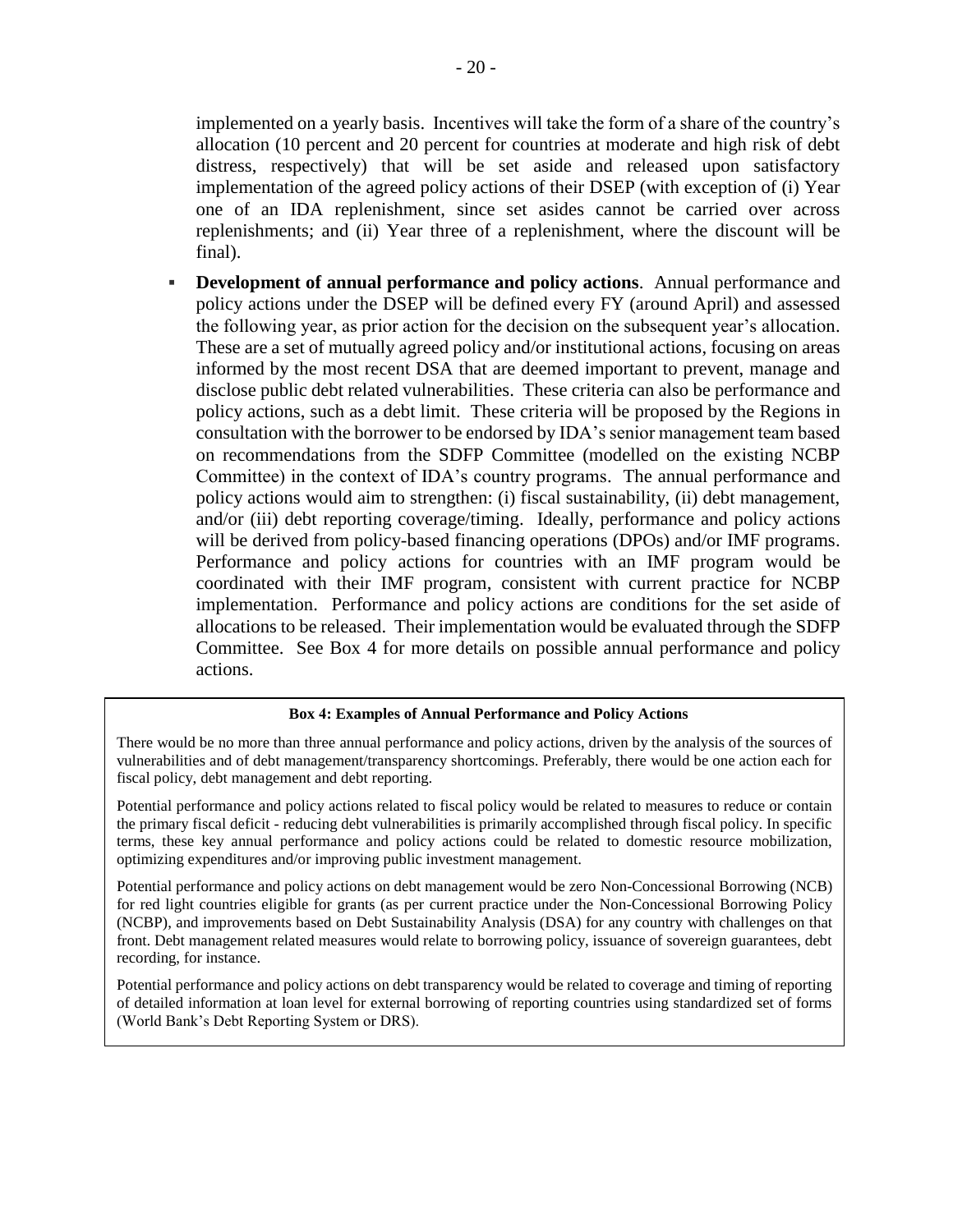implemented on a yearly basis. Incentives will take the form of a share of the country's allocation (10 percent and 20 percent for countries at moderate and high risk of debt distress, respectively) that will be set aside and released upon satisfactory implementation of the agreed policy actions of their DSEP (with exception of (i) Year one of an IDA replenishment, since set asides cannot be carried over across replenishments; and (ii) Year three of a replenishment, where the discount will be final).

▪ **Development of annual performance and policy actions**. Annual performance and policy actions under the DSEP will be defined every FY (around April) and assessed the following year, as prior action for the decision on the subsequent year's allocation. These are a set of mutually agreed policy and/or institutional actions, focusing on areas informed by the most recent DSA that are deemed important to prevent, manage and disclose public debt related vulnerabilities. These criteria can also be performance and policy actions, such as a debt limit. These criteria will be proposed by the Regions in consultation with the borrower to be endorsed by IDA's senior management team based on recommendations from the SDFP Committee (modelled on the existing NCBP Committee) in the context of IDA's country programs. The annual performance and policy actions would aim to strengthen: (i) fiscal sustainability, (ii) debt management, and/or (iii) debt reporting coverage/timing. Ideally, performance and policy actions will be derived from policy-based financing operations (DPOs) and/or IMF programs. Performance and policy actions for countries with an IMF program would be coordinated with their IMF program, consistent with current practice for NCBP implementation. Performance and policy actions are conditions for the set aside of allocations to be released. Their implementation would be evaluated through the SDFP Committee. See Box 4 for more details on possible annual performance and policy actions.

#### **Box 4: Examples of Annual Performance and Policy Actions**

There would be no more than three annual performance and policy actions, driven by the analysis of the sources of vulnerabilities and of debt management/transparency shortcomings. Preferably, there would be one action each for fiscal policy, debt management and debt reporting.

Potential performance and policy actions related to fiscal policy would be related to measures to reduce or contain the primary fiscal deficit - reducing debt vulnerabilities is primarily accomplished through fiscal policy. In specific terms, these key annual performance and policy actions could be related to domestic resource mobilization, optimizing expenditures and/or improving public investment management.

Potential performance and policy actions on debt management would be zero Non-Concessional Borrowing (NCB) for red light countries eligible for grants (as per current practice under the Non-Concessional Borrowing Policy (NCBP), and improvements based on Debt Sustainability Analysis (DSA) for any country with challenges on that front. Debt management related measures would relate to borrowing policy, issuance of sovereign guarantees, debt recording, for instance.

Potential performance and policy actions on debt transparency would be related to coverage and timing of reporting of detailed information at loan level for external borrowing of reporting countries using standardized set of forms (World Bank's Debt Reporting System or DRS).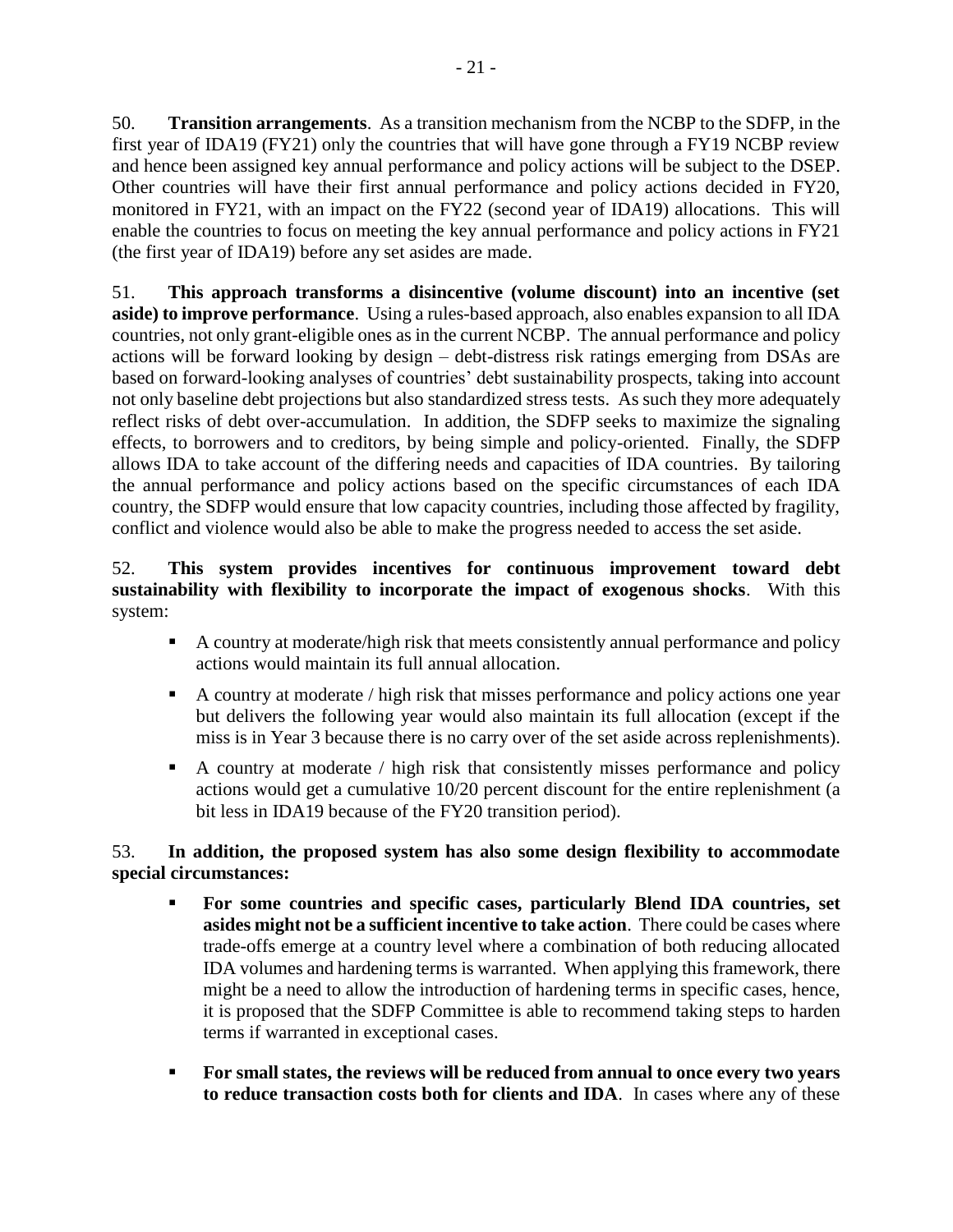50. **Transition arrangements**. As a transition mechanism from the NCBP to the SDFP, in the first year of IDA19 (FY21) only the countries that will have gone through a FY19 NCBP review and hence been assigned key annual performance and policy actions will be subject to the DSEP. Other countries will have their first annual performance and policy actions decided in FY20, monitored in FY21, with an impact on the FY22 (second year of IDA19) allocations. This will enable the countries to focus on meeting the key annual performance and policy actions in FY21 (the first year of IDA19) before any set asides are made.

51. **This approach transforms a disincentive (volume discount) into an incentive (set aside) to improve performance**. Using a rules-based approach, also enables expansion to all IDA countries, not only grant-eligible ones as in the current NCBP. The annual performance and policy actions will be forward looking by design – debt-distress risk ratings emerging from DSAs are based on forward-looking analyses of countries' debt sustainability prospects, taking into account not only baseline debt projections but also standardized stress tests. As such they more adequately reflect risks of debt over-accumulation. In addition, the SDFP seeks to maximize the signaling effects, to borrowers and to creditors, by being simple and policy-oriented. Finally, the SDFP allows IDA to take account of the differing needs and capacities of IDA countries. By tailoring the annual performance and policy actions based on the specific circumstances of each IDA country, the SDFP would ensure that low capacity countries, including those affected by fragility, conflict and violence would also be able to make the progress needed to access the set aside.

#### 52. **This system provides incentives for continuous improvement toward debt sustainability with flexibility to incorporate the impact of exogenous shocks**. With this system:

- **A country at moderate/high risk that meets consistently annual performance and policy** actions would maintain its full annual allocation.
- **•** A country at moderate / high risk that misses performance and policy actions one year but delivers the following year would also maintain its full allocation (except if the miss is in Year 3 because there is no carry over of the set aside across replenishments).
- A country at moderate / high risk that consistently misses performance and policy actions would get a cumulative 10/20 percent discount for the entire replenishment (a bit less in IDA19 because of the FY20 transition period).

## 53. **In addition, the proposed system has also some design flexibility to accommodate special circumstances:**

- **For some countries and specific cases, particularly Blend IDA countries, set asides might not be a sufficient incentive to take action**. There could be cases where trade-offs emerge at a country level where a combination of both reducing allocated IDA volumes and hardening terms is warranted. When applying this framework, there might be a need to allow the introduction of hardening terms in specific cases, hence, it is proposed that the SDFP Committee is able to recommend taking steps to harden terms if warranted in exceptional cases.
- **For small states, the reviews will be reduced from annual to once every two years to reduce transaction costs both for clients and IDA**. In cases where any of these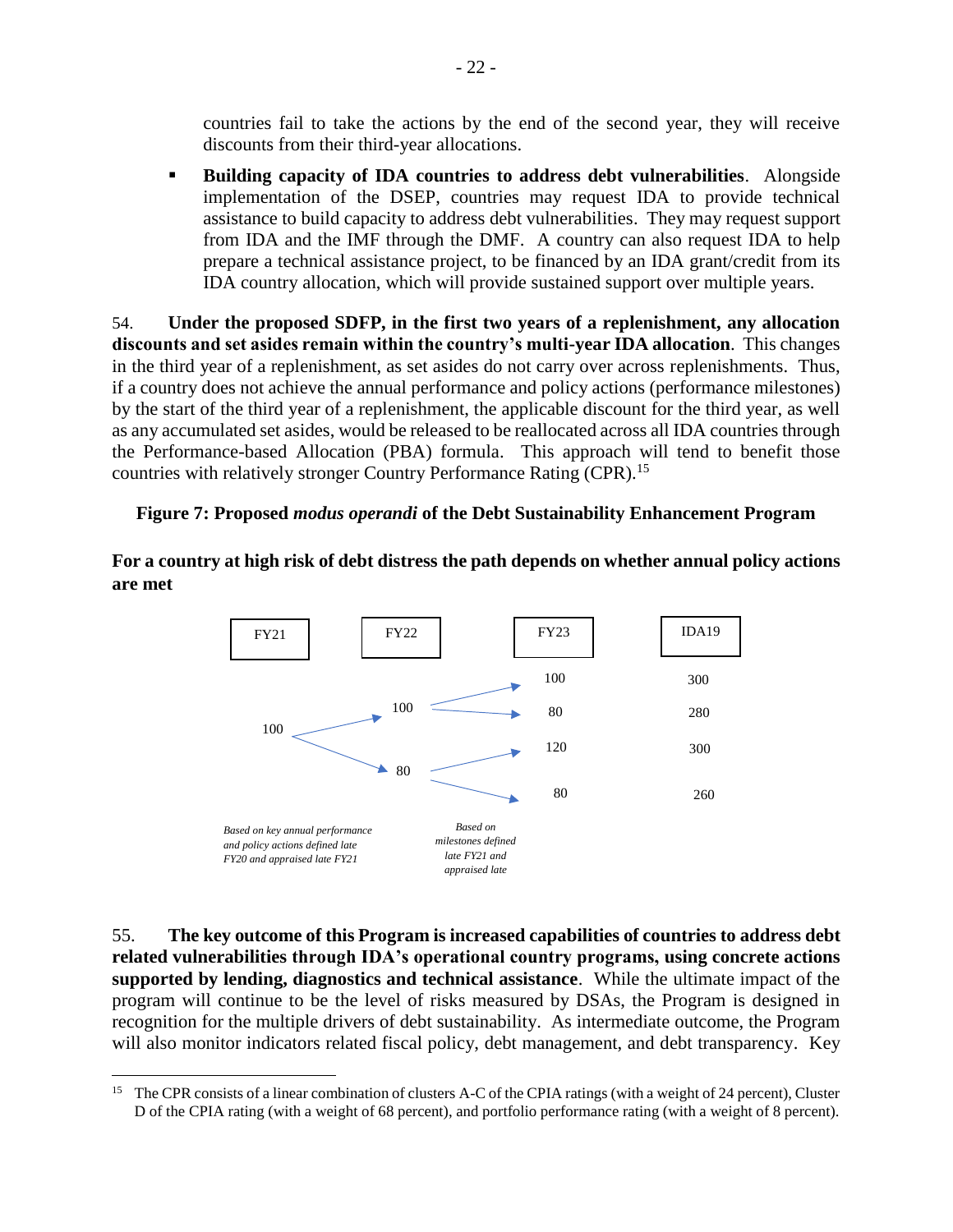countries fail to take the actions by the end of the second year, they will receive discounts from their third-year allocations.

▪ **Building capacity of IDA countries to address debt vulnerabilities**. Alongside implementation of the DSEP, countries may request IDA to provide technical assistance to build capacity to address debt vulnerabilities. They may request support from IDA and the IMF through the DMF. A country can also request IDA to help prepare a technical assistance project, to be financed by an IDA grant/credit from its IDA country allocation, which will provide sustained support over multiple years.

54. **Under the proposed SDFP, in the first two years of a replenishment, any allocation discounts and set asides remain within the country's multi-year IDA allocation**. This changes in the third year of a replenishment, as set asides do not carry over across replenishments. Thus, if a country does not achieve the annual performance and policy actions (performance milestones) by the start of the third year of a replenishment, the applicable discount for the third year, as well as any accumulated set asides, would be released to be reallocated across all IDA countries through the Performance-based Allocation (PBA) formula. This approach will tend to benefit those countries with relatively stronger Country Performance Rating (CPR).<sup>15</sup>

#### <span id="page-29-0"></span>**Figure 7: Proposed** *modus operandi* **of the Debt Sustainability Enhancement Program**

**For a country at high risk of debt distress the path depends on whether annual policy actions are met**



55. **The key outcome of this Program is increased capabilities of countries to address debt**  *Based on*  **related vulnerabilities through IDA's operational country programs, using concrete actions**  *milestones defined*  **supported by lending, diagnostics and technical assistance**. While the ultimate impact of the program will continue to be the level of risks measured by DSAs, the Program is designed in recognition for the multiple drivers of debt sustainability. As intermediate outcome, the Program will also monitor indicators related fiscal policy, debt management, and debt transparency. Key *appraised late* 

 $\overline{a}$ 

<sup>&</sup>lt;sup>15</sup> The CPR consists of a linear combination of clusters A-C of the CPIA ratings (with a weight of 24 percent), Cluster D of the CPIA rating (with a weight of 68 percent), and portfolio performance rating (with a weight of 8 percent).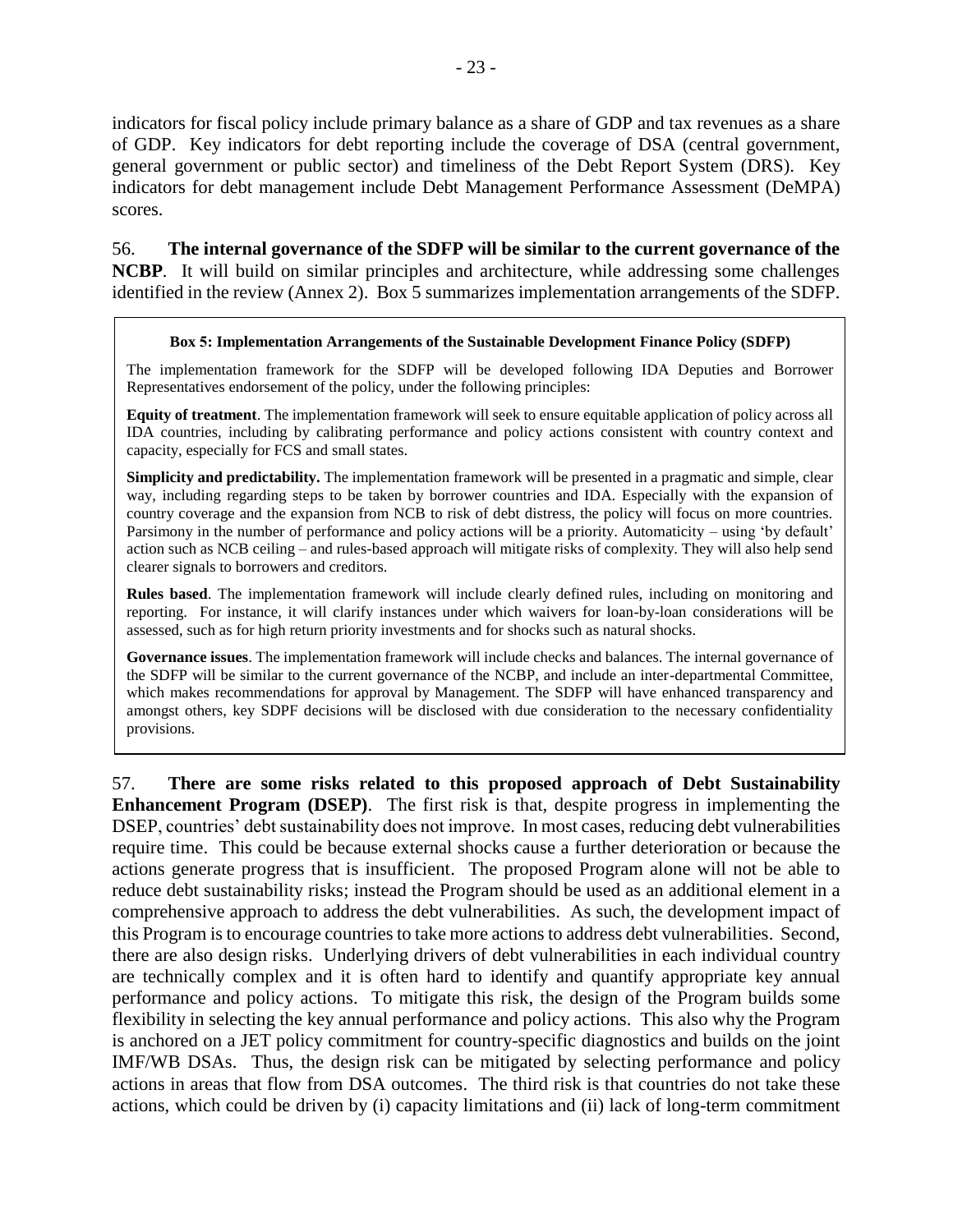indicators for fiscal policy include primary balance as a share of GDP and tax revenues as a share of GDP. Key indicators for debt reporting include the coverage of DSA (central government, general government or public sector) and timeliness of the Debt Report System (DRS). Key indicators for debt management include Debt Management Performance Assessment (DeMPA) scores.

56. **The internal governance of the SDFP will be similar to the current governance of the NCBP**. It will build on similar principles and architecture, while addressing some challenges identified in the review (Annex 2). Box 5 summarizes implementation arrangements of the SDFP.

#### **Box 5: Implementation Arrangements of the Sustainable Development Finance Policy (SDFP)**

The implementation framework for the SDFP will be developed following IDA Deputies and Borrower Representatives endorsement of the policy, under the following principles:

**Equity of treatment**. The implementation framework will seek to ensure equitable application of policy across all IDA countries, including by calibrating performance and policy actions consistent with country context and capacity, especially for FCS and small states.

**Simplicity and predictability.** The implementation framework will be presented in a pragmatic and simple, clear way, including regarding steps to be taken by borrower countries and IDA. Especially with the expansion of country coverage and the expansion from NCB to risk of debt distress, the policy will focus on more countries. Parsimony in the number of performance and policy actions will be a priority. Automaticity – using 'by default' action such as NCB ceiling – and rules-based approach will mitigate risks of complexity. They will also help send clearer signals to borrowers and creditors.

**Rules based**. The implementation framework will include clearly defined rules, including on monitoring and reporting. For instance, it will clarify instances under which waivers for loan-by-loan considerations will be assessed, such as for high return priority investments and for shocks such as natural shocks.

**Governance issues**. The implementation framework will include checks and balances. The internal governance of the SDFP will be similar to the current governance of the NCBP, and include an inter-departmental Committee, which makes recommendations for approval by Management. The SDFP will have enhanced transparency and amongst others, key SDPF decisions will be disclosed with due consideration to the necessary confidentiality provisions.

57. **There are some risks related to this proposed approach of Debt Sustainability Enhancement Program (DSEP)**. The first risk is that, despite progress in implementing the DSEP, countries' debt sustainability does not improve. In most cases, reducing debt vulnerabilities require time. This could be because external shocks cause a further deterioration or because the actions generate progress that is insufficient. The proposed Program alone will not be able to reduce debt sustainability risks; instead the Program should be used as an additional element in a comprehensive approach to address the debt vulnerabilities. As such, the development impact of this Program is to encourage countries to take more actions to address debt vulnerabilities. Second, there are also design risks. Underlying drivers of debt vulnerabilities in each individual country are technically complex and it is often hard to identify and quantify appropriate key annual performance and policy actions. To mitigate this risk, the design of the Program builds some flexibility in selecting the key annual performance and policy actions. This also why the Program is anchored on a JET policy commitment for country-specific diagnostics and builds on the joint IMF/WB DSAs. Thus, the design risk can be mitigated by selecting performance and policy actions in areas that flow from DSA outcomes. The third risk is that countries do not take these actions, which could be driven by (i) capacity limitations and (ii) lack of long-term commitment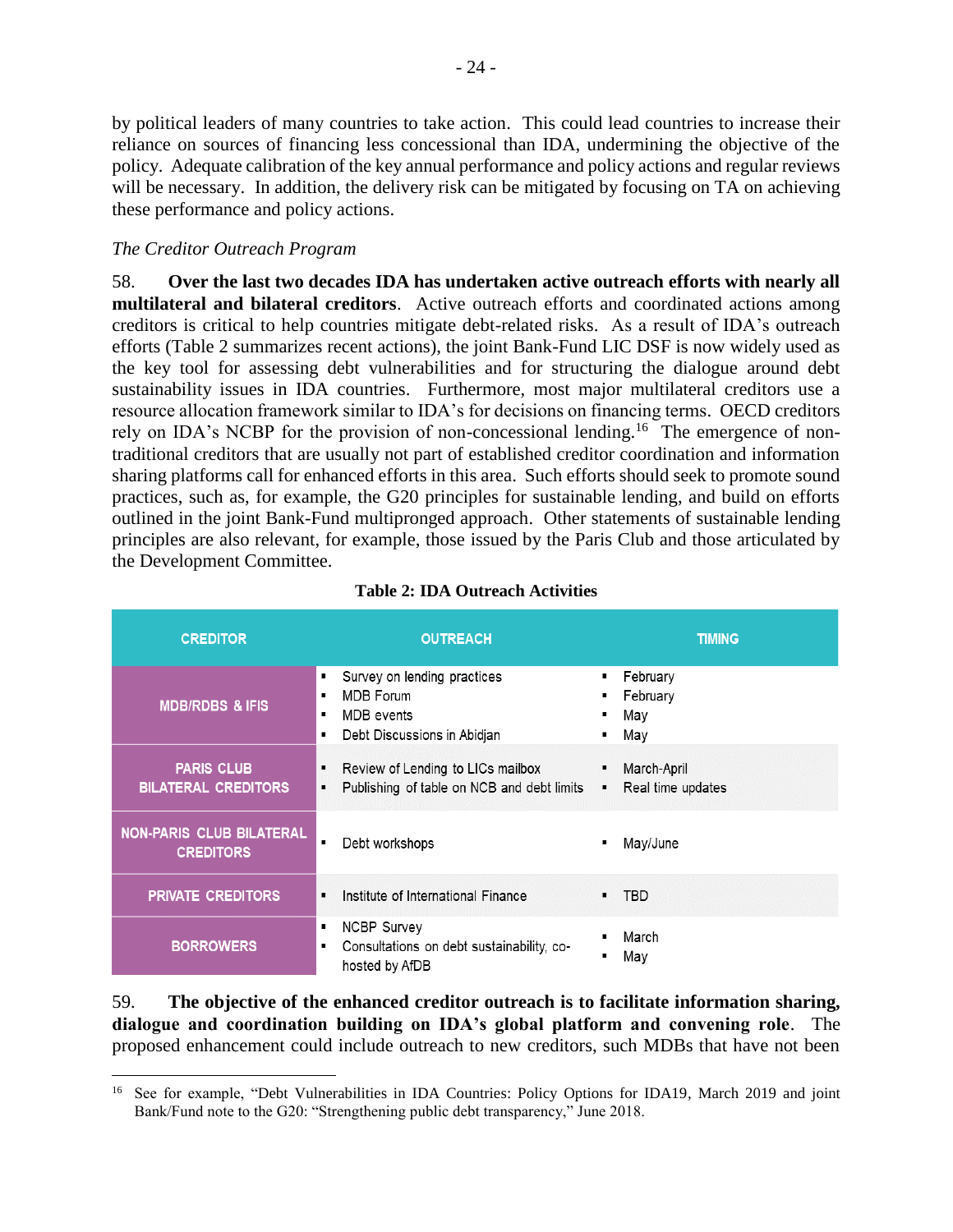by political leaders of many countries to take action. This could lead countries to increase their reliance on sources of financing less concessional than IDA, undermining the objective of the policy. Adequate calibration of the key annual performance and policy actions and regular reviews will be necessary. In addition, the delivery risk can be mitigated by focusing on TA on achieving these performance and policy actions.

#### *The Creditor Outreach Program*

 $\overline{a}$ 

58. **Over the last two decades IDA has undertaken active outreach efforts with nearly all multilateral and bilateral creditors**. Active outreach efforts and coordinated actions among creditors is critical to help countries mitigate debt-related risks. As a result of IDA's outreach efforts (Table 2 summarizes recent actions), the joint Bank-Fund LIC DSF is now widely used as the key tool for assessing debt vulnerabilities and for structuring the dialogue around debt sustainability issues in IDA countries. Furthermore, most major multilateral creditors use a resource allocation framework similar to IDA's for decisions on financing terms. OECD creditors rely on IDA's NCBP for the provision of non-concessional lending.<sup>16</sup> The emergence of nontraditional creditors that are usually not part of established creditor coordination and information sharing platforms call for enhanced efforts in this area. Such efforts should seek to promote sound practices, such as, for example, the G20 principles for sustainable lending, and build on efforts outlined in the joint Bank-Fund multipronged approach. Other statements of sustainable lending principles are also relevant, for example, those issued by the Paris Club and those articulated by the Development Committee.

<span id="page-31-0"></span>

| <b>CREDITOR</b>                                     | <b>OUTREACH</b>                                                                                        | <b>TIMING</b>                                          |
|-----------------------------------------------------|--------------------------------------------------------------------------------------------------------|--------------------------------------------------------|
| <b>MDB/RDBS &amp; IFIS</b>                          | Survey on lending practices<br><b>MDB</b> Forum<br>٠<br>MDB events<br>٠<br>Debt Discussions in Abidjan | February<br>٠<br>February<br>٠<br>May<br>٠<br>May<br>п |
| <b>PARIS CLUB</b><br><b>BILATERAL CREDITORS</b>     | Review of Lending to LICs mailbox<br>٠<br>Publishing of table on NCB and debt limits                   | March-April<br>Real time updates                       |
| <b>NON-PARIS CLUB BILATERAL</b><br><b>CREDITORS</b> | Debt workshops                                                                                         | May/June<br>П                                          |
| <b>PRIVATE CREDITORS</b>                            | Institute of International Finance<br>$\blacksquare$                                                   | <b>TBD</b><br>$\blacksquare$                           |
| <b>BORROWERS</b>                                    | <b>NCBP Survey</b><br>٠<br>Consultations on debt sustainability, co-<br>hosted by AfDB                 | March<br>п<br>May<br>$\blacksquare$                    |

| <b>Table 2: IDA Outreach Activities</b> |  |  |
|-----------------------------------------|--|--|
|-----------------------------------------|--|--|

59. **The objective of the enhanced creditor outreach is to facilitate information sharing, dialogue and coordination building on IDA's global platform and convening role**. The proposed enhancement could include outreach to new creditors, such MDBs that have not been

<sup>&</sup>lt;sup>16</sup> See for example, "Debt Vulnerabilities in IDA Countries: Policy Options for IDA19, March 2019 and joint Bank/Fund note to the G20: "Strengthening public debt transparency," June 2018.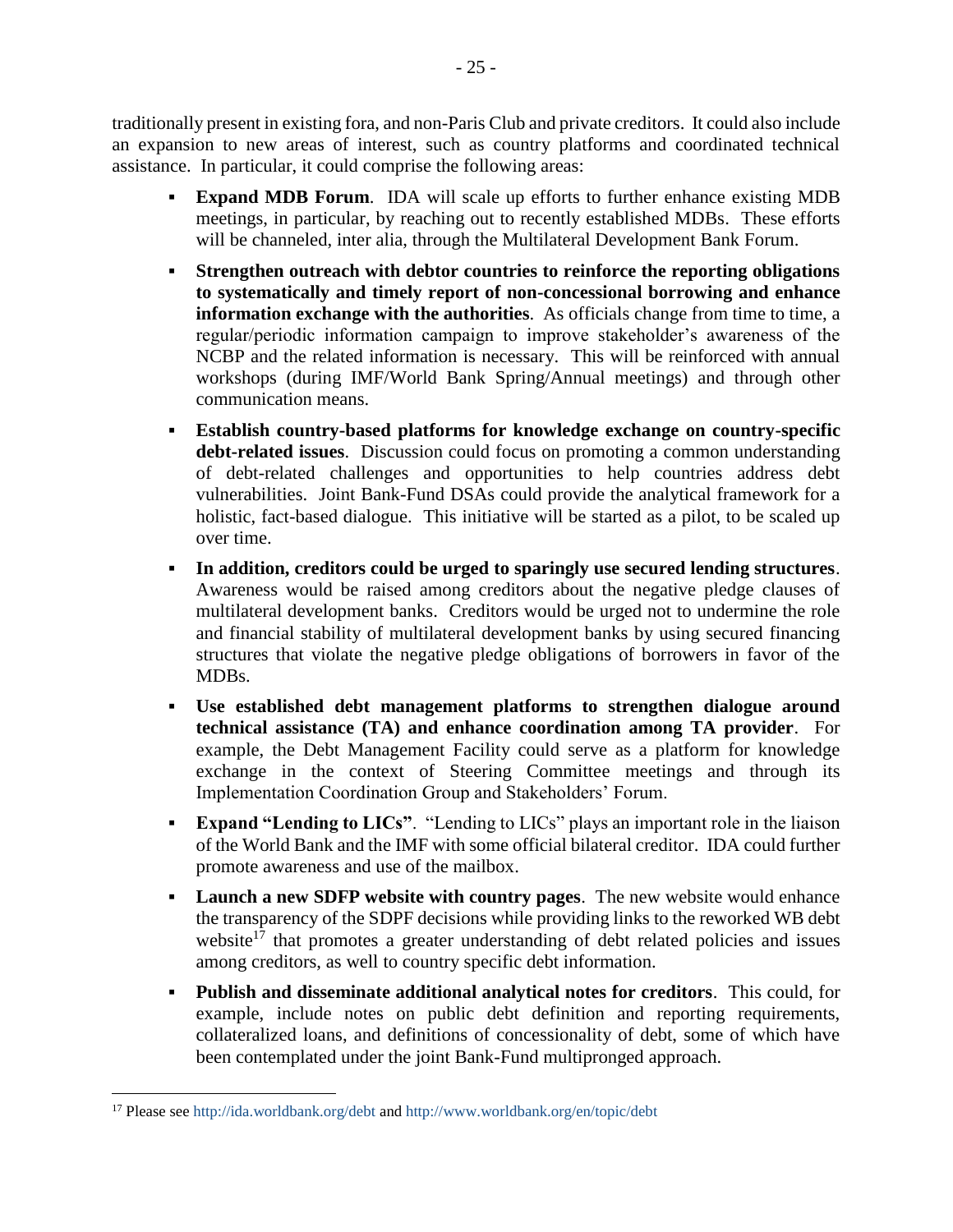traditionally present in existing fora, and non-Paris Club and private creditors. It could also include an expansion to new areas of interest, such as country platforms and coordinated technical assistance. In particular, it could comprise the following areas:

- **Expand MDB Forum**. IDA will scale up efforts to further enhance existing MDB meetings, in particular, by reaching out to recently established MDBs. These efforts will be channeled, inter alia, through the Multilateral Development Bank Forum.
- **Strengthen outreach with debtor countries to reinforce the reporting obligations to systematically and timely report of non-concessional borrowing and enhance information exchange with the authorities**. As officials change from time to time, a regular/periodic information campaign to improve stakeholder's awareness of the NCBP and the related information is necessary. This will be reinforced with annual workshops (during IMF/World Bank Spring/Annual meetings) and through other communication means.
- **Establish country-based platforms for knowledge exchange on country-specific debt-related issues**. Discussion could focus on promoting a common understanding of debt-related challenges and opportunities to help countries address debt vulnerabilities. Joint Bank-Fund DSAs could provide the analytical framework for a holistic, fact-based dialogue. This initiative will be started as a pilot, to be scaled up over time.
- **In addition, creditors could be urged to sparingly use secured lending structures**. Awareness would be raised among creditors about the negative pledge clauses of multilateral development banks. Creditors would be urged not to undermine the role and financial stability of multilateral development banks by using secured financing structures that violate the negative pledge obligations of borrowers in favor of the MDBs.
- **Use established debt management platforms to strengthen dialogue around technical assistance (TA) and enhance coordination among TA provider**. For example, the Debt Management Facility could serve as a platform for knowledge exchange in the context of Steering Committee meetings and through its Implementation Coordination Group and Stakeholders' Forum.
- **Expand "Lending to LICs".** "Lending to LICs" plays an important role in the liaison of the World Bank and the IMF with some official bilateral creditor. IDA could further promote awareness and use of the mailbox.
- **Launch a new SDFP website with country pages**. The new website would enhance the transparency of the SDPF decisions while providing links to the reworked WB debt website<sup>17</sup> that promotes a greater understanding of debt related policies and issues among creditors, as well to country specific debt information.
- **Publish and disseminate additional analytical notes for creditors**. This could, for example, include notes on public debt definition and reporting requirements, collateralized loans, and definitions of concessionality of debt, some of which have been contemplated under the joint Bank-Fund multipronged approach.

 $\overline{a}$ 

<sup>17</sup> Please see<http://ida.worldbank.org/debt> and<http://www.worldbank.org/en/topic/debt>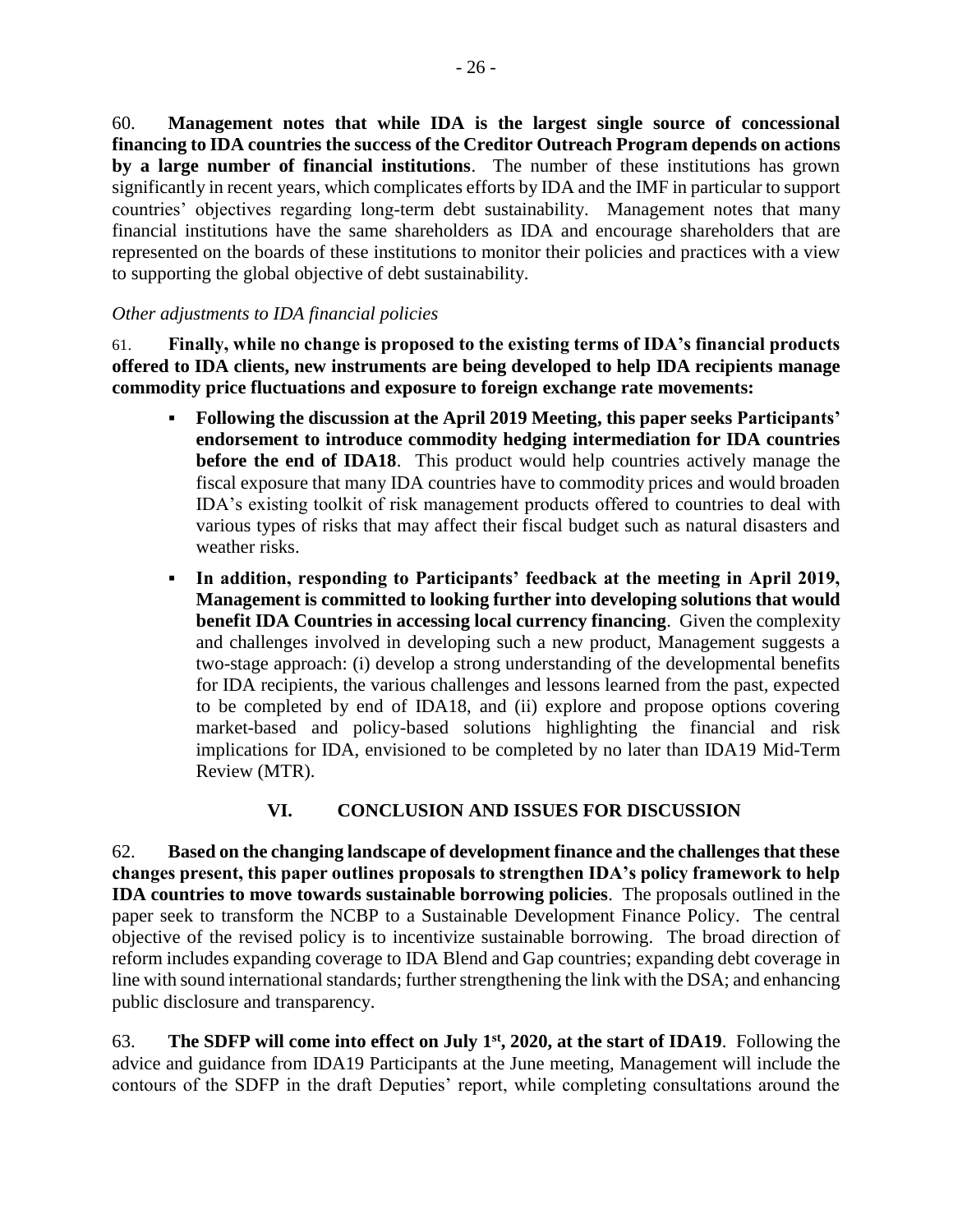60. **Management notes that while IDA is the largest single source of concessional financing to IDA countries the success of the Creditor Outreach Program depends on actions by a large number of financial institutions**. The number of these institutions has grown significantly in recent years, which complicates efforts by IDA and the IMF in particular to support countries' objectives regarding long-term debt sustainability. Management notes that many financial institutions have the same shareholders as IDA and encourage shareholders that are represented on the boards of these institutions to monitor their policies and practices with a view to supporting the global objective of debt sustainability.

#### *Other adjustments to IDA financial policies*

61. **Finally, while no change is proposed to the existing terms of IDA's financial products offered to IDA clients, new instruments are being developed to help IDA recipients manage commodity price fluctuations and exposure to foreign exchange rate movements:**

- **Following the discussion at the April 2019 Meeting, this paper seeks Participants' endorsement to introduce commodity hedging intermediation for IDA countries before the end of IDA18**. This product would help countries actively manage the fiscal exposure that many IDA countries have to commodity prices and would broaden IDA's existing toolkit of risk management products offered to countries to deal with various types of risks that may affect their fiscal budget such as natural disasters and weather risks.
- **In addition, responding to Participants' feedback at the meeting in April 2019, Management is committed to looking further into developing solutions that would benefit IDA Countries in accessing local currency financing**. Given the complexity and challenges involved in developing such a new product, Management suggests a two-stage approach: (i) develop a strong understanding of the developmental benefits for IDA recipients, the various challenges and lessons learned from the past, expected to be completed by end of IDA18, and (ii) explore and propose options covering market-based and policy-based solutions highlighting the financial and risk implications for IDA, envisioned to be completed by no later than IDA19 Mid-Term Review (MTR).

# **VI. CONCLUSION AND ISSUES FOR DISCUSSION**

<span id="page-33-0"></span>62. **Based on the changing landscape of development finance and the challenges that these changes present, this paper outlines proposals to strengthen IDA's policy framework to help IDA countries to move towards sustainable borrowing policies**. The proposals outlined in the paper seek to transform the NCBP to a Sustainable Development Finance Policy. The central objective of the revised policy is to incentivize sustainable borrowing. The broad direction of reform includes expanding coverage to IDA Blend and Gap countries; expanding debt coverage in line with sound international standards; further strengthening the link with the DSA; and enhancing public disclosure and transparency.

63. **The SDFP will come into effect on July 1st, 2020, at the start of IDA19**. Following the advice and guidance from IDA19 Participants at the June meeting, Management will include the contours of the SDFP in the draft Deputies' report, while completing consultations around the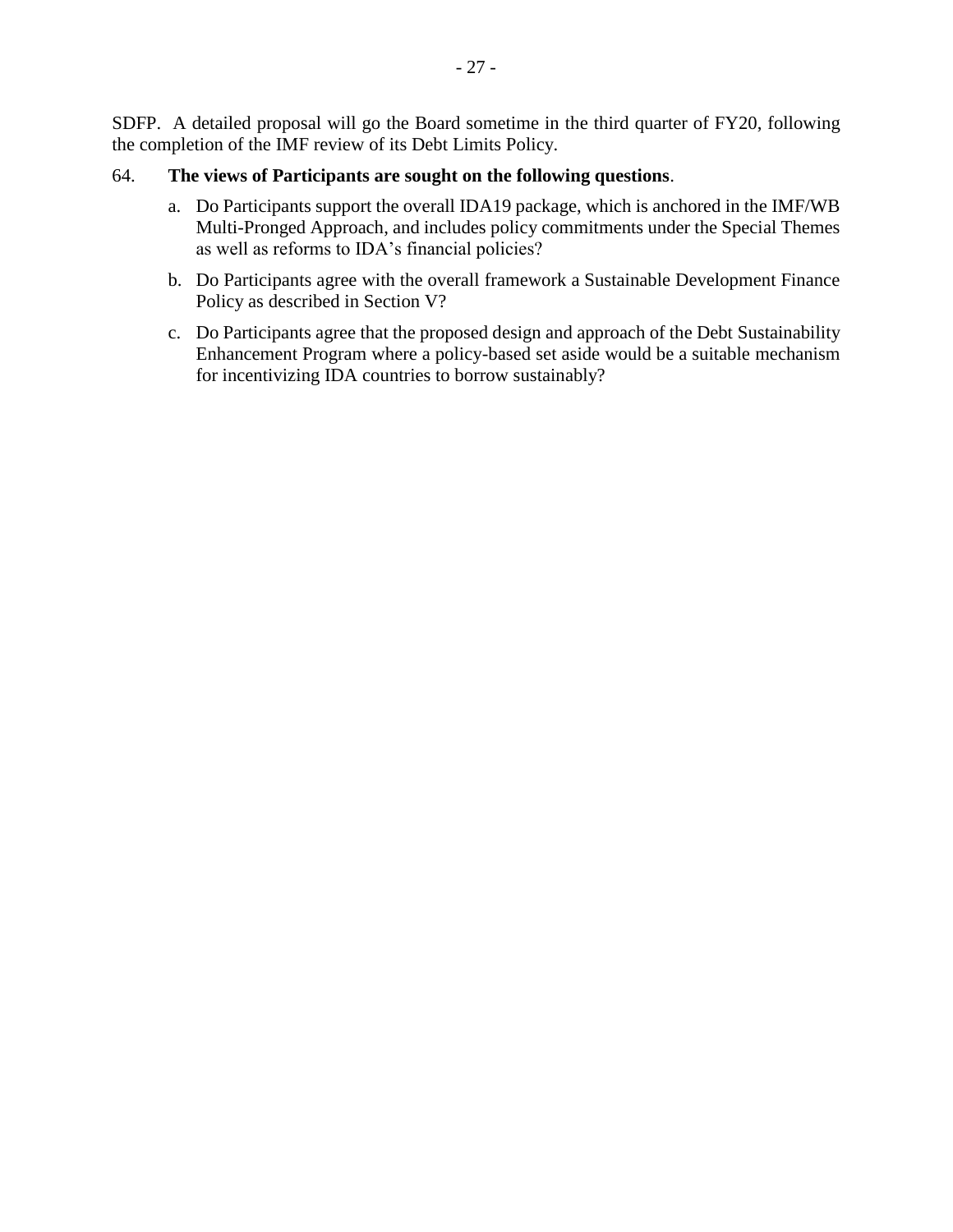SDFP. A detailed proposal will go the Board sometime in the third quarter of FY20, following the completion of the IMF review of its Debt Limits Policy.

#### 64. **The views of Participants are sought on the following questions**.

- a. Do Participants support the overall IDA19 package, which is anchored in the IMF/WB Multi-Pronged Approach, and includes policy commitments under the Special Themes as well as reforms to IDA's financial policies?
- b. Do Participants agree with the overall framework a Sustainable Development Finance Policy as described in Section V?
- c. Do Participants agree that the proposed design and approach of the Debt Sustainability Enhancement Program where a policy-based set aside would be a suitable mechanism for incentivizing IDA countries to borrow sustainably?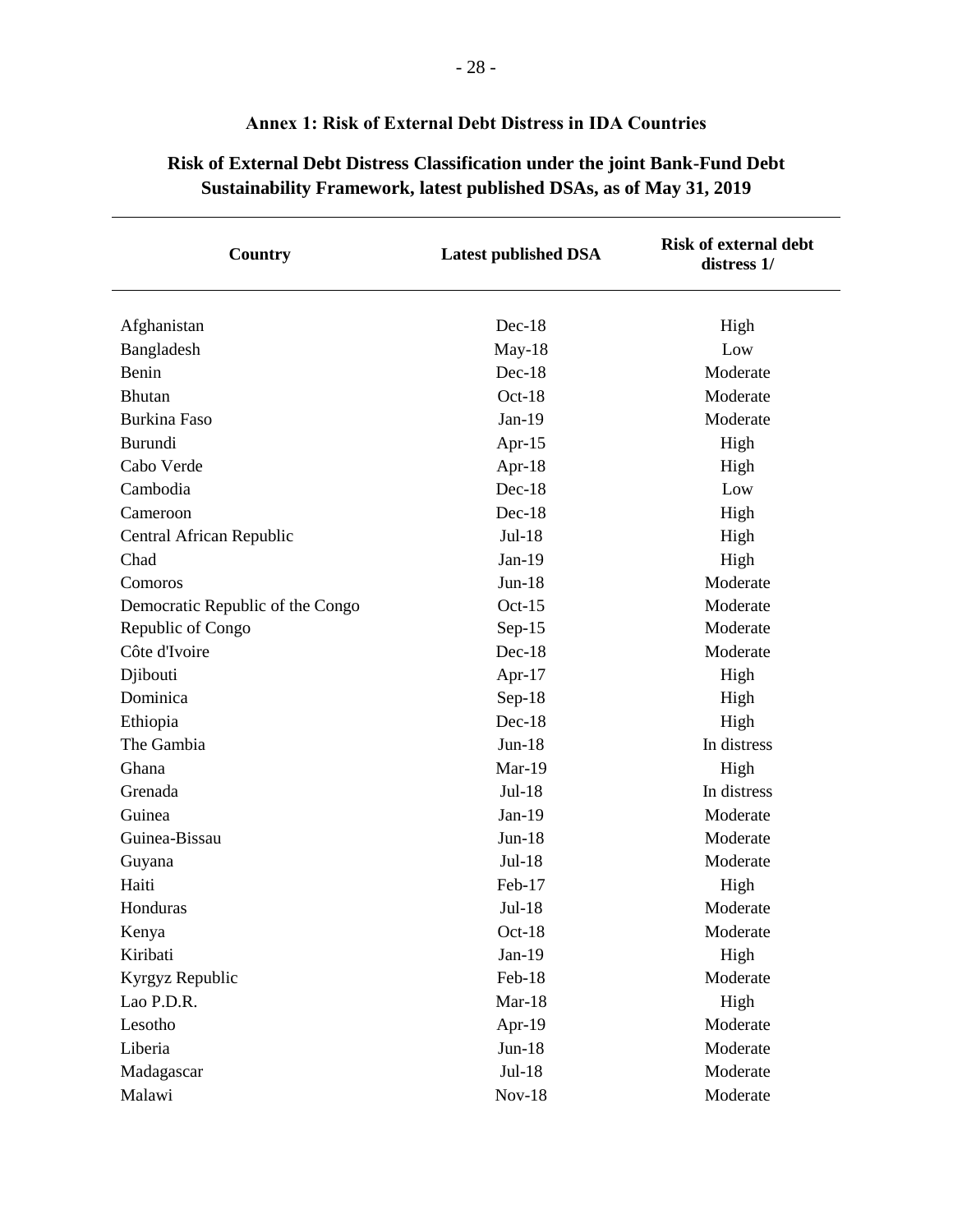| Country                          | <b>Latest published DSA</b> | <b>Risk of external debt</b><br>distress 1/ |
|----------------------------------|-----------------------------|---------------------------------------------|
| Afghanistan                      | $Dec-18$                    | High                                        |
| Bangladesh                       | $May-18$                    | Low                                         |
| Benin                            | $Dec-18$                    | Moderate                                    |
| <b>Bhutan</b>                    | $Oct-18$                    | Moderate                                    |
| <b>Burkina Faso</b>              | $Jan-19$                    | Moderate                                    |
| Burundi                          | Apr- $15$                   | High                                        |
| Cabo Verde                       | Apr- $18$                   | High                                        |
| Cambodia                         | $Dec-18$                    | Low                                         |
| Cameroon                         | $Dec-18$                    | High                                        |
| Central African Republic         | $Jul-18$                    | High                                        |
| Chad                             | $Jan-19$                    | High                                        |
| Comoros                          | $Jun-18$                    | Moderate                                    |
| Democratic Republic of the Congo | $Oct-15$                    | Moderate                                    |
| Republic of Congo                | $Sep-15$                    | Moderate                                    |
| Côte d'Ivoire                    | Dec-18                      | Moderate                                    |
| Djibouti                         | Apr- $17$                   | High                                        |
| Dominica                         | $Sep-18$                    | High                                        |
| Ethiopia                         | $Dec-18$                    | High                                        |
| The Gambia                       | $Jun-18$                    | In distress                                 |
| Ghana                            | $Mar-19$                    | High                                        |
| Grenada                          | Jul-18                      | In distress                                 |
| Guinea                           | $Jan-19$                    | Moderate                                    |
| Guinea-Bissau                    | $Jun-18$                    | Moderate                                    |
| Guyana                           | Jul-18                      | Moderate                                    |
| Haiti                            | Feb-17                      | High                                        |
| Honduras                         | Jul-18                      | Moderate                                    |
| Kenya                            | $Oct-18$                    | Moderate                                    |
| Kiribati                         | $Jan-19$                    | High                                        |
| Kyrgyz Republic                  | Feb-18                      | Moderate                                    |
| Lao P.D.R.                       | $Mar-18$                    | High                                        |
| Lesotho                          | Apr-19                      | Moderate                                    |
| Liberia                          | $Jun-18$                    | Moderate                                    |
| Madagascar                       | $Jul-18$                    | Moderate                                    |
| Malawi                           | $Nov-18$                    | Moderate                                    |

# **Annex 1: Risk of External Debt Distress in IDA Countries**

<span id="page-35-0"></span>**Risk of External Debt Distress Classification under the joint Bank-Fund Debt Sustainability Framework, latest published DSAs, as of May 31, 2019**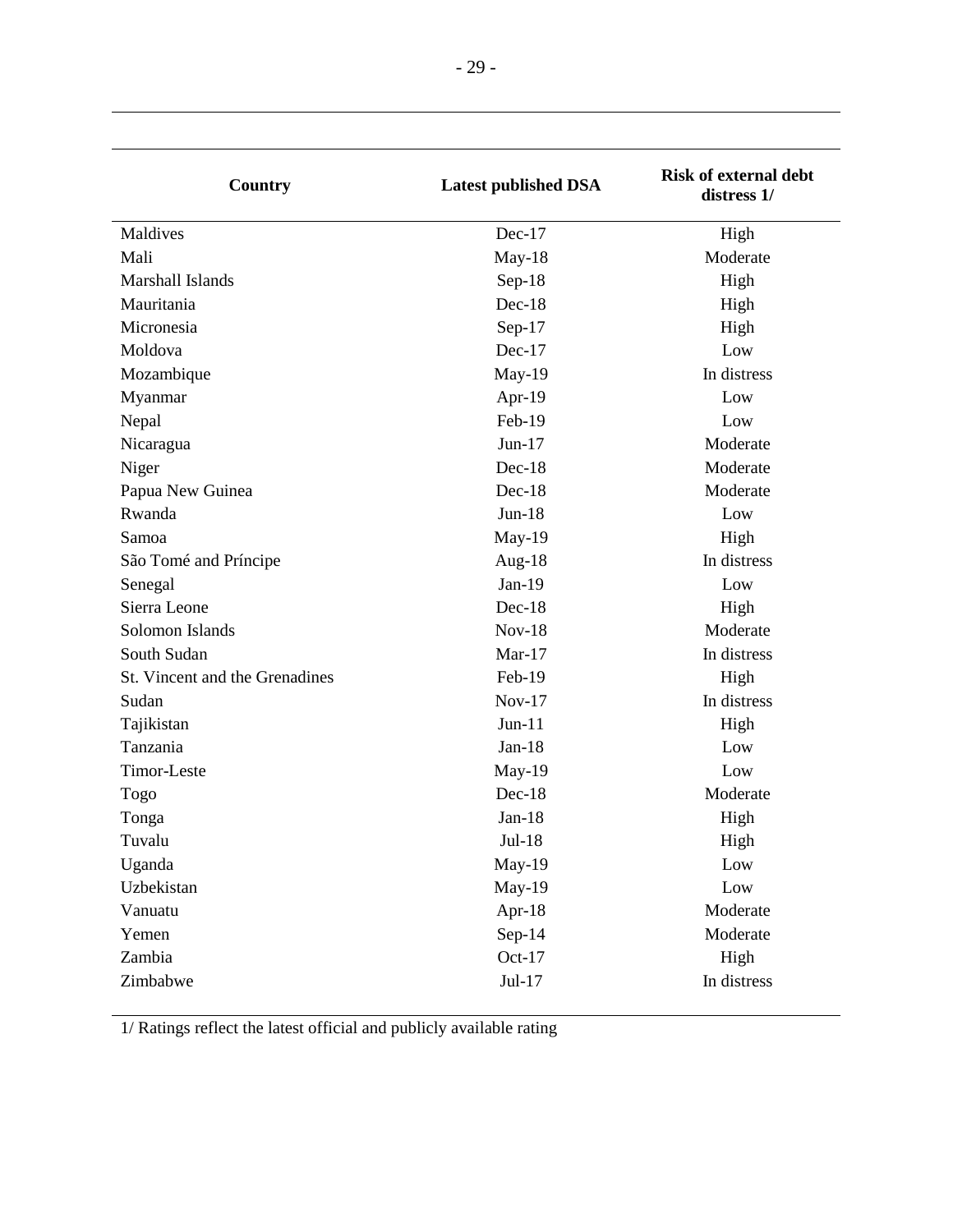| Maldives<br>Dec-17<br>High<br>Mali<br>Moderate<br>$May-18$<br>Marshall Islands<br>Sep-18<br>High<br>Mauritania<br>$Dec-18$<br>High<br>Micronesia<br>Sep-17<br>High<br>Moldova<br>$Dec-17$<br>Low<br>May-19<br>In distress<br>Mozambique<br>Myanmar<br>Apr-19<br>Low<br>Feb-19<br>Nepal<br>Low<br>Moderate<br>$Jun-17$<br>Nicaragua<br>Moderate<br>Niger<br>Dec-18<br>Moderate<br>Papua New Guinea<br>$Dec-18$<br>Rwanda<br>$Jun-18$<br>Low<br>May-19<br>Samoa<br>High<br>Aug-18<br>In distress<br>São Tomé and Príncipe<br>$Jan-19$<br>Low<br>Senegal<br>Sierra Leone<br>$Dec-18$<br>High<br>Solomon Islands<br>$Nov-18$<br>Moderate<br>South Sudan<br>In distress<br>$Mar-17$<br>Feb-19<br>St. Vincent and the Grenadines<br>High<br>$Nov-17$<br>In distress<br>Sudan<br>Tajikistan<br>$Jun-11$<br>High<br>Tanzania<br>$Jan-18$<br>Low<br>Timor-Leste<br>May-19<br>Low<br>Dec-18<br>Moderate<br>Togo<br>$Jan-18$<br>Tonga<br>High<br>$Jul-18$<br>High<br>Tuvalu<br>Low<br>Uganda<br>May-19<br>Uzbekistan<br>May-19<br>Low<br>Moderate<br>Vanuatu<br>Apr-18<br>Sep-14<br>Moderate<br>Yemen<br>Zambia<br>$Oct-17$<br>High<br>$Jul-17$<br>Zimbabwe<br>In distress | Country | <b>Latest published DSA</b> | <b>Risk of external debt</b><br>distress 1/ |
|-----------------------------------------------------------------------------------------------------------------------------------------------------------------------------------------------------------------------------------------------------------------------------------------------------------------------------------------------------------------------------------------------------------------------------------------------------------------------------------------------------------------------------------------------------------------------------------------------------------------------------------------------------------------------------------------------------------------------------------------------------------------------------------------------------------------------------------------------------------------------------------------------------------------------------------------------------------------------------------------------------------------------------------------------------------------------------------------------------------------------------------------------------------------|---------|-----------------------------|---------------------------------------------|
|                                                                                                                                                                                                                                                                                                                                                                                                                                                                                                                                                                                                                                                                                                                                                                                                                                                                                                                                                                                                                                                                                                                                                                 |         |                             |                                             |
|                                                                                                                                                                                                                                                                                                                                                                                                                                                                                                                                                                                                                                                                                                                                                                                                                                                                                                                                                                                                                                                                                                                                                                 |         |                             |                                             |
|                                                                                                                                                                                                                                                                                                                                                                                                                                                                                                                                                                                                                                                                                                                                                                                                                                                                                                                                                                                                                                                                                                                                                                 |         |                             |                                             |
|                                                                                                                                                                                                                                                                                                                                                                                                                                                                                                                                                                                                                                                                                                                                                                                                                                                                                                                                                                                                                                                                                                                                                                 |         |                             |                                             |
|                                                                                                                                                                                                                                                                                                                                                                                                                                                                                                                                                                                                                                                                                                                                                                                                                                                                                                                                                                                                                                                                                                                                                                 |         |                             |                                             |
|                                                                                                                                                                                                                                                                                                                                                                                                                                                                                                                                                                                                                                                                                                                                                                                                                                                                                                                                                                                                                                                                                                                                                                 |         |                             |                                             |
|                                                                                                                                                                                                                                                                                                                                                                                                                                                                                                                                                                                                                                                                                                                                                                                                                                                                                                                                                                                                                                                                                                                                                                 |         |                             |                                             |
|                                                                                                                                                                                                                                                                                                                                                                                                                                                                                                                                                                                                                                                                                                                                                                                                                                                                                                                                                                                                                                                                                                                                                                 |         |                             |                                             |
|                                                                                                                                                                                                                                                                                                                                                                                                                                                                                                                                                                                                                                                                                                                                                                                                                                                                                                                                                                                                                                                                                                                                                                 |         |                             |                                             |
|                                                                                                                                                                                                                                                                                                                                                                                                                                                                                                                                                                                                                                                                                                                                                                                                                                                                                                                                                                                                                                                                                                                                                                 |         |                             |                                             |
|                                                                                                                                                                                                                                                                                                                                                                                                                                                                                                                                                                                                                                                                                                                                                                                                                                                                                                                                                                                                                                                                                                                                                                 |         |                             |                                             |
|                                                                                                                                                                                                                                                                                                                                                                                                                                                                                                                                                                                                                                                                                                                                                                                                                                                                                                                                                                                                                                                                                                                                                                 |         |                             |                                             |
|                                                                                                                                                                                                                                                                                                                                                                                                                                                                                                                                                                                                                                                                                                                                                                                                                                                                                                                                                                                                                                                                                                                                                                 |         |                             |                                             |
|                                                                                                                                                                                                                                                                                                                                                                                                                                                                                                                                                                                                                                                                                                                                                                                                                                                                                                                                                                                                                                                                                                                                                                 |         |                             |                                             |
|                                                                                                                                                                                                                                                                                                                                                                                                                                                                                                                                                                                                                                                                                                                                                                                                                                                                                                                                                                                                                                                                                                                                                                 |         |                             |                                             |
|                                                                                                                                                                                                                                                                                                                                                                                                                                                                                                                                                                                                                                                                                                                                                                                                                                                                                                                                                                                                                                                                                                                                                                 |         |                             |                                             |
|                                                                                                                                                                                                                                                                                                                                                                                                                                                                                                                                                                                                                                                                                                                                                                                                                                                                                                                                                                                                                                                                                                                                                                 |         |                             |                                             |
|                                                                                                                                                                                                                                                                                                                                                                                                                                                                                                                                                                                                                                                                                                                                                                                                                                                                                                                                                                                                                                                                                                                                                                 |         |                             |                                             |
|                                                                                                                                                                                                                                                                                                                                                                                                                                                                                                                                                                                                                                                                                                                                                                                                                                                                                                                                                                                                                                                                                                                                                                 |         |                             |                                             |
|                                                                                                                                                                                                                                                                                                                                                                                                                                                                                                                                                                                                                                                                                                                                                                                                                                                                                                                                                                                                                                                                                                                                                                 |         |                             |                                             |
|                                                                                                                                                                                                                                                                                                                                                                                                                                                                                                                                                                                                                                                                                                                                                                                                                                                                                                                                                                                                                                                                                                                                                                 |         |                             |                                             |
|                                                                                                                                                                                                                                                                                                                                                                                                                                                                                                                                                                                                                                                                                                                                                                                                                                                                                                                                                                                                                                                                                                                                                                 |         |                             |                                             |
|                                                                                                                                                                                                                                                                                                                                                                                                                                                                                                                                                                                                                                                                                                                                                                                                                                                                                                                                                                                                                                                                                                                                                                 |         |                             |                                             |
|                                                                                                                                                                                                                                                                                                                                                                                                                                                                                                                                                                                                                                                                                                                                                                                                                                                                                                                                                                                                                                                                                                                                                                 |         |                             |                                             |
|                                                                                                                                                                                                                                                                                                                                                                                                                                                                                                                                                                                                                                                                                                                                                                                                                                                                                                                                                                                                                                                                                                                                                                 |         |                             |                                             |
|                                                                                                                                                                                                                                                                                                                                                                                                                                                                                                                                                                                                                                                                                                                                                                                                                                                                                                                                                                                                                                                                                                                                                                 |         |                             |                                             |
|                                                                                                                                                                                                                                                                                                                                                                                                                                                                                                                                                                                                                                                                                                                                                                                                                                                                                                                                                                                                                                                                                                                                                                 |         |                             |                                             |
|                                                                                                                                                                                                                                                                                                                                                                                                                                                                                                                                                                                                                                                                                                                                                                                                                                                                                                                                                                                                                                                                                                                                                                 |         |                             |                                             |
|                                                                                                                                                                                                                                                                                                                                                                                                                                                                                                                                                                                                                                                                                                                                                                                                                                                                                                                                                                                                                                                                                                                                                                 |         |                             |                                             |
|                                                                                                                                                                                                                                                                                                                                                                                                                                                                                                                                                                                                                                                                                                                                                                                                                                                                                                                                                                                                                                                                                                                                                                 |         |                             |                                             |
|                                                                                                                                                                                                                                                                                                                                                                                                                                                                                                                                                                                                                                                                                                                                                                                                                                                                                                                                                                                                                                                                                                                                                                 |         |                             |                                             |
|                                                                                                                                                                                                                                                                                                                                                                                                                                                                                                                                                                                                                                                                                                                                                                                                                                                                                                                                                                                                                                                                                                                                                                 |         |                             |                                             |
|                                                                                                                                                                                                                                                                                                                                                                                                                                                                                                                                                                                                                                                                                                                                                                                                                                                                                                                                                                                                                                                                                                                                                                 |         |                             |                                             |

1/ Ratings reflect the latest official and publicly available rating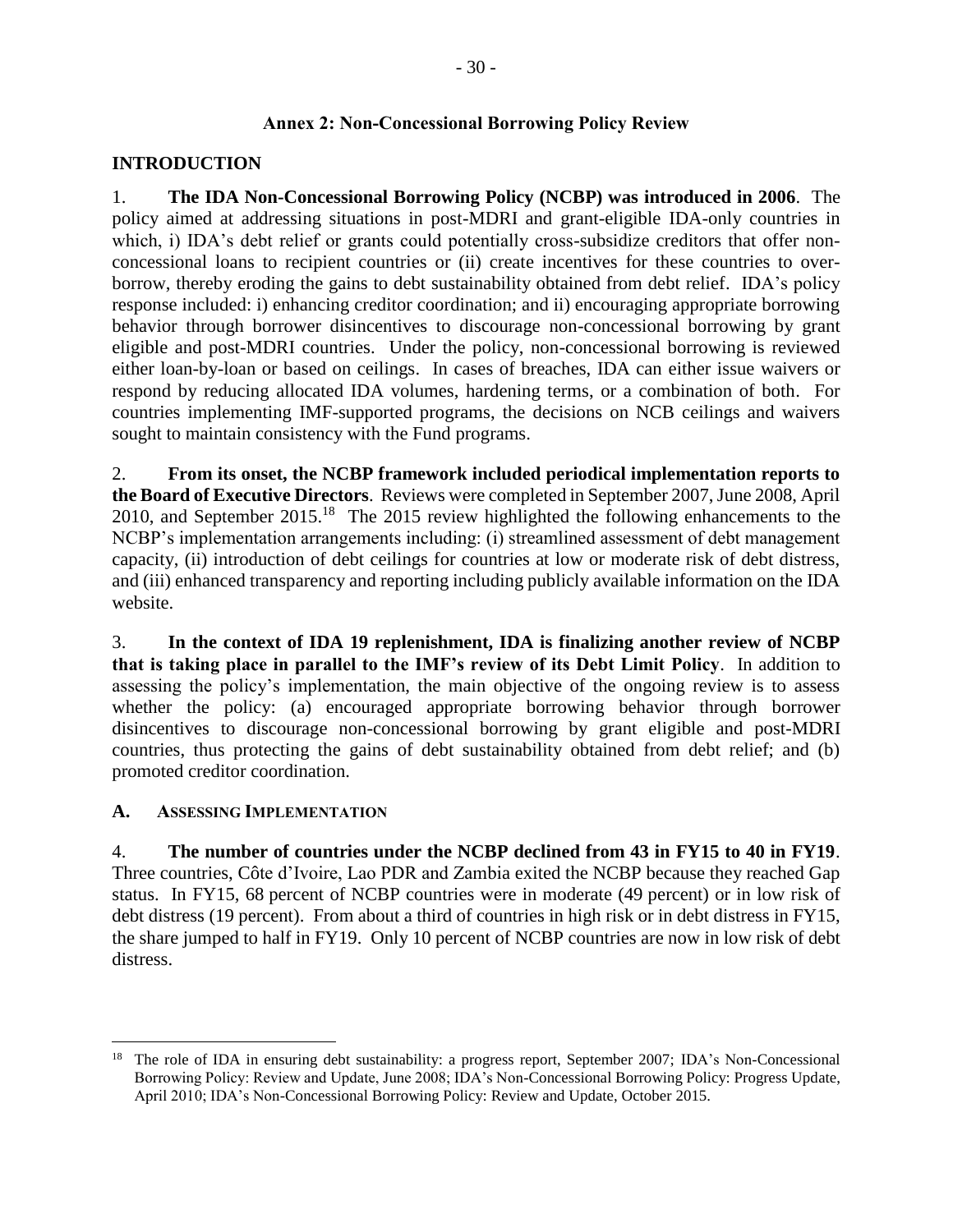#### **Annex 2: Non-Concessional Borrowing Policy Review**

#### <span id="page-37-0"></span>**INTRODUCTION**

1. **The IDA Non-Concessional Borrowing Policy (NCBP) was introduced in 2006**. The policy aimed at addressing situations in post-MDRI and grant-eligible IDA-only countries in which, i) IDA's debt relief or grants could potentially cross-subsidize creditors that offer nonconcessional loans to recipient countries or (ii) create incentives for these countries to overborrow, thereby eroding the gains to debt sustainability obtained from debt relief. IDA's policy response included: i) enhancing creditor coordination; and ii) encouraging appropriate borrowing behavior through borrower disincentives to discourage non-concessional borrowing by grant eligible and post-MDRI countries. Under the policy, non-concessional borrowing is reviewed either loan-by-loan or based on ceilings. In cases of breaches, IDA can either issue waivers or respond by reducing allocated IDA volumes, hardening terms, or a combination of both. For countries implementing IMF-supported programs, the decisions on NCB ceilings and waivers sought to maintain consistency with the Fund programs.

2. **From its onset, the NCBP framework included periodical implementation reports to the Board of Executive Directors**. Reviews were completed in September 2007, June 2008, April 2010, and September 2015.<sup>18</sup> The 2015 review highlighted the following enhancements to the NCBP's implementation arrangements including: (i) streamlined assessment of debt management capacity, (ii) introduction of debt ceilings for countries at low or moderate risk of debt distress, and (iii) enhanced transparency and reporting including publicly available information on the IDA website.

3. **In the context of IDA 19 replenishment, IDA is finalizing another review of NCBP that is taking place in parallel to the IMF's review of its Debt Limit Policy**. In addition to assessing the policy's implementation, the main objective of the ongoing review is to assess whether the policy: (a) encouraged appropriate borrowing behavior through borrower disincentives to discourage non-concessional borrowing by grant eligible and post-MDRI countries, thus protecting the gains of debt sustainability obtained from debt relief; and (b) promoted creditor coordination.

#### **A. ASSESSING IMPLEMENTATION**

 $\overline{a}$ 

4. **The number of countries under the NCBP declined from 43 in FY15 to 40 in FY19**. Three countries, Côte d'Ivoire, Lao PDR and Zambia exited the NCBP because they reached Gap status. In FY15, 68 percent of NCBP countries were in moderate (49 percent) or in low risk of debt distress (19 percent). From about a third of countries in high risk or in debt distress in FY15, the share jumped to half in FY19. Only 10 percent of NCBP countries are now in low risk of debt distress.

<sup>&</sup>lt;sup>18</sup> The role of IDA in ensuring debt sustainability: a progress report, September 2007; IDA's Non-Concessional Borrowing Policy: Review and Update, June 2008; IDA's Non-Concessional Borrowing Policy: Progress Update, April 2010; IDA's Non-Concessional Borrowing Policy: Review and Update, October 2015.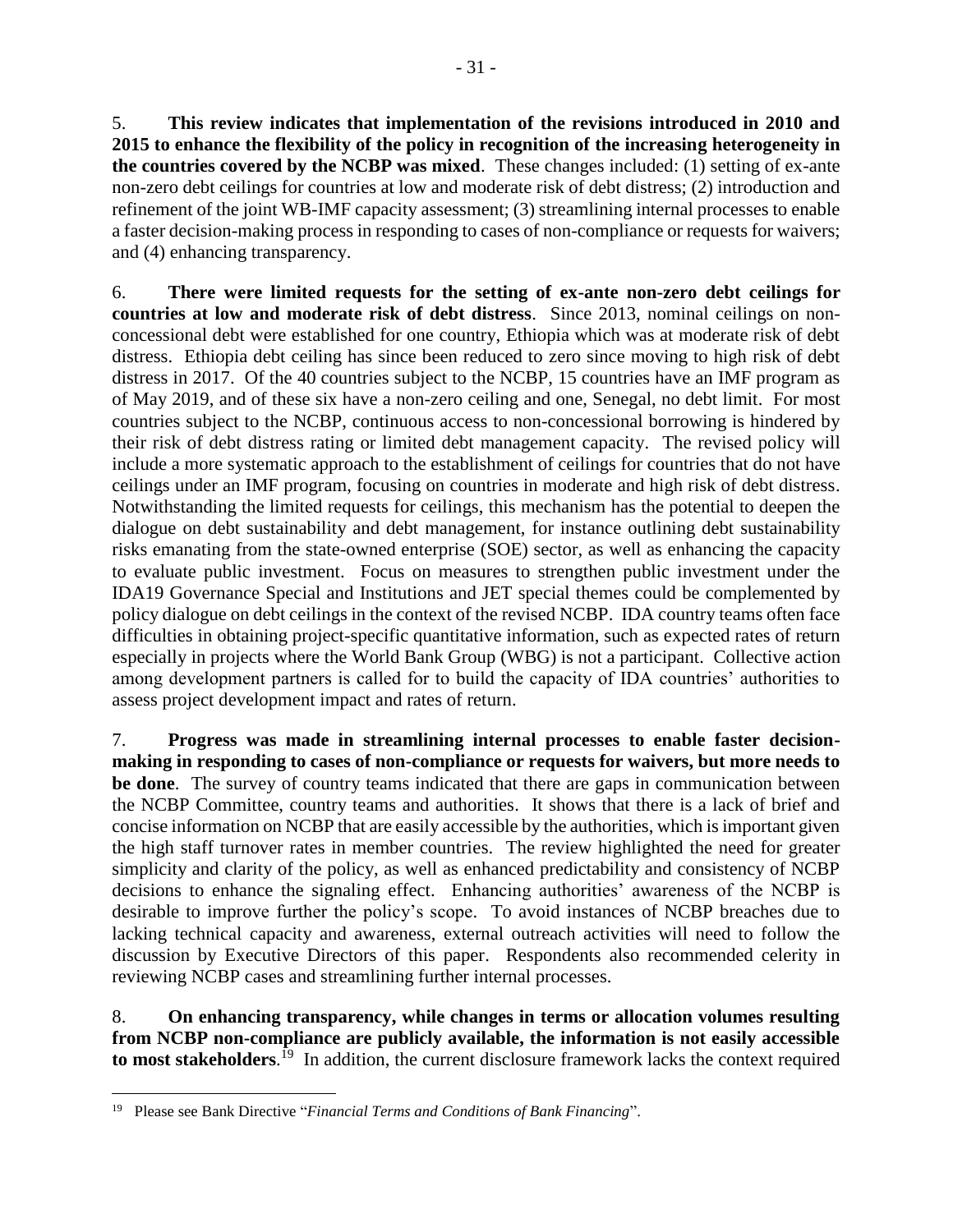5. **This review indicates that implementation of the revisions introduced in 2010 and 2015 to enhance the flexibility of the policy in recognition of the increasing heterogeneity in the countries covered by the NCBP was mixed**. These changes included: (1) setting of ex-ante non-zero debt ceilings for countries at low and moderate risk of debt distress; (2) introduction and refinement of the joint WB-IMF capacity assessment; (3) streamlining internal processes to enable a faster decision-making process in responding to cases of non-compliance or requests for waivers; and (4) enhancing transparency.

6. **There were limited requests for the setting of ex-ante non-zero debt ceilings for countries at low and moderate risk of debt distress**. Since 2013, nominal ceilings on nonconcessional debt were established for one country, Ethiopia which was at moderate risk of debt distress. Ethiopia debt ceiling has since been reduced to zero since moving to high risk of debt distress in 2017. Of the 40 countries subject to the NCBP, 15 countries have an IMF program as of May 2019, and of these six have a non-zero ceiling and one, Senegal, no debt limit. For most countries subject to the NCBP, continuous access to non-concessional borrowing is hindered by their risk of debt distress rating or limited debt management capacity. The revised policy will include a more systematic approach to the establishment of ceilings for countries that do not have ceilings under an IMF program, focusing on countries in moderate and high risk of debt distress. Notwithstanding the limited requests for ceilings, this mechanism has the potential to deepen the dialogue on debt sustainability and debt management, for instance outlining debt sustainability risks emanating from the state-owned enterprise (SOE) sector, as well as enhancing the capacity to evaluate public investment. Focus on measures to strengthen public investment under the IDA19 Governance Special and Institutions and JET special themes could be complemented by policy dialogue on debt ceilings in the context of the revised NCBP. IDA country teams often face difficulties in obtaining project-specific quantitative information, such as expected rates of return especially in projects where the World Bank Group (WBG) is not a participant. Collective action among development partners is called for to build the capacity of IDA countries' authorities to assess project development impact and rates of return.

7. **Progress was made in streamlining internal processes to enable faster decisionmaking in responding to cases of non-compliance or requests for waivers, but more needs to be done**. The survey of country teams indicated that there are gaps in communication between the NCBP Committee, country teams and authorities. It shows that there is a lack of brief and concise information on NCBP that are easily accessible by the authorities, which is important given the high staff turnover rates in member countries. The review highlighted the need for greater simplicity and clarity of the policy, as well as enhanced predictability and consistency of NCBP decisions to enhance the signaling effect. Enhancing authorities' awareness of the NCBP is desirable to improve further the policy's scope. To avoid instances of NCBP breaches due to lacking technical capacity and awareness, external outreach activities will need to follow the discussion by Executive Directors of this paper. Respondents also recommended celerity in reviewing NCBP cases and streamlining further internal processes.

8. **On enhancing transparency, while changes in terms or allocation volumes resulting from NCBP non-compliance are publicly available, the information is not easily accessible to most stakeholders**. <sup>19</sup> In addition, the current disclosure framework lacks the context required

 $\overline{a}$ 

<sup>19</sup> Please se[e Bank Directive](https://policies.worldbank.org/sites/ppf3/PPFAnnex/Forms/DispPage.aspx?docid=b875a7a4-0f49-4632-92e9-d008584caab3Annex2) "*Financial Terms and Conditions of Bank Financing*".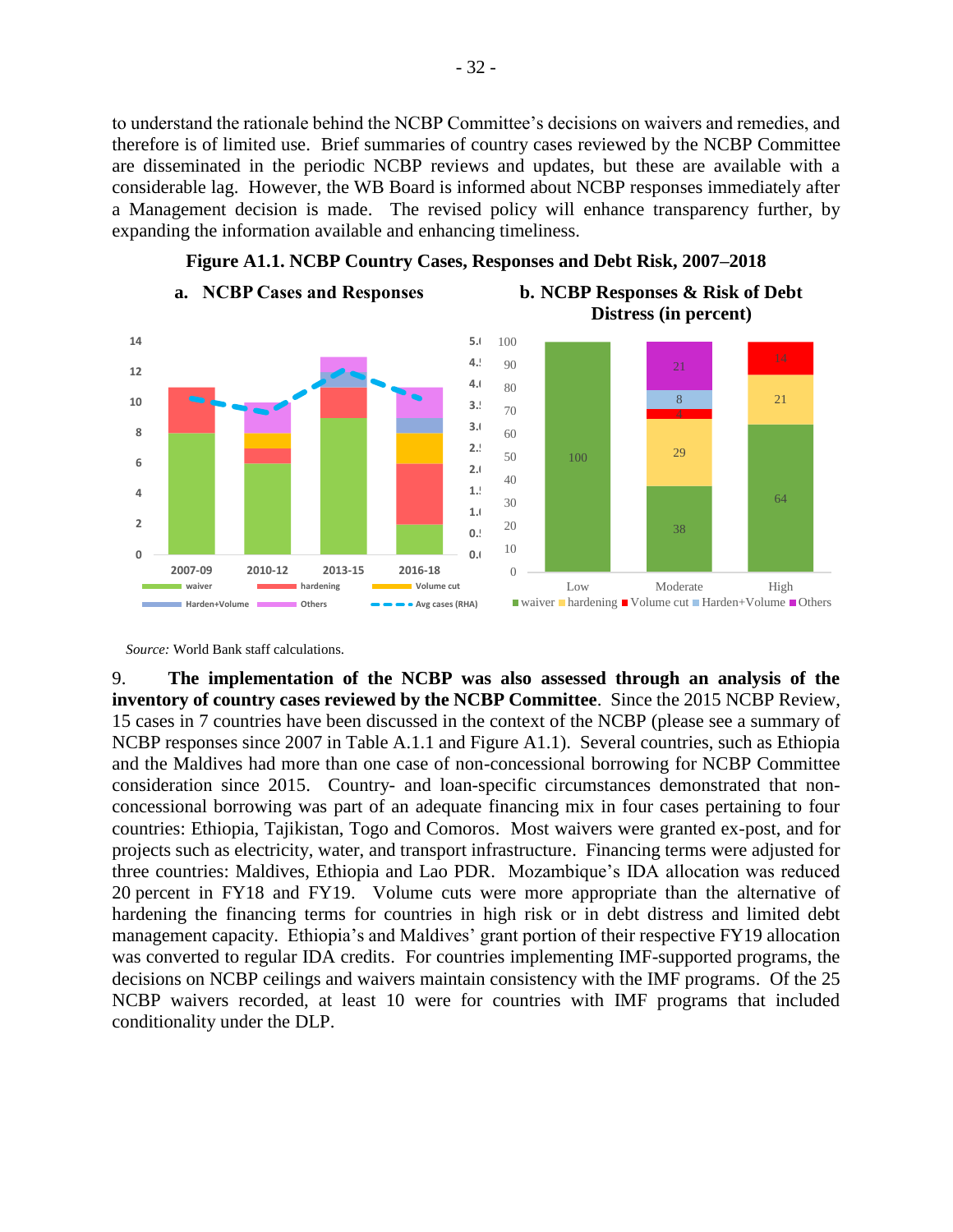to understand the rationale behind the NCBP Committee's decisions on waivers and remedies, and therefore is of limited use. Brief summaries of country cases reviewed by the NCBP Committee are disseminated in the periodic NCBP reviews and updates, but these are available with a considerable lag. However, the WB Board is informed about NCBP responses immediately after a Management decision is made. The revised policy will enhance transparency further, by expanding the information available and enhancing timeliness.



**Figure A1.1. NCBP Country Cases, Responses and Debt Risk, 2007–2018**

*Source:* World Bank staff calculations.

9. **The implementation of the NCBP was also assessed through an analysis of the inventory of country cases reviewed by the NCBP Committee**. Since the 2015 NCBP Review, 15 cases in 7 countries have been discussed in the context of the NCBP (please see a summary of NCBP responses since 2007 in Table A.1.1 and Figure A1.1). Several countries, such as Ethiopia and the Maldives had more than one case of non-concessional borrowing for NCBP Committee consideration since 2015. Country- and loan-specific circumstances demonstrated that nonconcessional borrowing was part of an adequate financing mix in four cases pertaining to four countries: Ethiopia, Tajikistan, Togo and Comoros. Most waivers were granted ex-post, and for projects such as electricity, water, and transport infrastructure. Financing terms were adjusted for three countries: Maldives, Ethiopia and Lao PDR. Mozambique's IDA allocation was reduced 20 percent in FY18 and FY19. Volume cuts were more appropriate than the alternative of hardening the financing terms for countries in high risk or in debt distress and limited debt management capacity. Ethiopia's and Maldives' grant portion of their respective FY19 allocation was converted to regular IDA credits. For countries implementing IMF-supported programs, the decisions on NCBP ceilings and waivers maintain consistency with the IMF programs. Of the 25 NCBP waivers recorded, at least 10 were for countries with IMF programs that included conditionality under the DLP.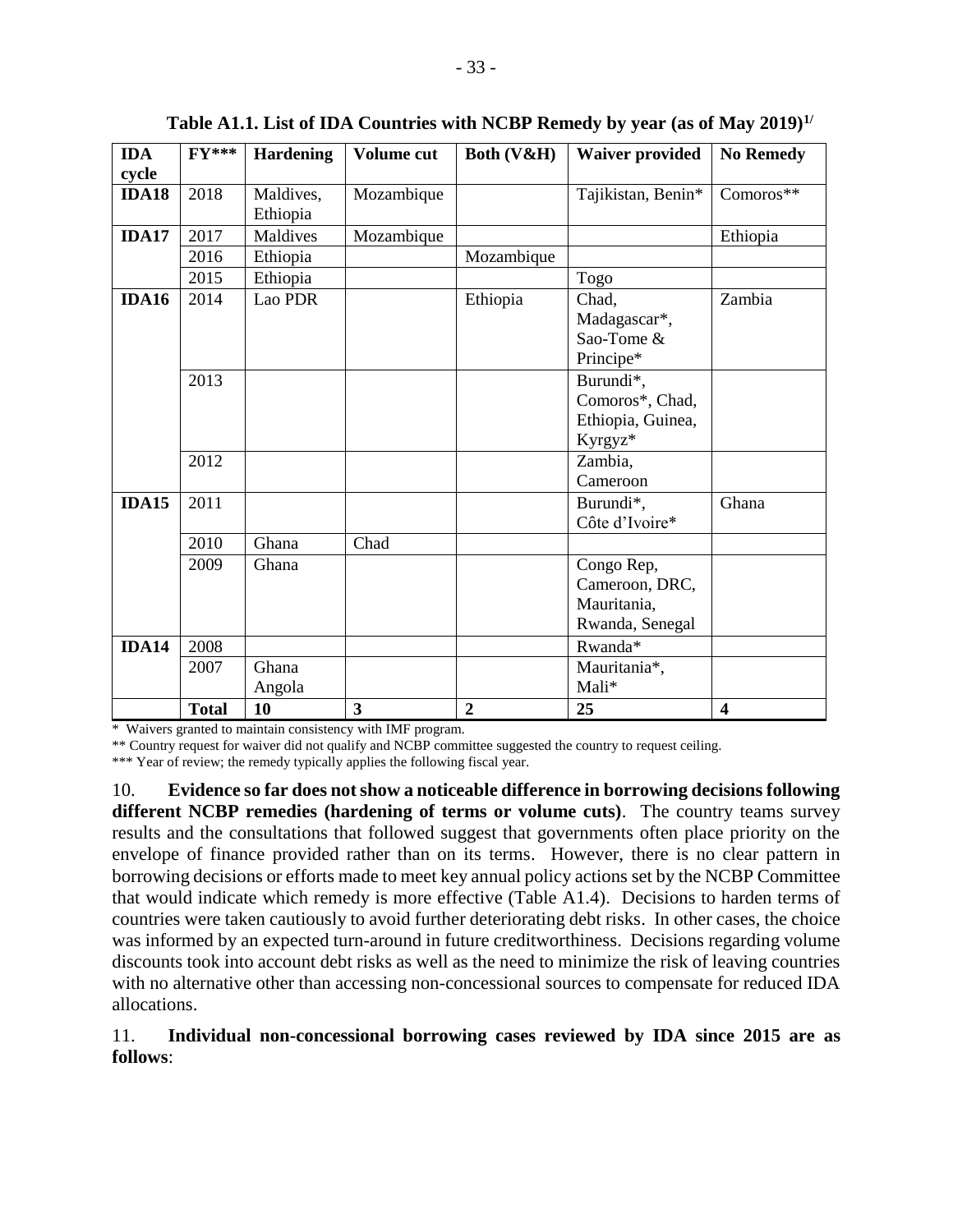| <b>IDA</b>   | $FY***$      | <b>Hardening</b>      | Volume cut   | Both (V&H)     | <b>Waiver provided</b>                                         | <b>No Remedy</b>        |
|--------------|--------------|-----------------------|--------------|----------------|----------------------------------------------------------------|-------------------------|
| cycle        |              |                       |              |                |                                                                |                         |
| <b>IDA18</b> | 2018         | Maldives,<br>Ethiopia | Mozambique   |                | Tajikistan, Benin*                                             | Comoros**               |
| <b>IDA17</b> | 2017         | Maldives              | Mozambique   |                |                                                                | Ethiopia                |
|              | 2016         | Ethiopia              |              | Mozambique     |                                                                |                         |
|              | 2015         | Ethiopia              |              |                | Togo                                                           |                         |
| IDA16        | 2014         | Lao PDR               |              | Ethiopia       | Chad,<br>Madagascar*,<br>Sao-Tome &<br>Principe*               | Zambia                  |
|              | 2013         |                       |              |                | Burundi*,<br>Comoros*, Chad,<br>Ethiopia, Guinea,<br>Kyrgyz*   |                         |
|              | 2012         |                       |              |                | Zambia,<br>Cameroon                                            |                         |
| <b>IDA15</b> | 2011         |                       |              |                | Burundi*,<br>Côte d'Ivoire*                                    | Ghana                   |
|              | 2010         | Ghana                 | Chad         |                |                                                                |                         |
|              | 2009         | Ghana                 |              |                | Congo Rep,<br>Cameroon, DRC,<br>Mauritania,<br>Rwanda, Senegal |                         |
| <b>IDA14</b> | 2008         |                       |              |                | Rwanda*                                                        |                         |
|              | 2007         | Ghana<br>Angola       |              |                | Mauritania*,<br>Mali*                                          |                         |
|              | <b>Total</b> | 10                    | $\mathbf{3}$ | $\overline{2}$ | 25                                                             | $\overline{\mathbf{4}}$ |

**Table A1.1. List of IDA Countries with NCBP Remedy by year (as of May 2019)1/**

\* Waivers granted to maintain consistency with IMF program.

\*\* Country request for waiver did not qualify and NCBP committee suggested the country to request ceiling.

\*\*\* Year of review; the remedy typically applies the following fiscal year.

10. **Evidence so far does not show a noticeable difference in borrowing decisions following different NCBP remedies (hardening of terms or volume cuts)**. The country teams survey results and the consultations that followed suggest that governments often place priority on the envelope of finance provided rather than on its terms. However, there is no clear pattern in borrowing decisions or efforts made to meet key annual policy actions set by the NCBP Committee that would indicate which remedy is more effective (Table A1.4). Decisions to harden terms of countries were taken cautiously to avoid further deteriorating debt risks. In other cases, the choice was informed by an expected turn-around in future creditworthiness. Decisions regarding volume discounts took into account debt risks as well as the need to minimize the risk of leaving countries with no alternative other than accessing non-concessional sources to compensate for reduced IDA allocations.

#### 11. **Individual non-concessional borrowing cases reviewed by IDA since 2015 are as follows**: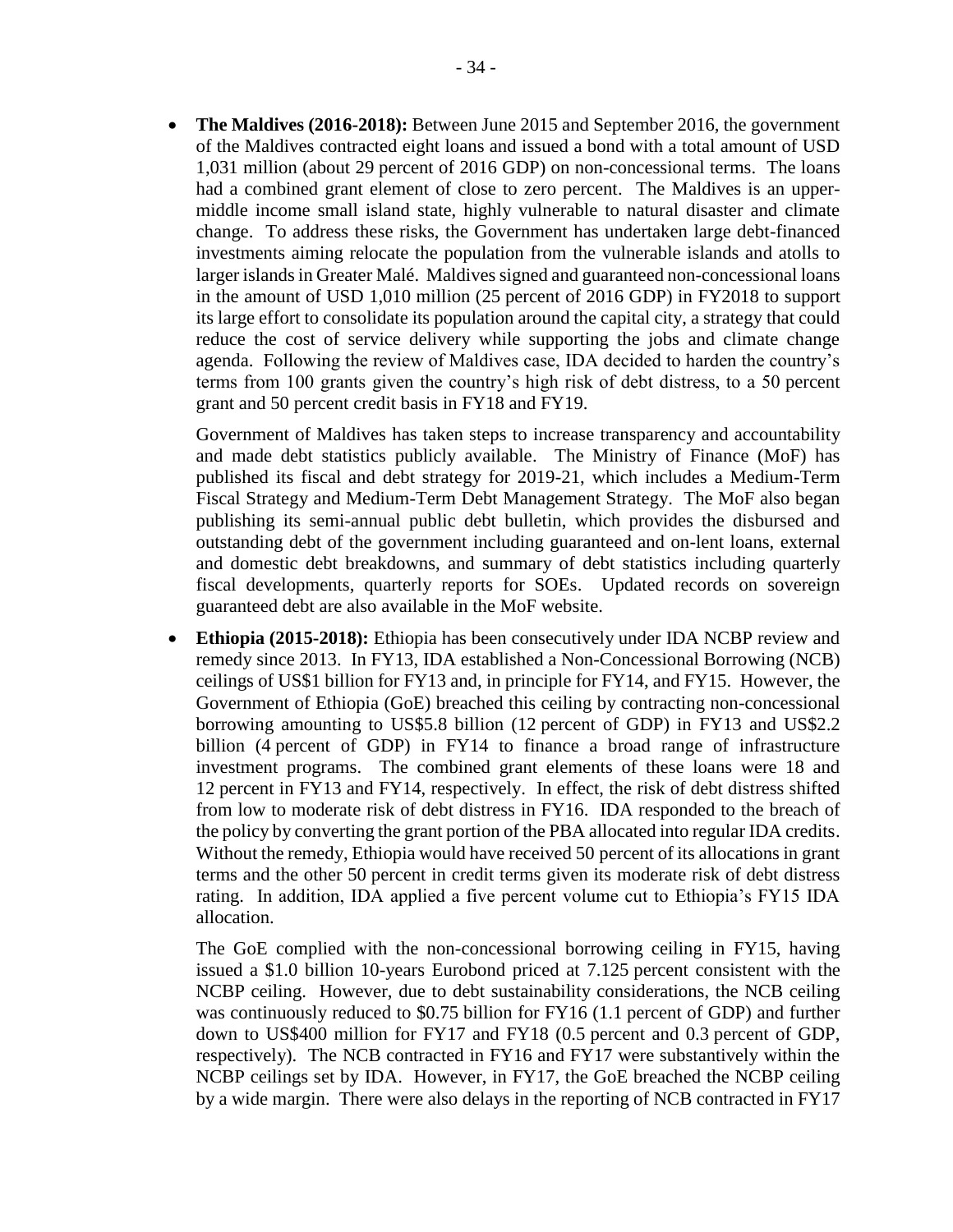• **The Maldives (2016-2018):** Between June 2015 and September 2016, the government of the Maldives contracted eight loans and issued a bond with a total amount of USD 1,031 million (about 29 percent of 2016 GDP) on non-concessional terms. The loans had a combined grant element of close to zero percent. The Maldives is an uppermiddle income small island state, highly vulnerable to natural disaster and climate change. To address these risks, the Government has undertaken large debt-financed investments aiming relocate the population from the vulnerable islands and atolls to larger islands in Greater Malé. Maldives signed and guaranteed non-concessional loans in the amount of USD 1,010 million (25 percent of 2016 GDP) in FY2018 to support its large effort to consolidate its population around the capital city, a strategy that could reduce the cost of service delivery while supporting the jobs and climate change agenda. Following the review of Maldives case, IDA decided to harden the country's terms from 100 grants given the country's high risk of debt distress, to a 50 percent grant and 50 percent credit basis in FY18 and FY19.

Government of Maldives has taken steps to increase transparency and accountability and made debt statistics publicly available. The Ministry of Finance (MoF) has published its fiscal and debt strategy for 2019-21, which includes a Medium-Term Fiscal Strategy and Medium-Term Debt Management Strategy. The MoF also began publishing its semi-annual public debt bulletin, which provides the disbursed and outstanding debt of the government including guaranteed and on-lent loans, external and domestic debt breakdowns, and summary of debt statistics including quarterly fiscal developments, quarterly reports for SOEs. Updated records on sovereign guaranteed debt are also available in the MoF website.

• **Ethiopia (2015-2018):** Ethiopia has been consecutively under IDA NCBP review and remedy since 2013. In FY13, IDA established a Non-Concessional Borrowing (NCB) ceilings of US\$1 billion for FY13 and, in principle for FY14, and FY15. However, the Government of Ethiopia (GoE) breached this ceiling by contracting non-concessional borrowing amounting to US\$5.8 billion (12 percent of GDP) in FY13 and US\$2.2 billion (4 percent of GDP) in FY14 to finance a broad range of infrastructure investment programs. The combined grant elements of these loans were 18 and 12 percent in FY13 and FY14, respectively. In effect, the risk of debt distress shifted from low to moderate risk of debt distress in FY16. IDA responded to the breach of the policy by converting the grant portion of the PBA allocated into regular IDA credits. Without the remedy, Ethiopia would have received 50 percent of its allocations in grant terms and the other 50 percent in credit terms given its moderate risk of debt distress rating. In addition, IDA applied a five percent volume cut to Ethiopia's FY15 IDA allocation.

The GoE complied with the non-concessional borrowing ceiling in FY15, having issued a \$1.0 billion 10-years Eurobond priced at 7.125 percent consistent with the NCBP ceiling. However, due to debt sustainability considerations, the NCB ceiling was continuously reduced to \$0.75 billion for FY16 (1.1 percent of GDP) and further down to US\$400 million for FY17 and FY18 (0.5 percent and 0.3 percent of GDP, respectively). The NCB contracted in FY16 and FY17 were substantively within the NCBP ceilings set by IDA. However, in FY17, the GoE breached the NCBP ceiling by a wide margin. There were also delays in the reporting of NCB contracted in FY17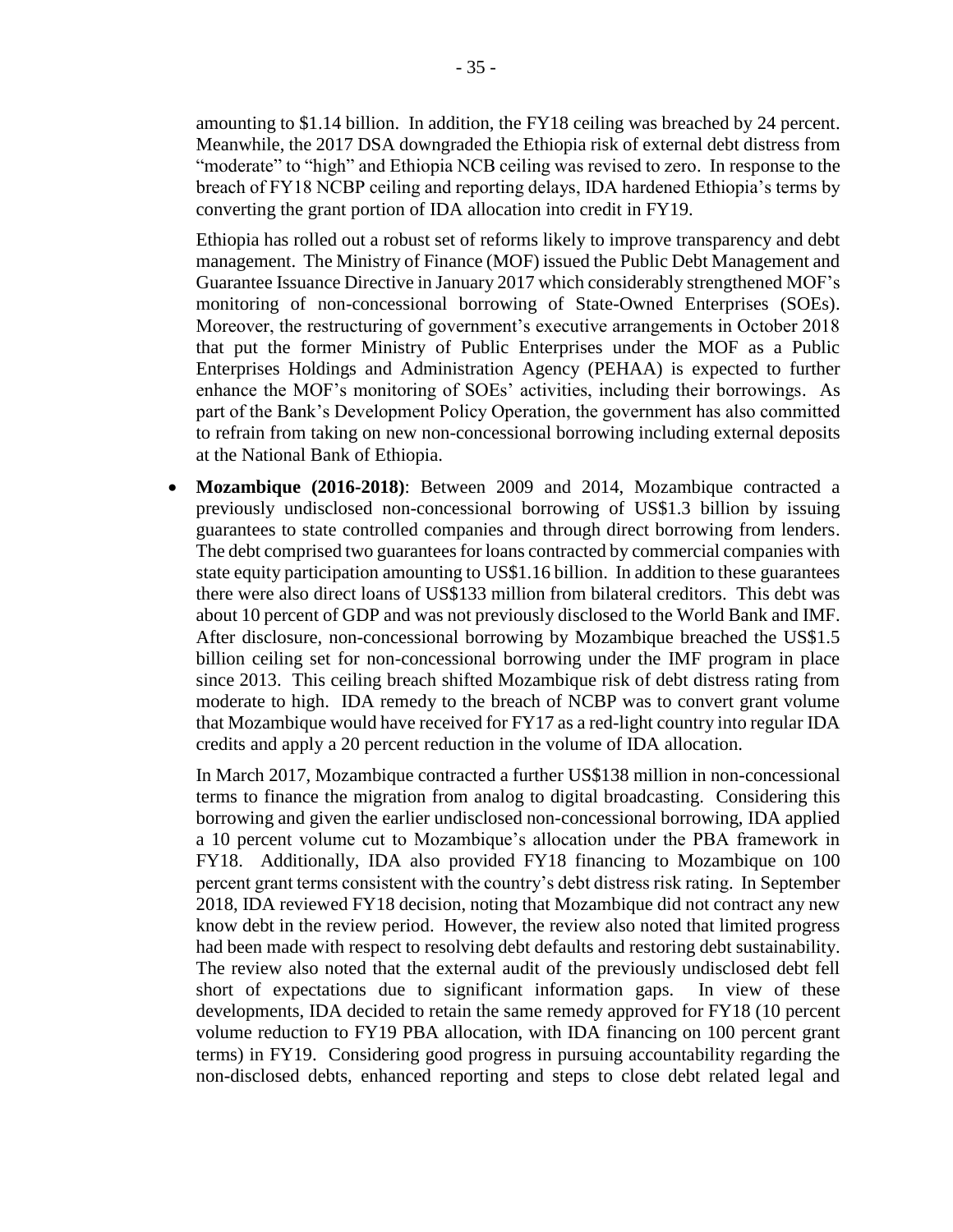amounting to \$1.14 billion. In addition, the FY18 ceiling was breached by 24 percent. Meanwhile, the 2017 DSA downgraded the Ethiopia risk of external debt distress from "moderate" to "high" and Ethiopia NCB ceiling was revised to zero. In response to the breach of FY18 NCBP ceiling and reporting delays, IDA hardened Ethiopia's terms by converting the grant portion of IDA allocation into credit in FY19.

Ethiopia has rolled out a robust set of reforms likely to improve transparency and debt management. The Ministry of Finance (MOF) issued the Public Debt Management and Guarantee Issuance Directive in January 2017 which considerably strengthened MOF's monitoring of non-concessional borrowing of State-Owned Enterprises (SOEs). Moreover, the restructuring of government's executive arrangements in October 2018 that put the former Ministry of Public Enterprises under the MOF as a Public Enterprises Holdings and Administration Agency (PEHAA) is expected to further enhance the MOF's monitoring of SOEs' activities, including their borrowings. As part of the Bank's Development Policy Operation, the government has also committed to refrain from taking on new non-concessional borrowing including external deposits at the National Bank of Ethiopia.

• **Mozambique (2016-2018)**: Between 2009 and 2014, Mozambique contracted a previously undisclosed non-concessional borrowing of US\$1.3 billion by issuing guarantees to state controlled companies and through direct borrowing from lenders. The debt comprised two guarantees for loans contracted by commercial companies with state equity participation amounting to US\$1.16 billion. In addition to these guarantees there were also direct loans of US\$133 million from bilateral creditors. This debt was about 10 percent of GDP and was not previously disclosed to the World Bank and IMF. After disclosure, non-concessional borrowing by Mozambique breached the US\$1.5 billion ceiling set for non-concessional borrowing under the IMF program in place since 2013. This ceiling breach shifted Mozambique risk of debt distress rating from moderate to high. IDA remedy to the breach of NCBP was to convert grant volume that Mozambique would have received for FY17 as a red-light country into regular IDA credits and apply a 20 percent reduction in the volume of IDA allocation.

In March 2017, Mozambique contracted a further US\$138 million in non-concessional terms to finance the migration from analog to digital broadcasting. Considering this borrowing and given the earlier undisclosed non-concessional borrowing, IDA applied a 10 percent volume cut to Mozambique's allocation under the PBA framework in FY18. Additionally, IDA also provided FY18 financing to Mozambique on 100 percent grant terms consistent with the country's debt distress risk rating. In September 2018, IDA reviewed FY18 decision, noting that Mozambique did not contract any new know debt in the review period. However, the review also noted that limited progress had been made with respect to resolving debt defaults and restoring debt sustainability. The review also noted that the external audit of the previously undisclosed debt fell short of expectations due to significant information gaps. In view of these developments, IDA decided to retain the same remedy approved for FY18 (10 percent volume reduction to FY19 PBA allocation, with IDA financing on 100 percent grant terms) in FY19. Considering good progress in pursuing accountability regarding the non-disclosed debts, enhanced reporting and steps to close debt related legal and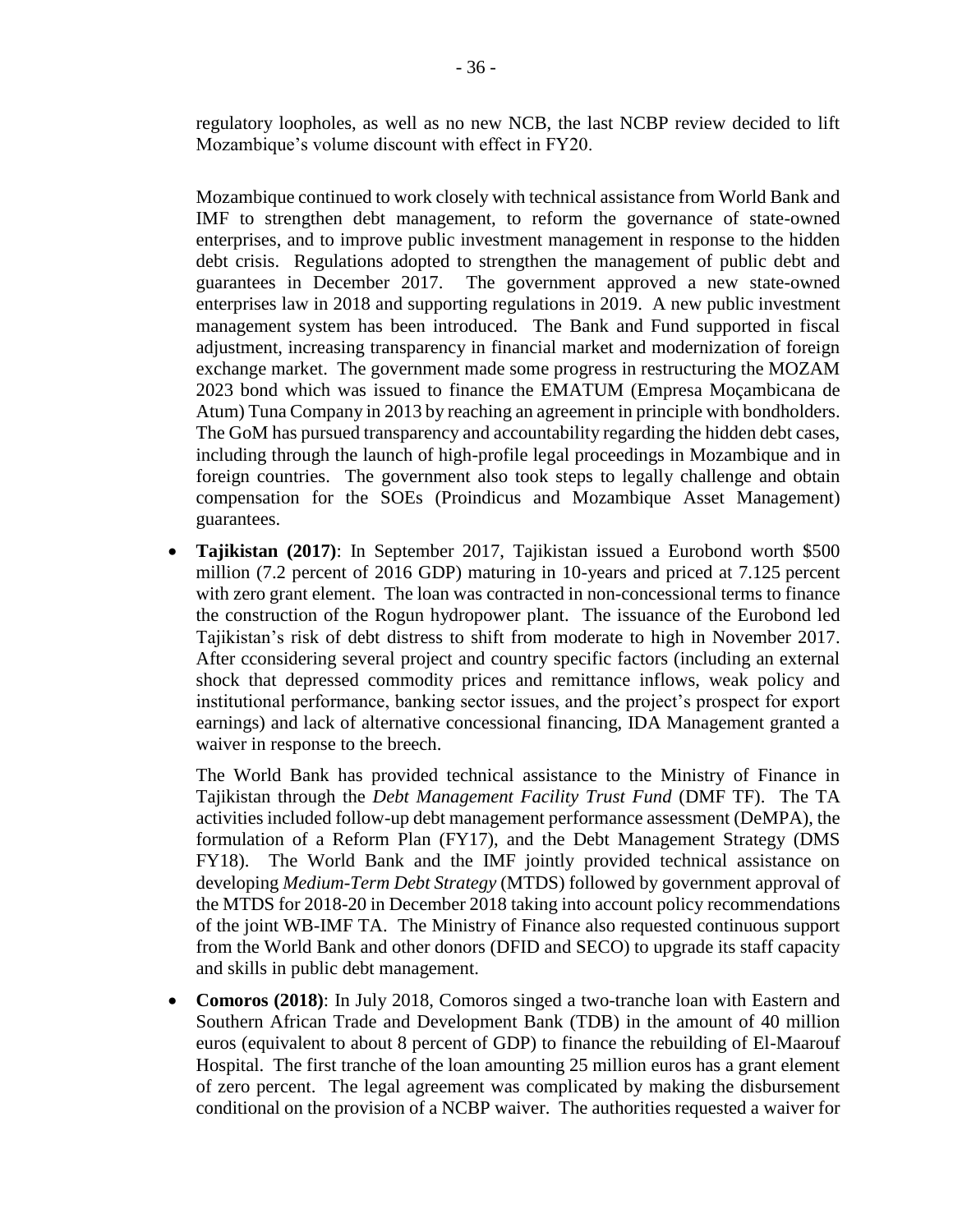regulatory loopholes, as well as no new NCB, the last NCBP review decided to lift Mozambique's volume discount with effect in FY20.

Mozambique continued to work closely with technical assistance from World Bank and IMF to strengthen debt management, to reform the governance of state-owned enterprises, and to improve public investment management in response to the hidden debt crisis. Regulations adopted to strengthen the management of public debt and guarantees in December 2017. The government approved a new state-owned enterprises law in 2018 and supporting regulations in 2019. A new public investment management system has been introduced. The Bank and Fund supported in fiscal adjustment, increasing transparency in financial market and modernization of foreign exchange market. The government made some progress in restructuring the MOZAM 2023 bond which was issued to finance the EMATUM (Empresa Moçambicana de Atum) Tuna Company in 2013 by reaching an agreement in principle with bondholders. The GoM has pursued transparency and accountability regarding the hidden debt cases, including through the launch of high-profile legal proceedings in Mozambique and in foreign countries. The government also took steps to legally challenge and obtain compensation for the SOEs (Proindicus and Mozambique Asset Management) guarantees.

• **Tajikistan (2017)**: In September 2017, Tajikistan issued a Eurobond worth \$500 million (7.2 percent of 2016 GDP) maturing in 10-years and priced at 7.125 percent with zero grant element. The loan was contracted in non-concessional terms to finance the construction of the Rogun hydropower plant. The issuance of the Eurobond led Tajikistan's risk of debt distress to shift from moderate to high in November 2017. After cconsidering several project and country specific factors (including an external shock that depressed commodity prices and remittance inflows, weak policy and institutional performance, banking sector issues, and the project's prospect for export earnings) and lack of alternative concessional financing, IDA Management granted a waiver in response to the breech.

The World Bank has provided technical assistance to the Ministry of Finance in Tajikistan through the *Debt Management Facility Trust Fund* (DMF TF). The TA activities included follow-up debt management performance assessment (DeMPA), the formulation of a Reform Plan (FY17), and the Debt Management Strategy (DMS FY18). The World Bank and the IMF jointly provided technical assistance on developing *Medium-Term Debt Strategy* (MTDS) followed by government approval of the MTDS for 2018-20 in December 2018 taking into account policy recommendations of the joint WB-IMF TA. The Ministry of Finance also requested continuous support from the World Bank and other donors (DFID and SECO) to upgrade its staff capacity and skills in public debt management.

• **Comoros (2018)**: In July 2018, Comoros singed a two-tranche loan with Eastern and Southern African Trade and Development Bank (TDB) in the amount of 40 million euros (equivalent to about 8 percent of GDP) to finance the rebuilding of El-Maarouf Hospital. The first tranche of the loan amounting 25 million euros has a grant element of zero percent. The legal agreement was complicated by making the disbursement conditional on the provision of a NCBP waiver. The authorities requested a waiver for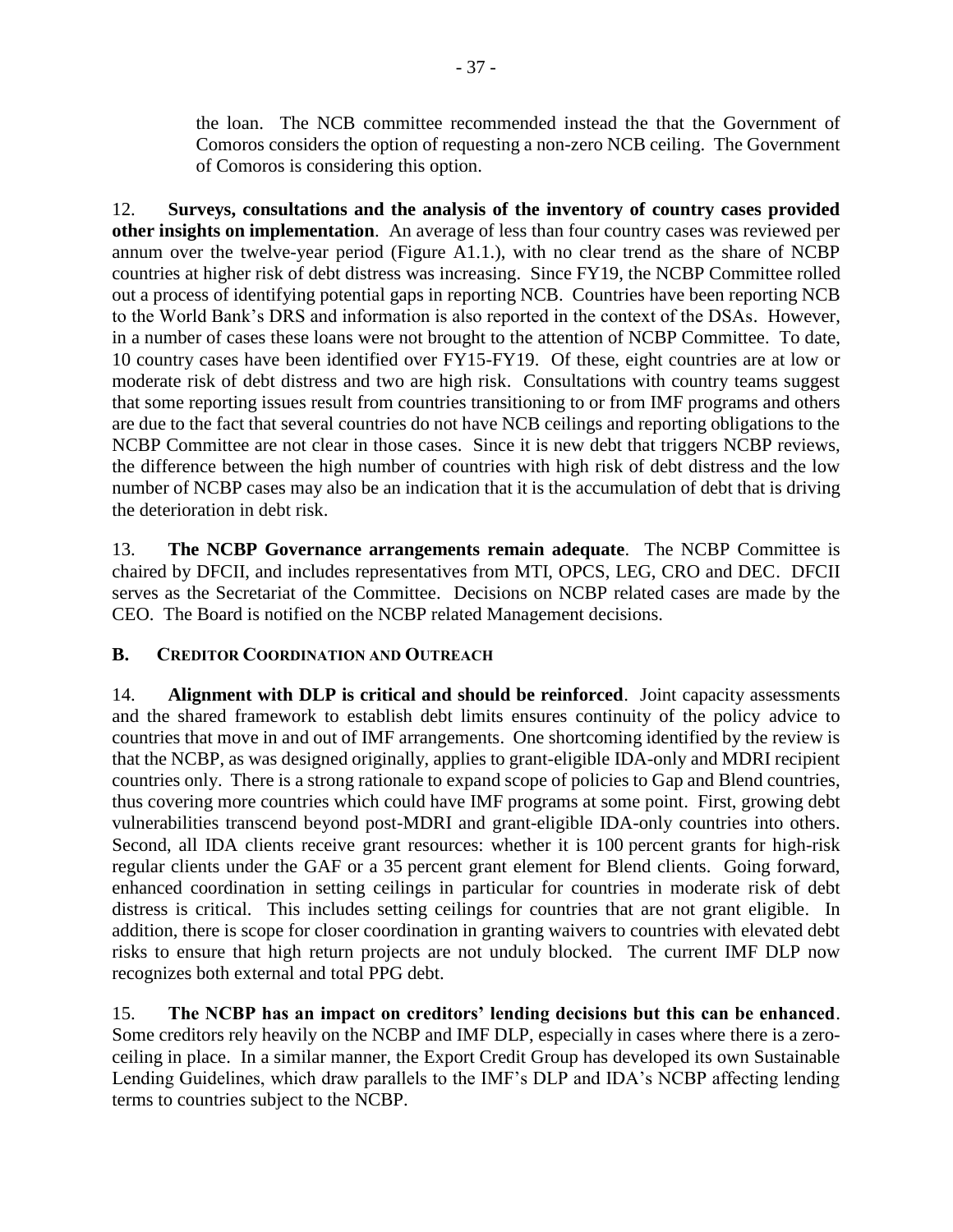the loan. The NCB committee recommended instead the that the Government of Comoros considers the option of requesting a non-zero NCB ceiling. The Government of Comoros is considering this option.

12. **Surveys, consultations and the analysis of the inventory of country cases provided other insights on implementation**. An average of less than four country cases was reviewed per annum over the twelve-year period (Figure A1.1.), with no clear trend as the share of NCBP countries at higher risk of debt distress was increasing. Since FY19, the NCBP Committee rolled out a process of identifying potential gaps in reporting NCB. Countries have been reporting NCB to the World Bank's DRS and information is also reported in the context of the DSAs. However, in a number of cases these loans were not brought to the attention of NCBP Committee. To date, 10 country cases have been identified over FY15-FY19. Of these, eight countries are at low or moderate risk of debt distress and two are high risk. Consultations with country teams suggest that some reporting issues result from countries transitioning to or from IMF programs and others are due to the fact that several countries do not have NCB ceilings and reporting obligations to the NCBP Committee are not clear in those cases. Since it is new debt that triggers NCBP reviews, the difference between the high number of countries with high risk of debt distress and the low number of NCBP cases may also be an indication that it is the accumulation of debt that is driving the deterioration in debt risk.

13. **The NCBP Governance arrangements remain adequate**. The NCBP Committee is chaired by DFCII, and includes representatives from MTI, OPCS, LEG, CRO and DEC. DFCII serves as the Secretariat of the Committee. Decisions on NCBP related cases are made by the CEO. The Board is notified on the NCBP related Management decisions.

# **B. CREDITOR COORDINATION AND OUTREACH**

14. **Alignment with DLP is critical and should be reinforced**. Joint capacity assessments and the shared framework to establish debt limits ensures continuity of the policy advice to countries that move in and out of IMF arrangements. One shortcoming identified by the review is that the NCBP, as was designed originally, applies to grant-eligible IDA-only and MDRI recipient countries only. There is a strong rationale to expand scope of policies to Gap and Blend countries, thus covering more countries which could have IMF programs at some point. First, growing debt vulnerabilities transcend beyond post-MDRI and grant-eligible IDA-only countries into others. Second, all IDA clients receive grant resources: whether it is 100 percent grants for high-risk regular clients under the GAF or a 35 percent grant element for Blend clients. Going forward, enhanced coordination in setting ceilings in particular for countries in moderate risk of debt distress is critical. This includes setting ceilings for countries that are not grant eligible. In addition, there is scope for closer coordination in granting waivers to countries with elevated debt risks to ensure that high return projects are not unduly blocked. The current IMF DLP now recognizes both external and total PPG debt.

15. **The NCBP has an impact on creditors' lending decisions but this can be enhanced**. Some creditors rely heavily on the NCBP and IMF DLP, especially in cases where there is a zeroceiling in place. In a similar manner, the Export Credit Group has developed its own Sustainable Lending Guidelines, which draw parallels to the IMF's DLP and IDA's NCBP affecting lending terms to countries subject to the NCBP.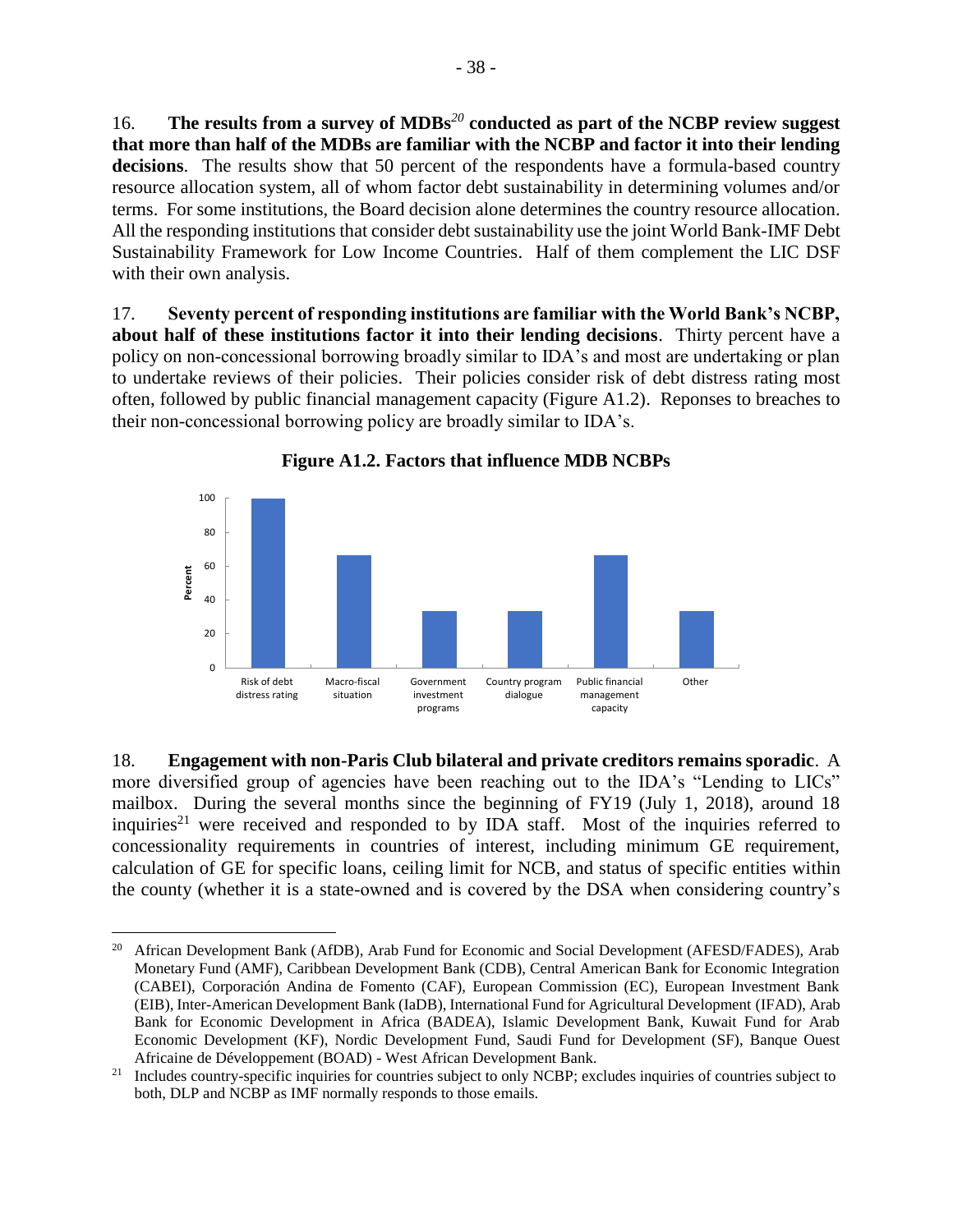16. **The results from a survey of MDBs***<sup>20</sup>* **conducted as part of the NCBP review suggest that more than half of the MDBs are familiar with the NCBP and factor it into their lending**  decisions. The results show that 50 percent of the respondents have a formula-based country resource allocation system, all of whom factor debt sustainability in determining volumes and/or terms. For some institutions, the Board decision alone determines the country resource allocation. All the responding institutions that consider debt sustainability use the joint World Bank-IMF Debt Sustainability Framework for Low Income Countries. Half of them complement the LIC DSF with their own analysis.

17. **Seventy percent of responding institutions are familiar with the World Bank's NCBP, about half of these institutions factor it into their lending decisions**. Thirty percent have a policy on non-concessional borrowing broadly similar to IDA's and most are undertaking or plan to undertake reviews of their policies. Their policies consider risk of debt distress rating most often, followed by public financial management capacity (Figure A1.2). Reponses to breaches to their non-concessional borrowing policy are broadly similar to IDA's.





18. **Engagement with non-Paris Club bilateral and private creditors remains sporadic**. A more diversified group of agencies have been reaching out to the IDA's "Lending to LICs" mailbox. During the several months since the beginning of FY19 (July 1, 2018), around 18 inquiries<sup>21</sup> were received and responded to by IDA staff. Most of the inquiries referred to concessionality requirements in countries of interest, including minimum GE requirement, calculation of GE for specific loans, ceiling limit for NCB, and status of specific entities within the county (whether it is a state-owned and is covered by the DSA when considering country's

 $\overline{a}$ <sup>20</sup> African Development Bank (AfDB), Arab Fund for Economic and Social Development (AFESD/FADES), Arab Monetary Fund (AMF), Caribbean Development Bank (CDB), Central American Bank for Economic Integration (CABEI), Corporación Andina de Fomento (CAF), European Commission (EC), European Investment Bank (EIB), Inter-American Development Bank (IaDB), International Fund for Agricultural Development (IFAD), Arab Bank for Economic Development in Africa (BADEA), Islamic Development Bank, Kuwait Fund for Arab Economic Development (KF), Nordic Development Fund, Saudi Fund for Development (SF), Banque Ouest Africaine de Développement (BOAD) - West African Development Bank.

 $21$  Includes country-specific inquiries for countries subject to only NCBP; excludes inquiries of countries subject to both, DLP and NCBP as IMF normally responds to those emails.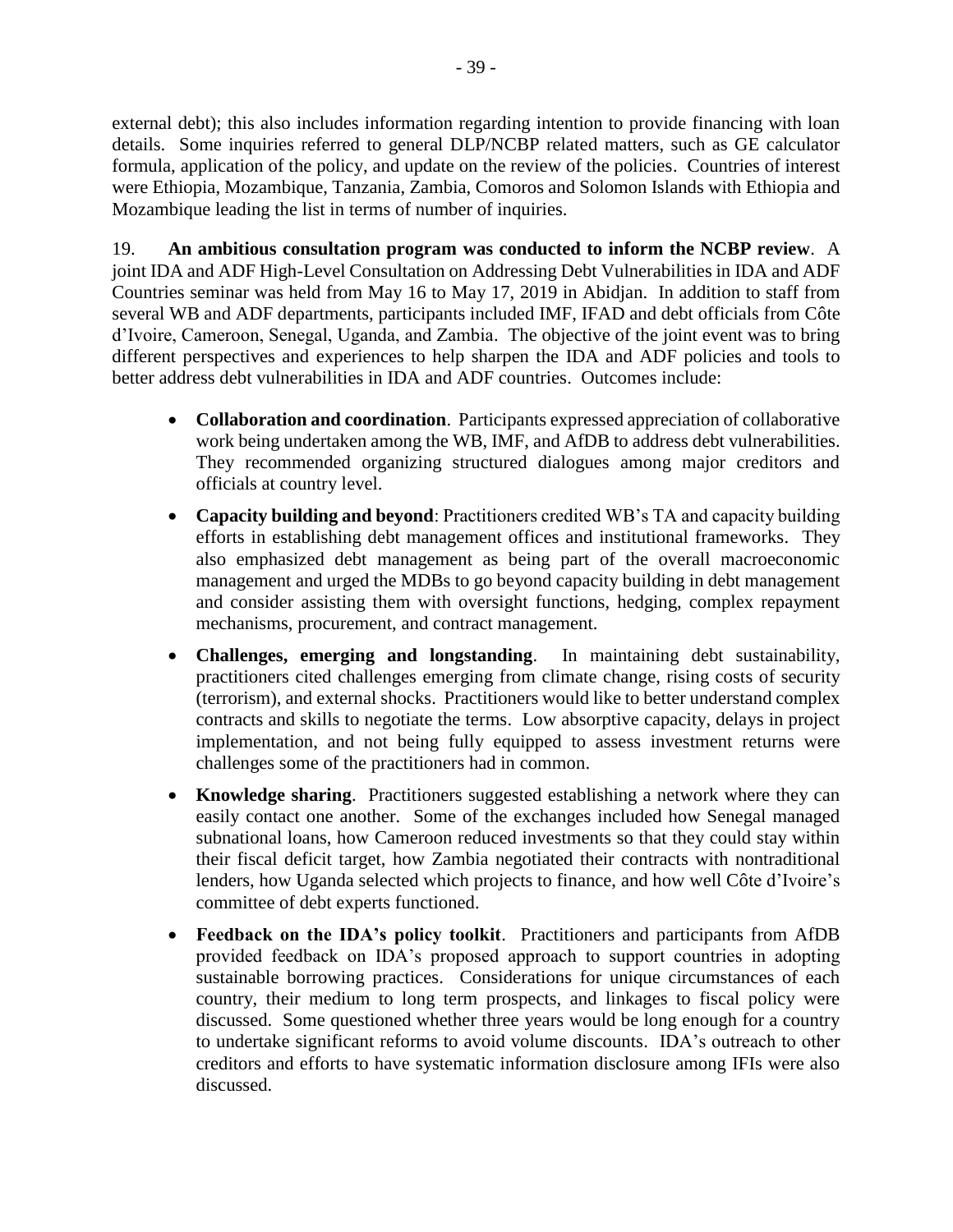external debt); this also includes information regarding intention to provide financing with loan details. Some inquiries referred to general DLP/NCBP related matters, such as GE calculator formula, application of the policy, and update on the review of the policies. Countries of interest were Ethiopia, Mozambique, Tanzania, Zambia, Comoros and Solomon Islands with Ethiopia and Mozambique leading the list in terms of number of inquiries.

19. **An ambitious consultation program was conducted to inform the NCBP review**. A joint IDA and ADF High-Level Consultation on Addressing Debt Vulnerabilities in IDA and ADF Countries seminar was held from May 16 to May 17, 2019 in Abidjan. In addition to staff from several WB and ADF departments, participants included IMF, IFAD and debt officials from Côte d'Ivoire, Cameroon, Senegal, Uganda, and Zambia. The objective of the joint event was to bring different perspectives and experiences to help sharpen the IDA and ADF policies and tools to better address debt vulnerabilities in IDA and ADF countries. Outcomes include:

- **Collaboration and coordination**. Participants expressed appreciation of collaborative work being undertaken among the WB, IMF, and AfDB to address debt vulnerabilities. They recommended organizing structured dialogues among major creditors and officials at country level.
- **Capacity building and beyond**: Practitioners credited WB's TA and capacity building efforts in establishing debt management offices and institutional frameworks. They also emphasized debt management as being part of the overall macroeconomic management and urged the MDBs to go beyond capacity building in debt management and consider assisting them with oversight functions, hedging, complex repayment mechanisms, procurement, and contract management.
- **Challenges, emerging and longstanding**. In maintaining debt sustainability, practitioners cited challenges emerging from climate change, rising costs of security (terrorism), and external shocks. Practitioners would like to better understand complex contracts and skills to negotiate the terms. Low absorptive capacity, delays in project implementation, and not being fully equipped to assess investment returns were challenges some of the practitioners had in common.
- **Knowledge sharing**. Practitioners suggested establishing a network where they can easily contact one another. Some of the exchanges included how Senegal managed subnational loans, how Cameroon reduced investments so that they could stay within their fiscal deficit target, how Zambia negotiated their contracts with nontraditional lenders, how Uganda selected which projects to finance, and how well Côte d'Ivoire's committee of debt experts functioned.
- **Feedback on the IDA's policy toolkit**. Practitioners and participants from AfDB provided feedback on IDA's proposed approach to support countries in adopting sustainable borrowing practices. Considerations for unique circumstances of each country, their medium to long term prospects, and linkages to fiscal policy were discussed. Some questioned whether three years would be long enough for a country to undertake significant reforms to avoid volume discounts. IDA's outreach to other creditors and efforts to have systematic information disclosure among IFIs were also discussed.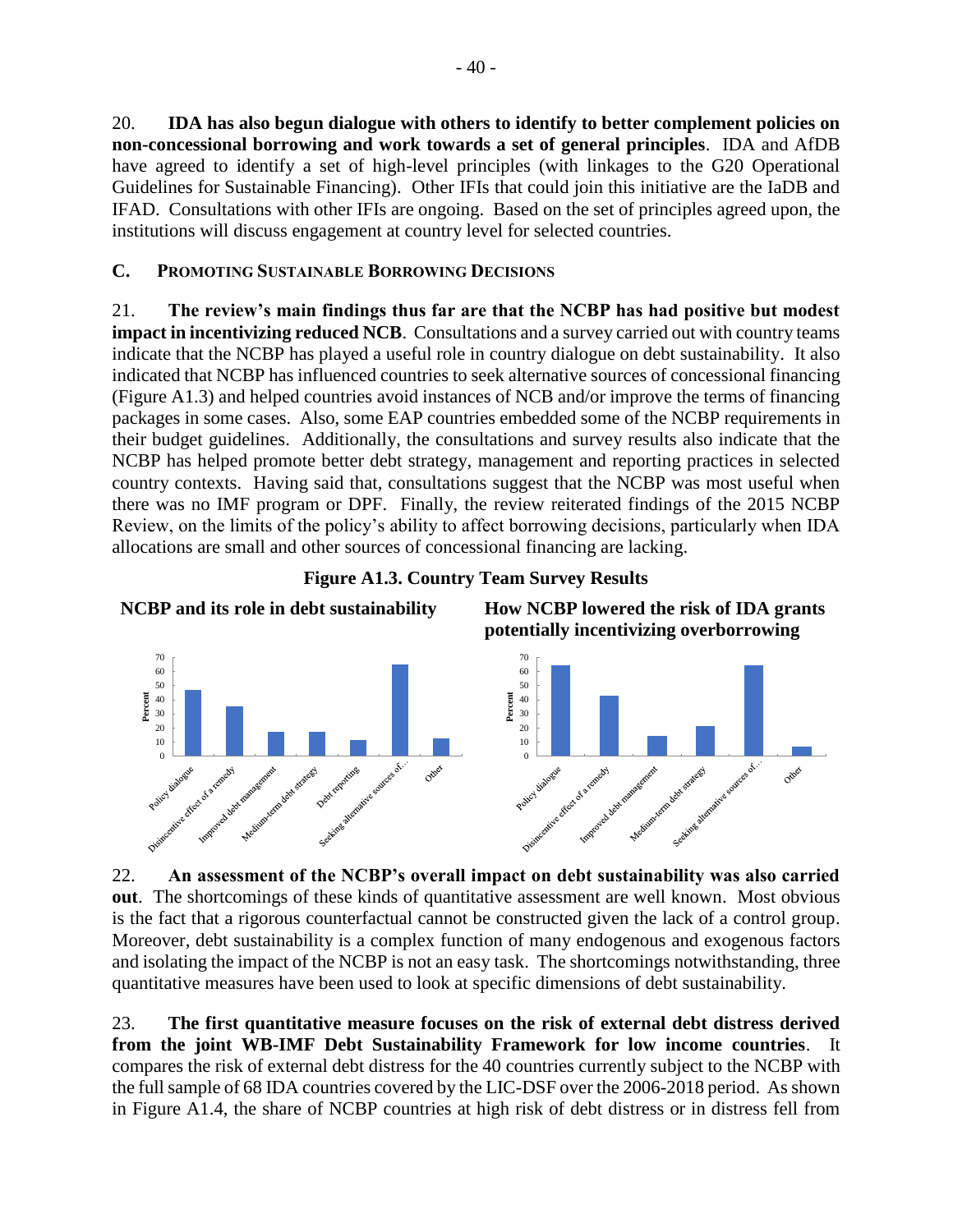20. **IDA has also begun dialogue with others to identify to better complement policies on non-concessional borrowing and work towards a set of general principles**. IDA and AfDB have agreed to identify a set of high-level principles (with linkages to the G20 Operational Guidelines for Sustainable Financing). Other IFIs that could join this initiative are the IaDB and IFAD. Consultations with other IFIs are ongoing. Based on the set of principles agreed upon, the institutions will discuss engagement at country level for selected countries.

## **C. PROMOTING SUSTAINABLE BORROWING DECISIONS**

21. **The review's main findings thus far are that the NCBP has had positive but modest impact in incentivizing reduced NCB**. Consultations and a survey carried out with country teams indicate that the NCBP has played a useful role in country dialogue on debt sustainability. It also indicated that NCBP has influenced countries to seek alternative sources of concessional financing (Figure A1.3) and helped countries avoid instances of NCB and/or improve the terms of financing packages in some cases. Also, some EAP countries embedded some of the NCBP requirements in their budget guidelines. Additionally, the consultations and survey results also indicate that the NCBP has helped promote better debt strategy, management and reporting practices in selected country contexts. Having said that, consultations suggest that the NCBP was most useful when there was no IMF program or DPF. Finally, the review reiterated findings of the 2015 NCBP Review, on the limits of the policy's ability to affect borrowing decisions, particularly when IDA allocations are small and other sources of concessional financing are lacking.





22. **An assessment of the NCBP's overall impact on debt sustainability was also carried out**. The shortcomings of these kinds of quantitative assessment are well known. Most obvious is the fact that a rigorous counterfactual cannot be constructed given the lack of a control group. Moreover, debt sustainability is a complex function of many endogenous and exogenous factors and isolating the impact of the NCBP is not an easy task. The shortcomings notwithstanding, three quantitative measures have been used to look at specific dimensions of debt sustainability.

23. **The first quantitative measure focuses on the risk of external debt distress derived from the joint WB-IMF Debt Sustainability Framework for low income countries**. It compares the risk of external debt distress for the 40 countries currently subject to the NCBP with the full sample of 68 IDA countries covered by the LIC-DSF over the 2006-2018 period. As shown in Figure A1.4, the share of NCBP countries at high risk of debt distress or in distress fell from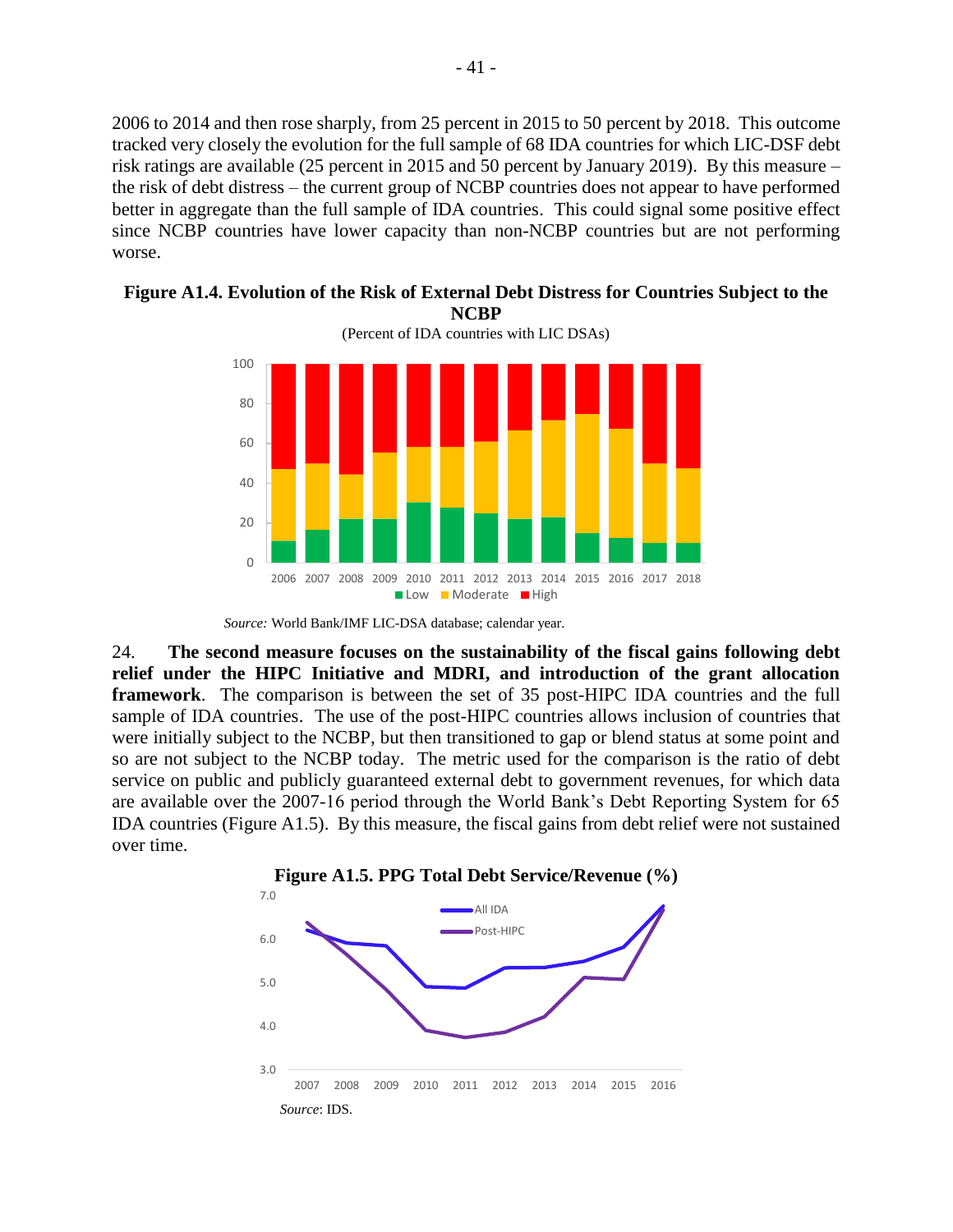2006 to 2014 and then rose sharply, from 25 percent in 2015 to 50 percent by 2018. This outcome tracked very closely the evolution for the full sample of 68 IDA countries for which LIC-DSF debt risk ratings are available (25 percent in 2015 and 50 percent by January 2019). By this measure – the risk of debt distress – the current group of NCBP countries does not appear to have performed better in aggregate than the full sample of IDA countries. This could signal some positive effect since NCBP countries have lower capacity than non-NCBP countries but are not performing worse.



**Figure A1.4. Evolution of the Risk of External Debt Distress for Countries Subject to the NCBP**

24. **The second measure focuses on the sustainability of the fiscal gains following debt relief under the HIPC Initiative and MDRI, and introduction of the grant allocation framework**. The comparison is between the set of 35 post-HIPC IDA countries and the full sample of IDA countries. The use of the post-HIPC countries allows inclusion of countries that were initially subject to the NCBP, but then transitioned to gap or blend status at some point and so are not subject to the NCBP today. The metric used for the comparison is the ratio of debt service on public and publicly guaranteed external debt to government revenues, for which data are available over the 2007-16 period through the World Bank's Debt Reporting System for 65 IDA countries (Figure A1.5). By this measure, the fiscal gains from debt relief were not sustained over time.



*Source:* World Bank/IMF LIC-DSA database; calendar year.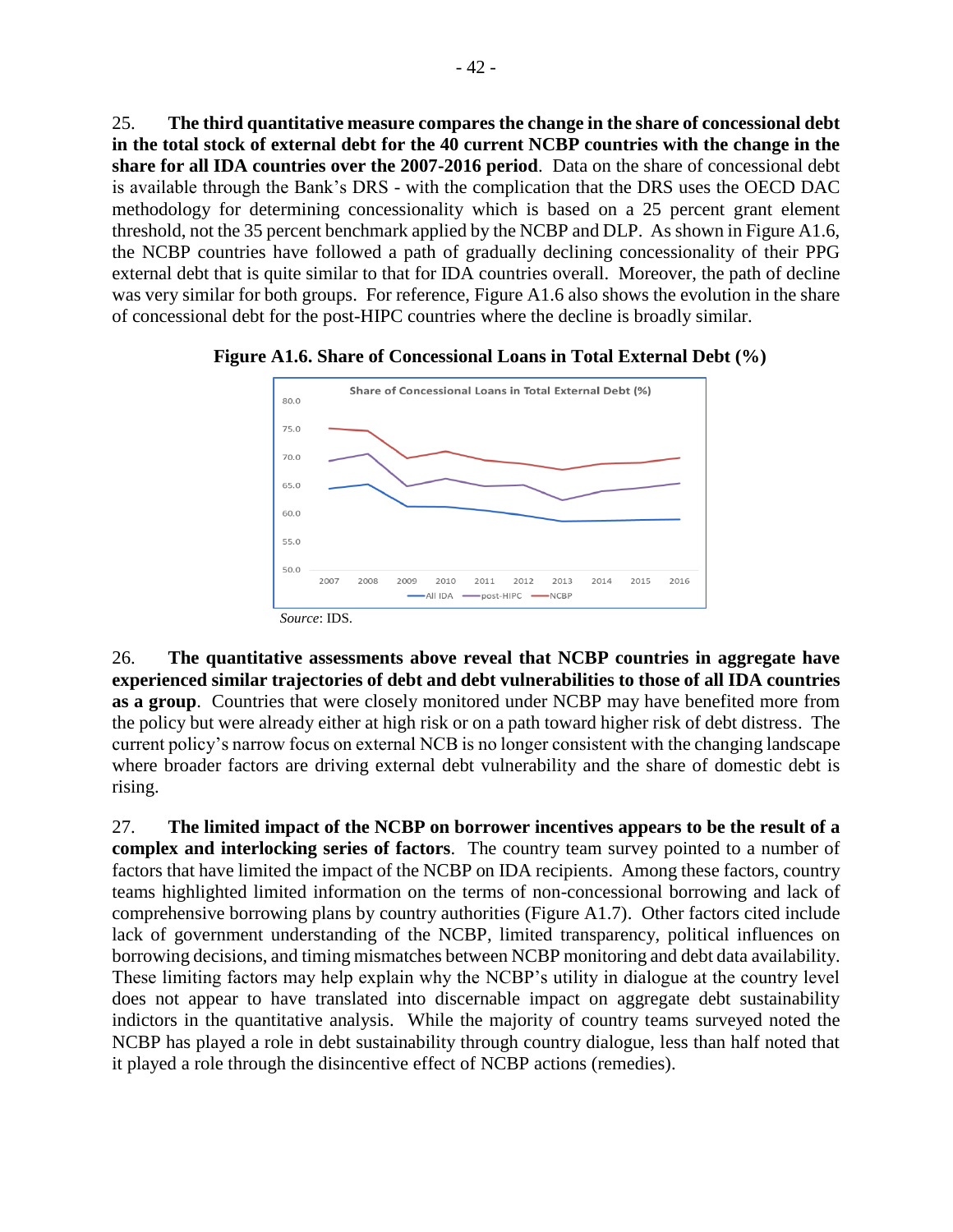25. **The third quantitative measure compares the change in the share of concessional debt in the total stock of external debt for the 40 current NCBP countries with the change in the share for all IDA countries over the 2007-2016 period**. Data on the share of concessional debt is available through the Bank's DRS - with the complication that the DRS uses the OECD DAC methodology for determining concessionality which is based on a 25 percent grant element threshold, not the 35 percent benchmark applied by the NCBP and DLP. As shown in Figure A1.6, the NCBP countries have followed a path of gradually declining concessionality of their PPG external debt that is quite similar to that for IDA countries overall. Moreover, the path of decline was very similar for both groups. For reference, Figure A1.6 also shows the evolution in the share of concessional debt for the post-HIPC countries where the decline is broadly similar.



**Figure A1.6. Share of Concessional Loans in Total External Debt (%)**

26. **The quantitative assessments above reveal that NCBP countries in aggregate have experienced similar trajectories of debt and debt vulnerabilities to those of all IDA countries as a group**. Countries that were closely monitored under NCBP may have benefited more from the policy but were already either at high risk or on a path toward higher risk of debt distress. The current policy's narrow focus on external NCB is no longer consistent with the changing landscape where broader factors are driving external debt vulnerability and the share of domestic debt is rising.

27. **The limited impact of the NCBP on borrower incentives appears to be the result of a complex and interlocking series of factors**. The country team survey pointed to a number of factors that have limited the impact of the NCBP on IDA recipients. Among these factors, country teams highlighted limited information on the terms of non-concessional borrowing and lack of comprehensive borrowing plans by country authorities (Figure A1.7). Other factors cited include lack of government understanding of the NCBP, limited transparency, political influences on borrowing decisions, and timing mismatches between NCBP monitoring and debt data availability. These limiting factors may help explain why the NCBP's utility in dialogue at the country level does not appear to have translated into discernable impact on aggregate debt sustainability indictors in the quantitative analysis. While the majority of country teams surveyed noted the NCBP has played a role in debt sustainability through country dialogue, less than half noted that it played a role through the disincentive effect of NCBP actions (remedies).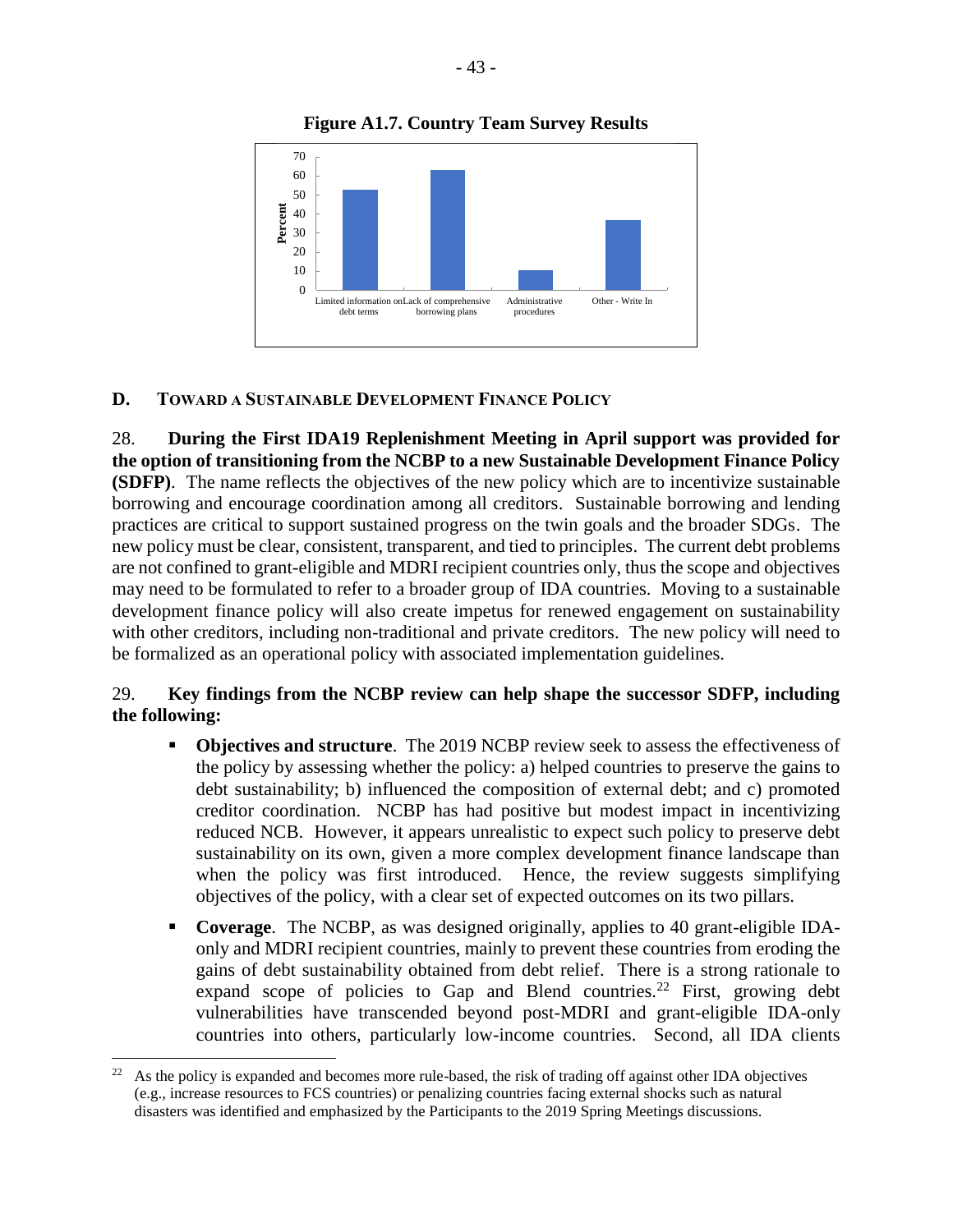Administrative procedures

Other - Write In

## **D. TOWARD A SUSTAINABLE DEVELOPMENT FINANCE POLICY**

debt terms

Limited information on Lack of comprehensive

borrowing plans

**Percent**

28. **During the First IDA19 Replenishment Meeting in April support was provided for the option of transitioning from the NCBP to a new Sustainable Development Finance Policy (SDFP)**. The name reflects the objectives of the new policy which are to incentivize sustainable borrowing and encourage coordination among all creditors. Sustainable borrowing and lending practices are critical to support sustained progress on the twin goals and the broader SDGs. The new policy must be clear, consistent, transparent, and tied to principles. The current debt problems are not confined to grant-eligible and MDRI recipient countries only, thus the scope and objectives may need to be formulated to refer to a broader group of IDA countries. Moving to a sustainable development finance policy will also create impetus for renewed engagement on sustainability with other creditors, including non-traditional and private creditors. The new policy will need to be formalized as an operational policy with associated implementation guidelines.

#### 29. **Key findings from the NCBP review can help shape the successor SDFP, including the following:**

- **Objectives and structure**. The 2019 NCBP review seek to assess the effectiveness of the policy by assessing whether the policy: a) helped countries to preserve the gains to debt sustainability; b) influenced the composition of external debt; and c) promoted creditor coordination. NCBP has had positive but modest impact in incentivizing reduced NCB. However, it appears unrealistic to expect such policy to preserve debt sustainability on its own, given a more complex development finance landscape than when the policy was first introduced. Hence, the review suggests simplifying objectives of the policy, with a clear set of expected outcomes on its two pillars.
- **Coverage**. The NCBP, as was designed originally, applies to 40 grant-eligible IDAonly and MDRI recipient countries, mainly to prevent these countries from eroding the gains of debt sustainability obtained from debt relief. There is a strong rationale to expand scope of policies to Gap and Blend countries.<sup>22</sup> First, growing debt vulnerabilities have transcended beyond post-MDRI and grant-eligible IDA-only countries into others, particularly low-income countries. Second, all IDA clients

 $\overline{a}$ 

<sup>&</sup>lt;sup>22</sup> As the policy is expanded and becomes more rule-based, the risk of trading off against other IDA objectives (e.g., increase resources to FCS countries) or penalizing countries facing external shocks such as natural disasters was identified and emphasized by the Participants to the 2019 Spring Meetings discussions.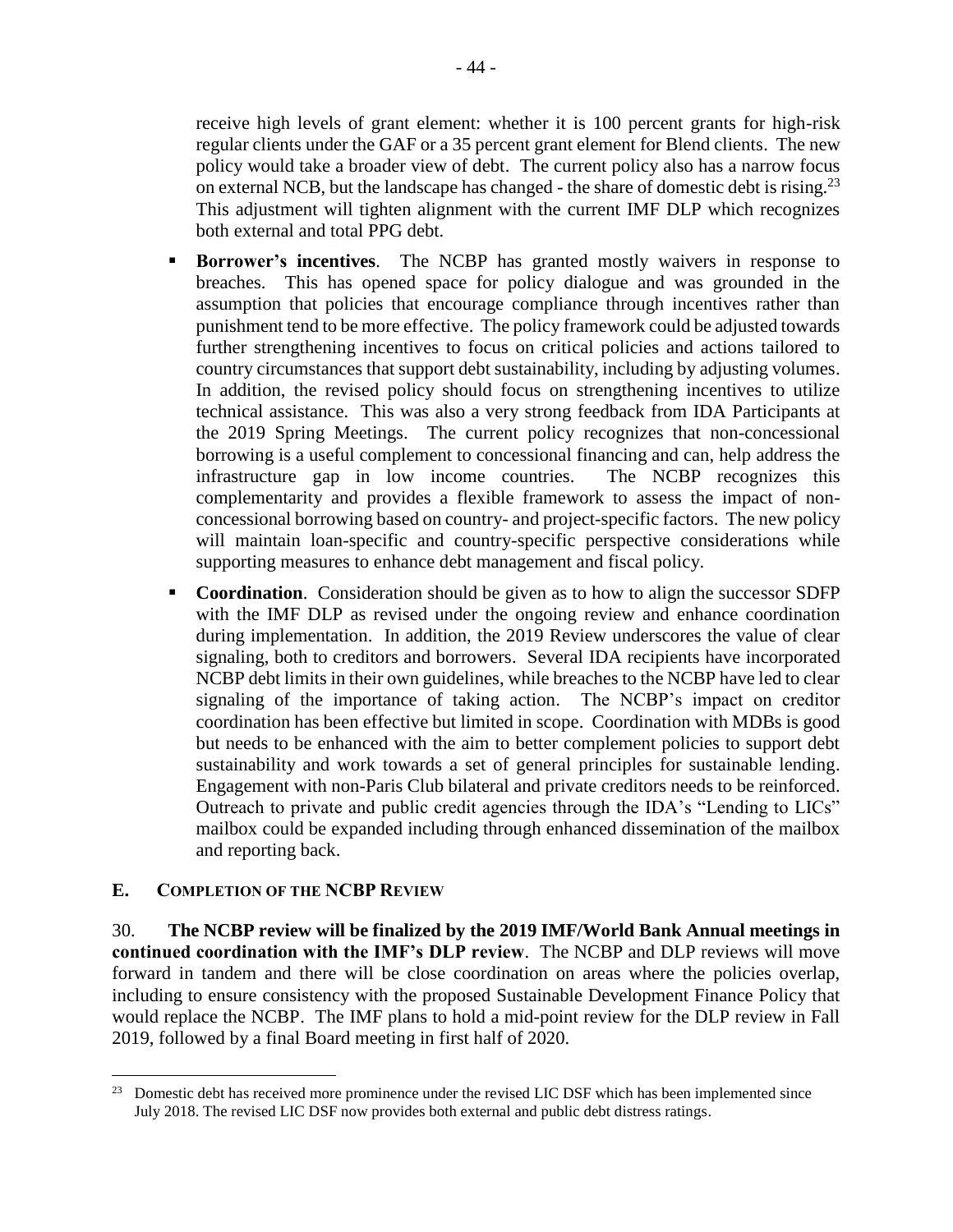receive high levels of grant element: whether it is 100 percent grants for high-risk regular clients under the GAF or a 35 percent grant element for Blend clients. The new policy would take a broader view of debt. The current policy also has a narrow focus on external NCB, but the landscape has changed - the share of domestic debt is rising.<sup>23</sup> This adjustment will tighten alignment with the current IMF DLP which recognizes both external and total PPG debt.

- **Borrower's incentives**. The NCBP has granted mostly waivers in response to breaches. This has opened space for policy dialogue and was grounded in the assumption that policies that encourage compliance through incentives rather than punishment tend to be more effective. The policy framework could be adjusted towards further strengthening incentives to focus on critical policies and actions tailored to country circumstances that support debt sustainability, including by adjusting volumes. In addition, the revised policy should focus on strengthening incentives to utilize technical assistance. This was also a very strong feedback from IDA Participants at the 2019 Spring Meetings. The current policy recognizes that non-concessional borrowing is a useful complement to concessional financing and can, help address the infrastructure gap in low income countries. The NCBP recognizes this complementarity and provides a flexible framework to assess the impact of nonconcessional borrowing based on country- and project-specific factors. The new policy will maintain loan-specific and country-specific perspective considerations while supporting measures to enhance debt management and fiscal policy.
- **Coordination**. Consideration should be given as to how to align the successor SDFP with the IMF DLP as revised under the ongoing review and enhance coordination during implementation. In addition, the 2019 Review underscores the value of clear signaling, both to creditors and borrowers. Several IDA recipients have incorporated NCBP debt limits in their own guidelines, while breaches to the NCBP have led to clear signaling of the importance of taking action. The NCBP's impact on creditor coordination has been effective but limited in scope. Coordination with MDBs is good but needs to be enhanced with the aim to better complement policies to support debt sustainability and work towards a set of general principles for sustainable lending. Engagement with non-Paris Club bilateral and private creditors needs to be reinforced. Outreach to private and public credit agencies through the IDA's "Lending to LICs" mailbox could be expanded including through enhanced dissemination of the mailbox and reporting back.

#### **E. COMPLETION OF THE NCBP REVIEW**

 $\overline{a}$ 

30. **The NCBP review will be finalized by the 2019 IMF/World Bank Annual meetings in continued coordination with the IMF's DLP review**. The NCBP and DLP reviews will move forward in tandem and there will be close coordination on areas where the policies overlap, including to ensure consistency with the proposed Sustainable Development Finance Policy that would replace the NCBP. The IMF plans to hold a mid-point review for the DLP review in Fall 2019, followed by a final Board meeting in first half of 2020.

<sup>&</sup>lt;sup>23</sup> Domestic debt has received more prominence under the revised LIC DSF which has been implemented since July 2018. The revised LIC DSF now provides both external and public debt distress ratings.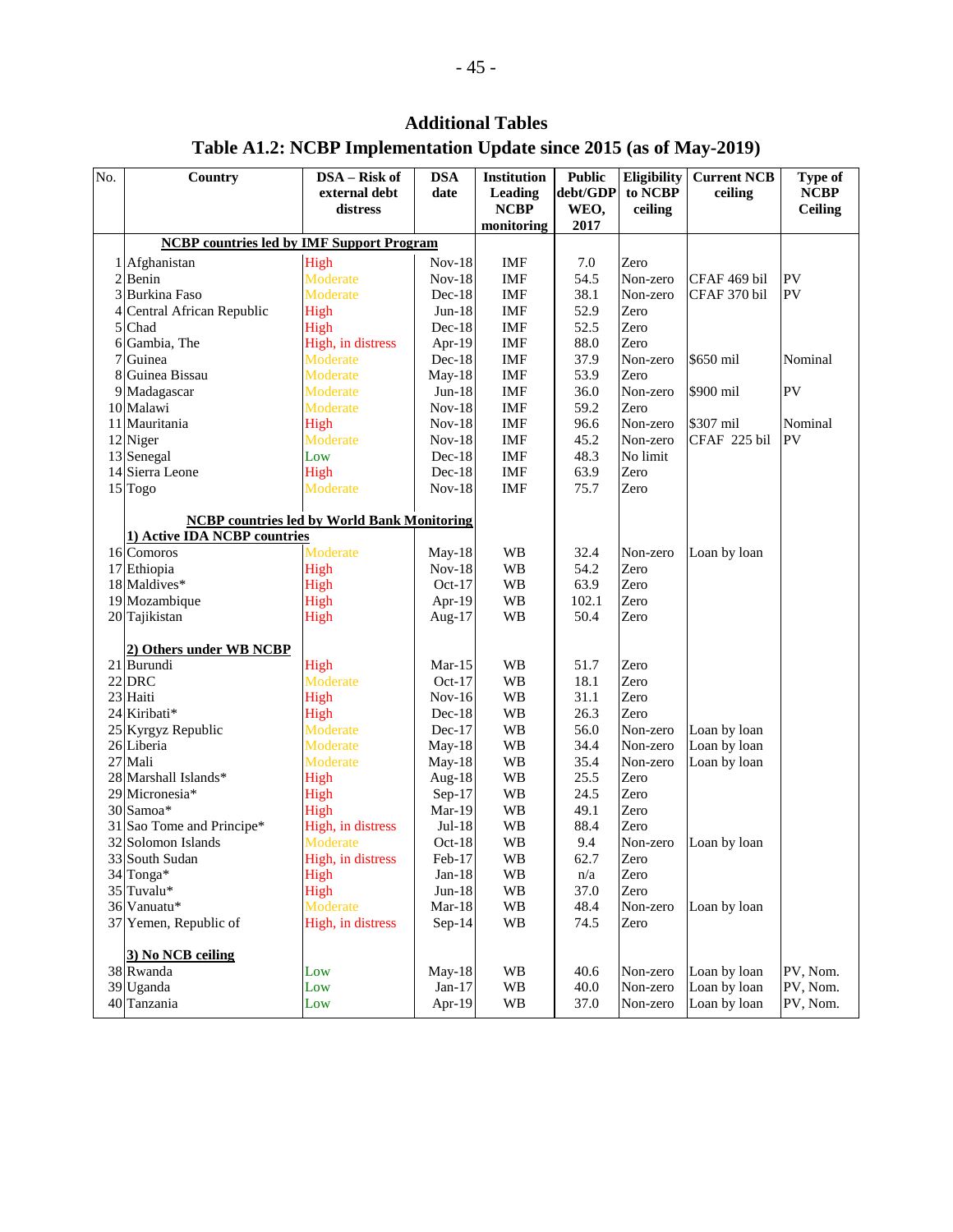# **Additional Tables**

# **Table A1.2: NCBP Implementation Update since 2015 (as of May-2019)**

| No. | Country                                                 | <b>DSA</b><br>$DSA - Risk of$ |                      | <b>Institution</b>         | <b>Public</b> | Eligibility        | <b>Current NCB</b> | Type of        |  |
|-----|---------------------------------------------------------|-------------------------------|----------------------|----------------------------|---------------|--------------------|--------------------|----------------|--|
|     |                                                         | external debt<br>date         |                      | debt/GDP<br><b>Leading</b> |               | to NCBP<br>ceiling |                    | <b>NCBP</b>    |  |
|     |                                                         | distress                      |                      | <b>NCBP</b>                | WEO,          | ceiling            |                    | <b>Ceiling</b> |  |
|     | <b>NCBP</b> countries led by <b>IMF</b> Support Program |                               |                      | monitoring                 | 2017          |                    |                    |                |  |
|     | 1 Afghanistan                                           | IMF                           | 7.0                  | Zero                       |               |                    |                    |                |  |
|     | 2 Benin                                                 | High<br>Moderate              | $Nov-18$<br>$Nov-18$ | <b>IMF</b>                 | 54.5          | Non-zero           | CFAF 469 bil       | PV             |  |
|     | 3 Burkina Faso                                          | Moderate                      | $Dec-18$             | IMF                        | 38.1          | Non-zero           | CFAF 370 bil       | PV             |  |
|     | 4 Central African Republic                              | High                          | $Jun-18$             | IMF                        | 52.9          | Zero               |                    |                |  |
| 5   | Chad                                                    | High                          | $Dec-18$             | IMF                        | 52.5          | Zero               |                    |                |  |
| 6   | Gambia, The                                             | High, in distress             | Apr-19               | <b>IMF</b>                 | 88.0          | Zero               |                    |                |  |
| 7   | Guinea                                                  | Moderate                      | Dec-18               | <b>IMF</b>                 | 37.9          | Non-zero           | \$650 mil          | Nominal        |  |
| 8   | Guinea Bissau                                           | Moderate                      | May-18               | <b>IMF</b>                 | 53.9          | Zero               |                    |                |  |
|     | 9 Madagascar                                            | Moderate                      | $Jun-18$             | IMF                        | 36.0          | Non-zero           | \$900 mil          | PV             |  |
|     | 10 Malawi                                               | Moderate                      | $Nov-18$             | <b>IMF</b>                 | 59.2          | Zero               |                    |                |  |
|     | 11 Mauritania                                           | High                          | $Nov-18$             | IMF                        | 96.6          | Non-zero           | \$307 mil          | Nominal        |  |
|     | 12 Niger                                                | Moderate                      | $Nov-18$             | <b>IMF</b>                 | 45.2          | Non-zero           | CFAF 225 bil       | PV             |  |
|     | 13 Senegal                                              | Low                           | $Dec-18$             | IMF                        | 48.3          | No limit           |                    |                |  |
|     | 14 Sierra Leone                                         | High                          | $Dec-18$             | IMF                        | 63.9          | Zero               |                    |                |  |
|     | 15 Togo                                                 | Moderate                      | $Nov-18$             | IMF                        | 75.7          | Zero               |                    |                |  |
|     |                                                         |                               |                      |                            |               |                    |                    |                |  |
|     | <b>NCBP</b> countries led by World Bank Monitoring      |                               |                      |                            |               |                    |                    |                |  |
|     | 1) Active IDA NCBP countries                            |                               |                      |                            |               |                    |                    |                |  |
|     | 16 Comoros                                              | Moderate                      | $May-18$             | <b>WB</b>                  | 32.4          | Non-zero           | Loan by loan       |                |  |
|     | 17 Ethiopia                                             | High                          | $Nov-18$             | <b>WB</b>                  | 54.2          | Zero               |                    |                |  |
|     | 18 Maldives*                                            | High                          | $Oct-17$             | <b>WB</b>                  | 63.9          | Zero               |                    |                |  |
|     | 19 Mozambique                                           | High                          | Apr-19               | <b>WB</b>                  | 102.1         | Zero               |                    |                |  |
|     | 20 Tajikistan                                           | High                          | Aug-17               | <b>WB</b>                  | 50.4          | Zero               |                    |                |  |
|     | 2) Others under WB NCBP                                 |                               |                      |                            |               |                    |                    |                |  |
|     | 21 Burundi                                              | High                          | $Mar-15$             | <b>WB</b>                  | 51.7          | Zero               |                    |                |  |
|     | $22$ DRC                                                | Moderate                      | $Oct-17$             | <b>WB</b>                  | 18.1          | Zero               |                    |                |  |
|     | 23 Haiti                                                | High                          | $Nov-16$             | <b>WB</b>                  | 31.1          | Zero               |                    |                |  |
|     | 24 Kiribati*                                            | High                          | $Dec-18$             | <b>WB</b>                  | 26.3          | Zero               |                    |                |  |
|     | 25 Kyrgyz Republic                                      | Moderate                      | $Dec-17$             | <b>WB</b>                  | 56.0          | Non-zero           | Loan by loan       |                |  |
|     | 26 Liberia                                              | Moderate                      | $May-18$             | <b>WB</b>                  | 34.4          | Non-zero           | Loan by loan       |                |  |
|     | 27 Mali                                                 | Moderate                      | $May-18$             | <b>WB</b>                  | 35.4          | Non-zero           | Loan by loan       |                |  |
|     | 28 Marshall Islands*                                    | High                          | Aug-18               | <b>WB</b>                  | 25.5          | Zero               |                    |                |  |
|     | 29 Micronesia*                                          | High                          | Sep-17               | <b>WB</b>                  | 24.5          | Zero               |                    |                |  |
|     | 30 Samoa*                                               | High                          | Mar-19               | WB                         | 49.1          | Zero               |                    |                |  |
|     | 31 Sao Tome and Principe*                               | High, in distress             | $Jul-18$             | <b>WB</b>                  | 88.4          | Zero               |                    |                |  |
|     | 32 Solomon Islands                                      | Moderate                      | $Oct-18$             | <b>WB</b>                  | 9.4           | Non-zero           | Loan by loan       |                |  |
|     | 33 South Sudan                                          | High, in distress             | Feb-17               | <b>WB</b>                  | 62.7          | Zero               |                    |                |  |
|     | 34 Tonga*                                               | High                          | $Jan-18$             | WB                         | n/a           | Zero               |                    |                |  |
|     | 35 Tuvalu*                                              | High                          | $Jun-18$             | <b>WB</b>                  | 37.0          | Zero               |                    |                |  |
|     | 36 Vanuatu*<br>37 Yemen, Republic of                    | Moderate                      | $Mar-18$             | <b>WB</b>                  | 48.4          | Non-zero           | Loan by loan       |                |  |
|     |                                                         | High, in distress             | $Sep-14$             | WB                         | 74.5          | Zero               |                    |                |  |
|     | 3) No NCB ceiling                                       |                               |                      |                            |               |                    |                    |                |  |
|     | 38 Rwanda                                               | Low                           | $May-18$             | WB                         | 40.6          | Non-zero           | Loan by loan       | PV, Nom.       |  |
|     | 39 Uganda                                               | Low                           | $Jan-17$             | WB                         | 40.0          | Non-zero           | Loan by loan       | PV, Nom.       |  |
|     | 40 Tanzania                                             | Low                           | Apr-19               | <b>WB</b>                  | 37.0          | Non-zero           | Loan by loan       | PV, Nom.       |  |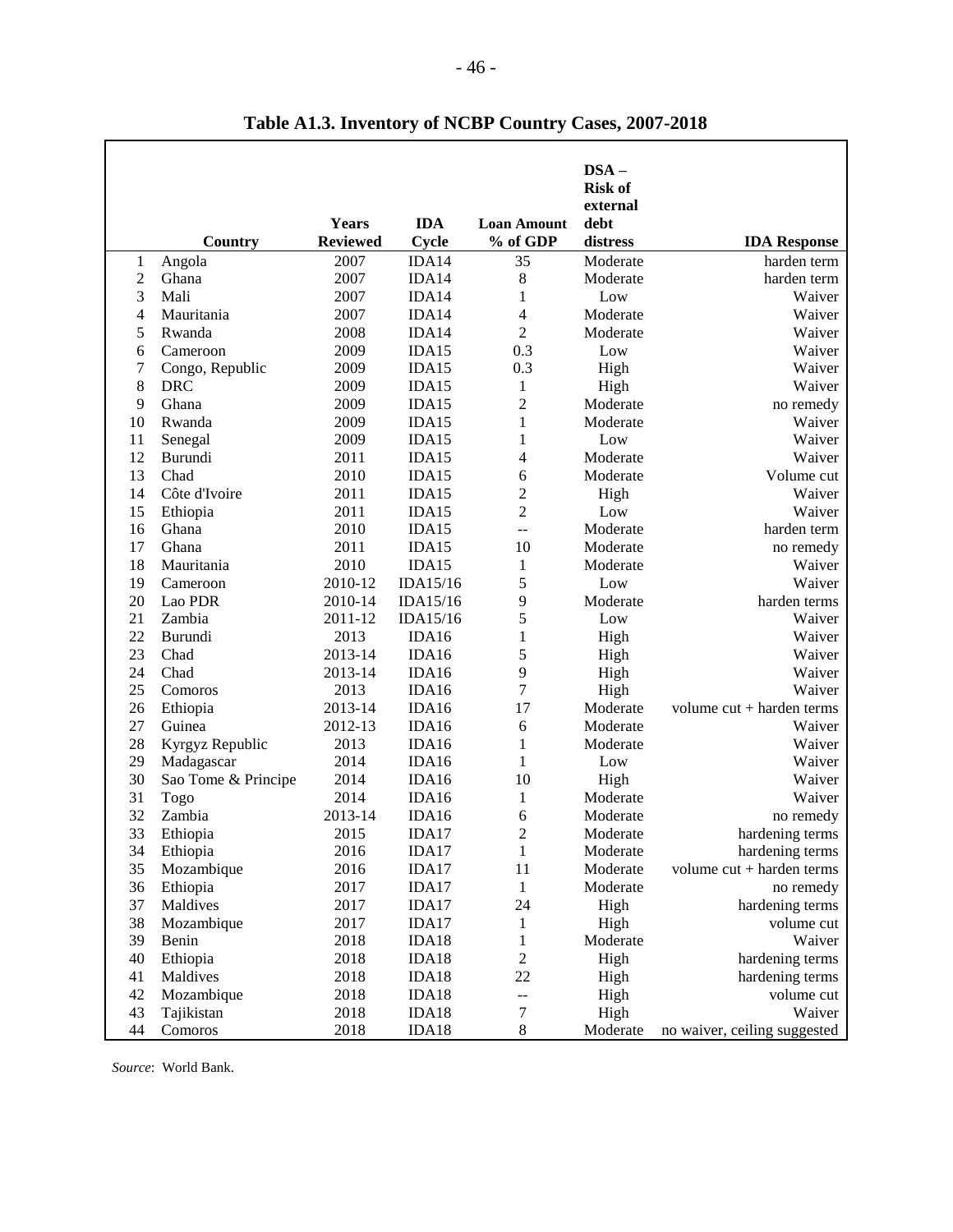|                |                     |                 |            |                    | $DSA -$<br><b>Risk of</b> |                              |
|----------------|---------------------|-----------------|------------|--------------------|---------------------------|------------------------------|
|                |                     |                 |            |                    | external                  |                              |
|                |                     | Years           | <b>IDA</b> | <b>Loan Amount</b> | debt                      |                              |
|                | Country             | <b>Reviewed</b> | Cycle      | % of GDP           | distress                  | <b>IDA</b> Response          |
| 1              | Angola              | 2007            | IDA14      | 35                 | Moderate                  | harden term                  |
| $\overline{c}$ | Ghana               | 2007            | IDA14      | 8                  | Moderate                  | harden term                  |
| 3              | Mali                | 2007            | IDA14      | $\mathbf{1}$       | Low                       | Waiver                       |
| 4              | Mauritania          | 2007            | IDA14      | 4                  | Moderate                  | Waiver                       |
| 5              | Rwanda              | 2008            | IDA14      | $\overline{2}$     | Moderate                  | Waiver                       |
| 6              | Cameroon            | 2009            | IDA15      | 0.3                | Low                       | Waiver                       |
| 7              | Congo, Republic     | 2009            | IDA15      | 0.3                | High                      | Waiver                       |
| 8              | <b>DRC</b>          | 2009            | IDA15      | $\mathbf{1}$       | High                      | Waiver                       |
| 9              | Ghana               | 2009            | IDA15      | $\overline{c}$     | Moderate                  | no remedy                    |
| 10             | Rwanda              | 2009            | IDA15      | $\mathbf{1}$       | Moderate                  | Waiver                       |
| 11             | Senegal             | 2009            | IDA15      | $\mathbf{1}$       | Low                       | Waiver                       |
| 12             | Burundi             | 2011            | IDA15      | 4                  | Moderate                  | Waiver                       |
| 13             | Chad                | 2010            | IDA15      | 6                  | Moderate                  | Volume cut                   |
| 14             | Côte d'Ivoire       | 2011            | IDA15      | $\overline{c}$     | High                      | Waiver                       |
| 15             | Ethiopia            | 2011            | IDA15      | $\overline{c}$     | Low                       | Waiver                       |
| 16             | Ghana               | 2010            | IDA15      | $-$                | Moderate                  | harden term                  |
| 17             | Ghana               | 2011            | IDA15      | 10                 | Moderate                  | no remedy                    |
| 18             | Mauritania          | 2010            | IDA15      | 1                  | Moderate                  | Waiver                       |
| 19             | Cameroon            | 2010-12         | IDA15/16   | 5                  | Low                       | Waiver                       |
| 20             | Lao PDR             | 2010-14         | IDA15/16   | 9                  | Moderate                  | harden terms                 |
| 21             | Zambia              | 2011-12         | IDA15/16   | 5                  | Low                       | Waiver                       |
| 22             | Burundi             | 2013            | IDA16      | $\mathbf{1}$       | High                      | Waiver                       |
| 23             | Chad                | 2013-14         | IDA16      | 5                  | High                      | Waiver                       |
| 24             | Chad                | 2013-14         | IDA16      | 9                  | High                      | Waiver                       |
| 25             | Comoros             | 2013            | IDA16      | $\boldsymbol{7}$   | High                      | Waiver                       |
| 26             | Ethiopia            | 2013-14         | IDA16      | 17                 | Moderate                  | volume $cut + harden$ terms  |
| 27             | Guinea              | 2012-13         | IDA16      | 6                  | Moderate                  | Waiver                       |
| 28             | Kyrgyz Republic     | 2013            | IDA16      | $\mathbf{1}$       | Moderate                  | Waiver                       |
| 29             | Madagascar          | 2014            | IDA16      | $\mathbf{1}$       | Low                       | Waiver                       |
| 30             | Sao Tome & Principe | 2014            | IDA16      | 10                 | High                      | Waiver                       |
| 31             | Togo                | 2014            | IDA16      | 1                  | Moderate                  | Waiver                       |
| 32             | Zambia              | 2013-14         | IDA16      | 6                  | Moderate                  | no remedy                    |
| 33             | Ethiopia            | 2015            | IDA17      | $\overline{2}$     | Moderate                  | hardening terms              |
| 34             | Ethiopia            | 2016            | IDA17      | $\mathbf{1}$       | Moderate                  | hardening terms              |
| 35             | Mozambique          | 2016            | IDA17      | $11\,$             | Moderate                  | volume cut + harden terms    |
| 36             | Ethiopia            | 2017            | IDA17      | $\mathbf{1}$       | Moderate                  | no remedy                    |
| 37             | Maldives            | 2017            | IDA17      | 24                 | High                      | hardening terms              |
| 38             | Mozambique          | 2017            | IDA17      | 1                  | High                      | volume cut                   |
| 39             | Benin               | 2018            | IDA18      | $\mathbf{1}$       | Moderate                  | Waiver                       |
| 40             | Ethiopia            | 2018            | IDA18      | $\boldsymbol{2}$   | High                      | hardening terms              |
| 41             | Maldives            | 2018            | IDA18      | 22                 | High                      | hardening terms              |
| 42             | Mozambique          | 2018            | IDA18      | --                 | High                      | volume cut                   |
| 43             | Tajikistan          | 2018            | IDA18      | 7                  | High                      | Waiver                       |
| 44             | Comoros             | 2018            | IDA18      | $8\,$              | Moderate                  | no waiver, ceiling suggested |

**Table A1.3. Inventory of NCBP Country Cases, 2007-2018** 

*Source*: World Bank.